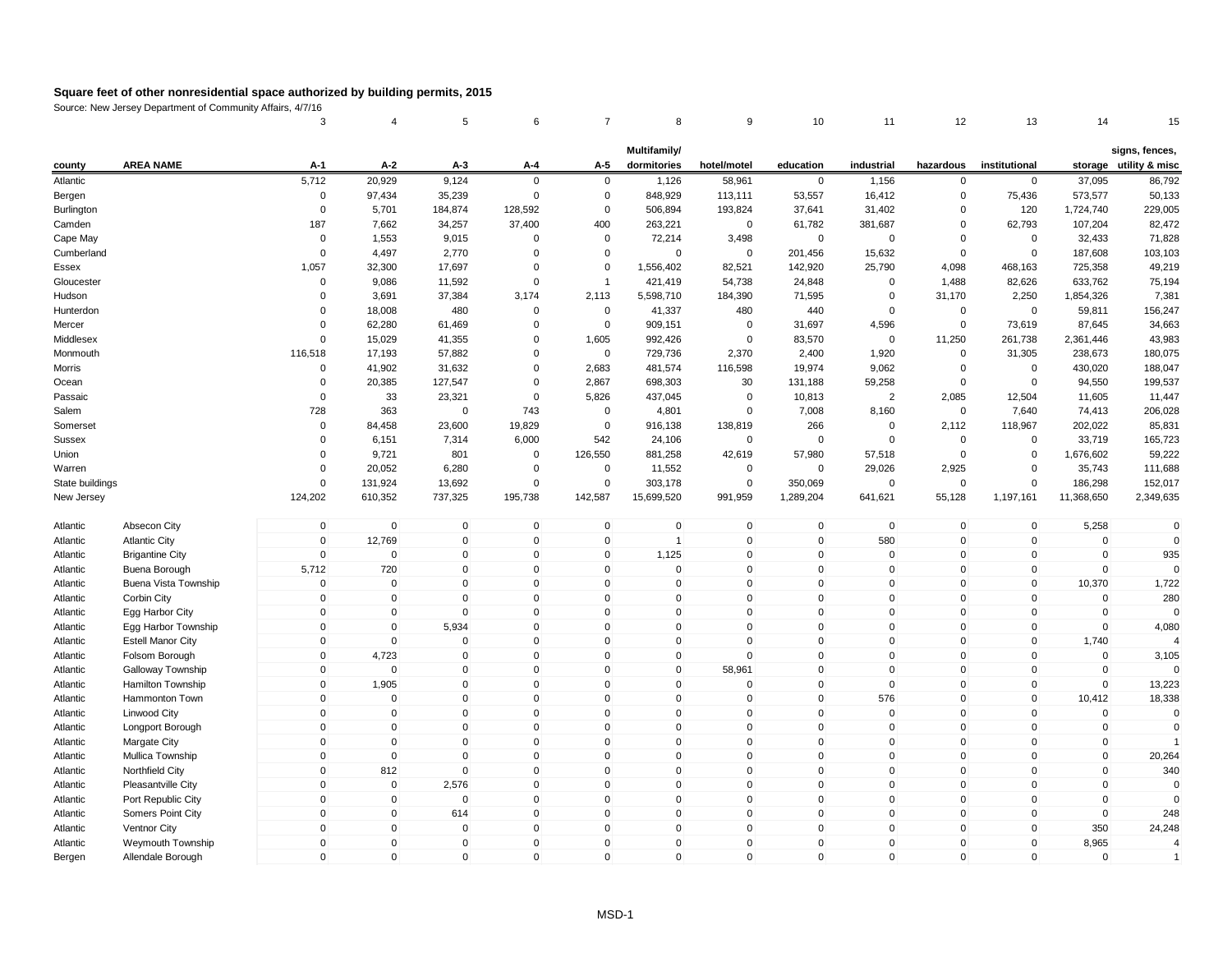|                 |                          | 3                   | 4            | 5            | 6                   | $\overline{7}$ | 8              | 9              | 10           | 11          | 12           | 13            | 14          | 15                       |
|-----------------|--------------------------|---------------------|--------------|--------------|---------------------|----------------|----------------|----------------|--------------|-------------|--------------|---------------|-------------|--------------------------|
|                 |                          |                     |              |              |                     |                | Multifamily/   |                |              |             |              |               |             | signs, fences,           |
| county          | <b>AREA NAME</b>         | A-1                 | $A-2$        | $A-3$        | A-4                 | A-5            | dormitories    | hotel/motel    | education    | industrial  | hazardous    | institutional |             | storage utility & misc   |
| Atlantic        |                          | 5,712               | 20,929       | 9,124        | $\Omega$            | $\mathbf 0$    | 1,126          | 58,961         | $\mathbf 0$  | 1,156       | 0            | $\mathbf 0$   | 37,095      | 86,792                   |
| Bergen          |                          | $\mathbf 0$         | 97,434       | 35,239       | $\mathbf 0$         | 0              | 848,929        | 113,111        | 53,557       | 16,412      | 0            | 75,436        | 573,577     | 50,133                   |
| Burlington      |                          | $\mathbf 0$         | 5,701        | 184,874      | 128,592             | $\mathbf 0$    | 506,894        | 193,824        | 37,641       | 31,402      | 0            | 120           | 1,724,740   | 229,005                  |
| Camden          |                          | 187                 | 7,662        | 34,257       | 37,400              | 400            | 263,221        | 0              | 61,782       | 381,687     | 0            | 62,793        | 107,204     | 82,472                   |
| Cape May        |                          | $\Omega$            | 1,553        | 9,015        | 0                   | 0              | 72,214         | 3,498          | 0            | 0           | $\Omega$     | $\mathbf 0$   | 32,433      | 71,828                   |
| Cumberland      |                          | $\Omega$            | 4,497        | 2,770        | $\mathbf 0$         | $\mathbf 0$    | $\mathbf 0$    | $\mathsf 0$    | 201,456      | 15,632      | $\Omega$     | $\mathbf 0$   | 187,608     | 103,103                  |
| Essex           |                          | 1,057               | 32,300       | 17,697       | $\Omega$            | $\mathbf 0$    | 1,556,402      | 82,521         | 142,920      | 25,790      | 4,098        | 468,163       | 725,358     | 49,219                   |
| Gloucester      |                          | $\Omega$            | 9,086        | 11,592       | $\mathbf 0$         | $\overline{1}$ | 421,419        | 54,738         | 24,848       | $\Omega$    | 1,488        | 82,626        | 633,762     | 75,194                   |
| Hudson          |                          | $\Omega$            | 3,691        | 37,384       | 3,174               | 2,113          | 5,598,710      | 184,390        | 71,595       | $\Omega$    | 31,170       | 2,250         | 1,854,326   | 7,381                    |
| Hunterdon       |                          | $\mathbf 0$         | 18,008       | 480          | $\mathbf 0$         | $\mathbf 0$    | 41,337         | 480            | 440          | $\mathbf 0$ | 0            | $\mathbf 0$   | 59,811      | 156,247                  |
| Mercer          |                          | $\mathbf 0$         | 62,280       | 61,469       | 0                   | 0              | 909,151        | $\mathbf 0$    | 31,697       | 4,596       | 0            | 73,619        | 87,645      | 34,663                   |
| Middlesex       |                          | $\Omega$            | 15,029       | 41,355       | $\Omega$            | 1,605          | 992,426        | $\overline{0}$ | 83,570       | $\mathbf 0$ | 11,250       | 261,738       | 2,361,446   | 43,983                   |
| Monmouth        |                          | 116,518             | 17,193       | 57,882       | $\Omega$            | $\mathbf 0$    | 729,736        | 2,370          | 2,400        | 1,920       | 0            | 31,305        | 238,673     | 180,075                  |
| Morris          |                          | $\Omega$            | 41,902       | 31,632       | $\Omega$            | 2,683          | 481,574        | 116,598        | 19,974       | 9,062       | $\mathbf 0$  | $\mathbf 0$   | 430,020     | 188,047                  |
| Ocean           |                          | $\Omega$            | 20,385       | 127,547      | $\mathbf 0$         | 2,867          | 698,303        | 30             | 131,188      | 59,258      | 0            | $\mathbf 0$   | 94,550      | 199,537                  |
| Passaic         |                          | $\mathbf 0$         | 33           | 23,321       | $\mathbf 0$         | 5,826          | 437,045        | $\mathbf 0$    | 10,813       | 2           | 2,085        | 12,504        | 11,605      | 11,447                   |
| Salem           |                          | 728                 | 363          | $\mathbf 0$  | 743                 | $\mathbf 0$    | 4,801          | $\mathbf 0$    | 7,008        | 8,160       | 0            | 7,640         | 74,413      | 206,028                  |
| Somerset        |                          | $\Omega$            | 84,458       | 23,600       | 19,829              | $\mathbf 0$    | 916,138        | 138,819        | 266          | $\mathbf 0$ | 2,112        | 118,967       | 202,022     | 85,831                   |
| <b>Sussex</b>   |                          | $\Omega$            | 6,151        | 7,314        | 6,000               | 542            | 24,106         | $\mathsf 0$    | $\Omega$     | $\mathbf 0$ | $\mathbf 0$  | $\mathbf 0$   | 33,719      | 165,723                  |
| Union           |                          | $\Omega$            | 9,721        | 801          | $\mathbf 0$         | 126,550        | 881,258        | 42,619         | 57,980       | 57,518      | 0            | $\mathbf 0$   | 1,676,602   | 59,222                   |
| Warren          |                          | $\Omega$            | 20,052       | 6,280        | $\mathbf 0$         | $\mathbf 0$    | 11,552         | $\mathbf 0$    | $\mathbf 0$  | 29,026      | 2,925        | $\mathbf 0$   | 35,743      | 111,688                  |
| State buildings |                          | $\mathbf 0$         | 131,924      | 13,692       | $\mathbf 0$         | 0              | 303,178        | $\pmb{0}$      | 350,069      | $\mathbf 0$ | $\mathbf 0$  | $\Omega$      | 186,298     | 152,017                  |
| New Jersey      |                          | 124,202             | 610,352      | 737,325      | 195,738             | 142,587        | 15,699,520     | 991,959        | 1,289,204    | 641,621     | 55,128       | 1,197,161     | 11,368,650  | 2,349,635                |
| Atlantic        | Absecon City             | $\mathbf 0$         | $\mathbf 0$  | $\mathbf 0$  | $\mathbf 0$         | $\mathbf 0$    | $\mathbf 0$    | $\pmb{0}$      | $\mathbf 0$  | $\mathbf 0$ | $\mathbf 0$  | $\mathbf 0$   | 5,258       | $\Omega$                 |
| Atlantic        | <b>Atlantic City</b>     | $\mathbf{0}$        | 12,769       | $\mathbf{0}$ | $\mathbf 0$         | $\mathbf 0$    | $\overline{1}$ | $\mathsf 0$    | $\mathbf{0}$ | 580         | $\mathbf{0}$ | $\mathbf 0$   | $\mathbf 0$ | $\Omega$                 |
| Atlantic        | <b>Brigantine City</b>   | $\mathbf 0$         | $\mathbf 0$  | $\mathbf 0$  | $\mathbf 0$         | $\mathbf 0$    | 1,125          | $\mathbf 0$    | $\mathbf{0}$ | $\mathbf 0$ | $\mathbf 0$  | $\mathbf{0}$  | $\mathbf 0$ | 935                      |
| Atlantic        | Buena Borough            | 5,712               | 720          | $\mathbf 0$  | $\mathbf 0$         | 0              | 0              | $\mathbf 0$    | $\mathbf{0}$ | $\mathbf 0$ | $\mathbf 0$  | $\mathbf 0$   | $\mathbf 0$ |                          |
| Atlantic        | Buena Vista Township     | $\mathbf 0$         | $\mathbf 0$  | $\mathbf{0}$ | $\mathbf 0$         | $\mathbf 0$    | 0              | $\mathsf 0$    | $\mathbf{0}$ | $\mathbf 0$ | $\mathbf 0$  | $\mathbf{0}$  | 10,370      | 1,722                    |
| Atlantic        | Corbin City              | $\mathbf 0$         | $\pmb{0}$    | $\pmb{0}$    | $\mathbf 0$         | $\mathsf 0$    | 0              | $\pmb{0}$      | $\mathbf 0$  | $\mathbf 0$ | $\mathsf 0$  | $\pmb{0}$     | $\mathbf 0$ | 280                      |
| Atlantic        | Egg Harbor City          | $\mathsf{O}\xspace$ | $\pmb{0}$    | $\mathbf{0}$ | $\mathsf{O}\xspace$ | $\mathbf{0}$   | $\Omega$       | $\pmb{0}$      | $\mathbf{0}$ | $\mathbf 0$ | $\mathbf{0}$ | $\Omega$      | $\Omega$    |                          |
| Atlantic        | Egg Harbor Township      | $\mathbf 0$         | $\mathbf 0$  | 5,934        | $\mathbf 0$         | $\mathbf 0$    | 0              | $\mathsf 0$    | $\mathbf{0}$ | $\mathbf 0$ | $\mathbf 0$  | $\mathbf 0$   | $\mathbf 0$ | 4,080                    |
| Atlantic        | <b>Estell Manor City</b> | $\mathbf 0$         | $\mathbf 0$  | $\mathbf 0$  | $\mathbf 0$         | $\mathbf 0$    | 0              | $\mathsf 0$    | $\mathbf{0}$ | $\mathbf 0$ | $\mathbf 0$  | $\mathbf 0$   | 1,740       |                          |
| Atlantic        | Folsom Borough           | $\mathbf 0$         | 4,723        | $\mathbf 0$  | $\mathbf 0$         | $\mathbf 0$    | $\mathbf 0$    | $\mathsf 0$    | $\mathbf{0}$ | $\mathbf 0$ | $\mathbf 0$  | $\Omega$      | $\mathbf 0$ | 3,105                    |
| Atlantic        | Galloway Township        | $\mathbf 0$         | $\mathbf 0$  | $\mathbf 0$  | $\mathbf 0$         | $\mathbf 0$    | 0              | 58,961         | $\mathbf{0}$ | $\mathbf 0$ | $\mathbf 0$  | $\mathbf 0$   | $\mathbf 0$ |                          |
| Atlantic        | Hamilton Township        | $\mathbf 0$         | 1,905        | $\mathbf 0$  | $\mathbf 0$         | $\mathbf 0$    | $\mathbf 0$    | $\mathbf 0$    | $\mathbf 0$  | $\mathbf 0$ | $\mathbf 0$  | $\mathbf 0$   | $\mathbf 0$ | 13,223                   |
| Atlantic        | Hammonton Town           | $\mathbf 0$         | $\mathbf 0$  | $\mathbf 0$  | $\mathsf{O}\xspace$ | $\mathsf 0$    | $\overline{0}$ | $\pmb{0}$      | $\mathbf 0$  | 576         | $\mathsf 0$  | $\pmb{0}$     | 10,412      | 18,338                   |
| Atlantic        | Linwood City             | $\mathbf{0}$        | $\mathbf 0$  | $\mathbf{0}$ | $\mathbf 0$         | $\mathbf{0}$   | $\Omega$       | $\mathsf 0$    | $\mathbf{0}$ | $\mathbf 0$ | $\mathbf{0}$ | $\mathbf 0$   | $\mathbf 0$ | $\mathbf 0$              |
| Atlantic        | Longport Borough         | $\mathbf{0}$        | $\pmb{0}$    | $\mathbf 0$  | $\mathbf 0$         | $\mathbf 0$    | 0              | $\mathsf 0$    | $\mathbf{0}$ | $\mathbf 0$ | $\mathbf 0$  | $\mathbf{0}$  | $\mathbf 0$ | $\Omega$                 |
| Atlantic        | Margate City             | $\mathbf 0$         | $\mathbf 0$  | $\mathbf 0$  | $\mathbf 0$         | $\mathbf 0$    | 0              | $\mathsf 0$    | $\mathbf{0}$ | $\mathbf 0$ | $\mathbf 0$  | $\mathbf 0$   | $\mathbf 0$ | $\overline{1}$           |
| Atlantic        | Mullica Township         | $\mathbf{0}$        | $\mathbf 0$  | $\mathbf 0$  | $\mathbf 0$         | $\mathbf 0$    | 0              | $\mathbf 0$    | $\mathbf{0}$ | $\mathbf 0$ | $\mathbf 0$  | 0             | $\mathbf 0$ | 20,264                   |
| Atlantic        | <b>Northfield City</b>   | $\mathbf 0$         | 812          | $\mathbf 0$  | $\mathbf 0$         | 0              | 0              | $\mathbf 0$    | $\mathbf{0}$ | $\mathbf 0$ | $\mathbf 0$  | 0             | $\mathbf 0$ | 340                      |
| Atlantic        | Pleasantville City       | $\mathbf 0$         | $\mathbf 0$  | 2,576        | $\mathbf 0$         | $\mathbf 0$    | $\mathbf 0$    | $\mathbf 0$    | $\mathbf 0$  | $\mathbf 0$ | $\mathbf 0$  | $\mathbf 0$   | $\mathbf 0$ | $\Omega$                 |
| Atlantic        | Port Republic City       | $\mathbf 0$         | $\mathbf 0$  | $\mathbf 0$  | $\mathbf 0$         | $\mathbf 0$    | 0              | $\mathsf 0$    | $\mathbf{0}$ | $\mathbf 0$ | $\mathbf 0$  | $\mathbf 0$   | $\mathbf 0$ |                          |
| Atlantic        | Somers Point City        | $\mathbf 0$         | $\mathbf 0$  | 614          | $\mathbf 0$         | $\mathbf 0$    | 0              | $\mathsf 0$    | $\mathbf{0}$ | $\mathbf 0$ | $\mathbf 0$  | $\mathbf 0$   | $\mathbf 0$ | 248                      |
| Atlantic        | <b>Ventnor City</b>      | $\mathbf{0}$        | $\mathbf 0$  | $\mathbf 0$  | $\mathbf 0$         | $\mathbf{0}$   | 0              | $\mathsf 0$    | $\mathbf{0}$ | $\mathbf 0$ | $\mathbf 0$  | $\Omega$      | 350         | 24,248                   |
| Atlantic        | Weymouth Township        | $\mathbf 0$         | $\mathbf 0$  | $\mathbf 0$  | $\mathbf 0$         | $\mathbf 0$    | 0              | $\mathbf 0$    | $\mathbf{0}$ | $\mathbf 0$ | $\mathbf 0$  | $\mathbf 0$   | 8,965       | $\overline{4}$           |
| Bergen          | Allendale Borough        | $\mathbf{0}$        | $\mathbf{0}$ | $\mathbf 0$  | $\mathbf{0}$        | $\mathbf{0}$   | $\Omega$       | $\mathbf{0}$   | $\mathbf{0}$ | $\mathbf 0$ | $\mathbf{0}$ | $\Omega$      | $\mathbf 0$ | $\overline{\phantom{a}}$ |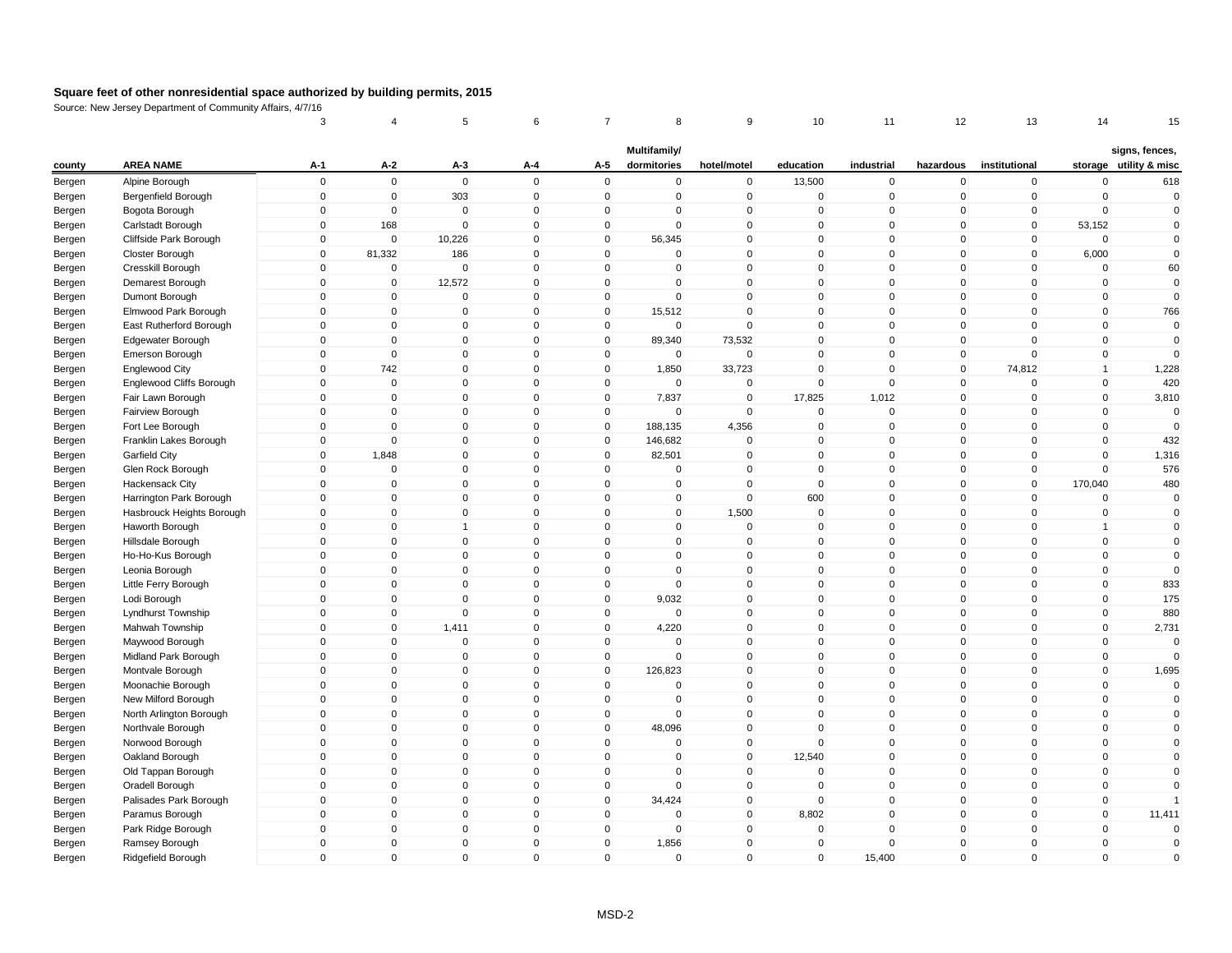|        |                                       | 3                          | 4                             | 5                           | 6                            | 7                           | 8                           | 9                             | 10              | 11                          | 12                | 13                          | 14                         | 15                                       |
|--------|---------------------------------------|----------------------------|-------------------------------|-----------------------------|------------------------------|-----------------------------|-----------------------------|-------------------------------|-----------------|-----------------------------|-------------------|-----------------------------|----------------------------|------------------------------------------|
| county | <b>AREA NAME</b>                      | $A-1$                      | $A-2$                         | $A-3$                       | A-4                          | A-5                         | Multifamily/<br>dormitories | hotel/motel                   | education       | industrial                  | hazardous         | institutional               |                            | signs, fences,<br>storage utility & misc |
| Bergen | Alpine Borough                        | $\mathsf 0$                | $\mathbf 0$                   | $\mathbf 0$                 | $\mathbf 0$                  | $\mathsf 0$                 | 0                           | $\mathbf 0$                   | 13,500          | $\mathbf 0$                 | 0                 | $\mathbf 0$                 | $\mathbf 0$                | 618                                      |
| Bergen | Bergenfield Borough                   | $\mathsf 0$                | $\overline{0}$                | 303                         | $\mathbf 0$                  | $\mathbf 0$                 | $\mathbf 0$                 | $\mathbf 0$                   | $\mathbf 0$     | 0                           | $\mathbf 0$       | $\mathbf 0$                 | $\Omega$                   | $\mathbf 0$                              |
| Bergen | Bogota Borough                        | $\mathbf 0$                | $\mathbf 0$                   | 0                           | $\mathbf{0}$                 | 0                           | 0                           | $\pmb{0}$                     | $\mathbf{0}$    | 0                           | $\Omega$          | 0                           | $\Omega$                   | $\mathbf{0}$                             |
| Bergen | Carlstadt Borough                     | $\mathsf 0$                | 168                           | $\Omega$                    | $\mathbf{0}$                 | $\mathbf 0$                 | $\mathbf{0}$                | $\mathbf 0$                   | $\mathbf{0}$    | $\Omega$                    | $\mathbf{0}$      | $\mathbf 0$                 | 53,152                     | $\mathbf{0}$                             |
| Bergen | Cliffside Park Borough                | $\mathbf 0$                | $\overline{0}$                | 10,226                      | $\mathbf 0$                  | $\mathbf 0$                 | 56,345                      | $\mathbf 0$                   | $\mathbf{0}$    | $\mathbf 0$                 | $\mathbf 0$       | $\mathbf 0$                 | $\mathbf 0$                | $\mathbf{0}$                             |
| Bergen | Closter Borough                       | $\mathsf 0$                | 81,332                        | 186                         | $\mathbf{0}$                 | $\mathbf{0}$                | $\Omega$                    | $\mathbf 0$                   | $\Omega$        | $\mathbf{0}$                | $\mathbf{0}$      | $\mathbf 0$                 | 6,000                      | $\mathbf{0}$                             |
| Bergen | Cresskill Borough                     | $\mathbf 0$                | $\mathbf 0$                   | $\mathbf 0$                 | $\mathbf 0$                  | $\mathbf{0}$                | $\Omega$                    | $\mathbf{0}$                  | $\mathbf{0}$    | $\mathbf 0$                 | $\mathbf{0}$      | $\mathbf{0}$                | $\Omega$                   | 60                                       |
| Bergen | Demarest Borough                      | $\mathsf 0$                | $\mathbf 0$                   | 12,572                      | $\mathbf 0$                  | $\mathbf 0$                 | 0                           | $\mathbf 0$                   | $\mathbf 0$     | $\mathbf 0$                 | 0                 | $\mathbf 0$                 | $\mathbf 0$                | $\mathbf 0$                              |
| Bergen | Dumont Borough                        | $\mathsf 0$                | $\mathbf 0$                   | $\mathbf 0$                 | $\mathbf{0}$                 | $\mathbf 0$                 | $\mathbf{0}$                | $\mathbf 0$                   | $\mathbf{0}$    | $\mathbf 0$                 | $\mathbf 0$       | $\mathbf 0$                 | $\mathbf 0$                | $\mathbf 0$                              |
| Bergen | Elmwood Park Borough                  | $\mathsf 0$                | $\mathbf 0$                   | $\mathbf 0$                 | $\mathbf 0$                  | $\mathbf 0$                 | 15,512                      | $\mathbf 0$                   | $\mathbf 0$     | $\mathbf 0$                 | $\mathbf 0$       | $\mathbf 0$                 | $\mathbf 0$                | 766                                      |
| Bergen | East Rutherford Borough               | $\mathsf 0$                | $\mathbf 0$                   | $\mathbf 0$                 | $\Omega$                     | 0                           | $\mathbf 0$                 | $\mathbf 0$                   | $\mathbf 0$     | $\Omega$                    | $\mathbf 0$       | $\mathbf 0$                 | $\Omega$                   | $\mathbf 0$                              |
| Bergen | Edgewater Borough                     | $\mathbf 0$                | $\mathbf{0}$                  | $\mathbf 0$                 | $\mathbf{0}$                 | $\mathbf 0$                 | 89,340                      | 73,532                        | $\mathbf{0}$    | $\mathbf 0$                 | $\mathbf{0}$      | $\mathbf{0}$                | $\mathbf 0$                | $\mathbf{0}$                             |
|        | Emerson Borough                       | $\mathsf 0$                | $\mathbf 0$                   | $\mathbf 0$                 | $\mathbf 0$                  | $\mathbf 0$                 | $\overline{0}$              | $\mathbf 0$                   | $\mathbf 0$     | $\mathbf 0$                 | $\mathbf 0$       | $\mathbf 0$                 | $\mathbf 0$                | $\mathbf{0}$                             |
| Bergen | Englewood City                        | $\mathbf 0$                | 742                           | $\mathbf{0}$                | $\Omega$                     | $\mathbf 0$                 | 1,850                       | 33,723                        | $\Omega$        | $\mathbf 0$                 | $\overline{0}$    | 74,812                      | $\mathbf{1}$               | 1,228                                    |
| Bergen | Englewood Cliffs Borough              | $\mathbf 0$                | $\mathbf 0$                   | $\Omega$                    | $\mathbf{0}$                 | $\mathbf 0$                 | $\Omega$                    | $\overline{0}$                | $\mathbf{0}$    | $\mathbf{0}$                | 0                 | $\Omega$                    | $\mathbf 0$                | 420                                      |
| Bergen |                                       | $\mathsf 0$                | $\overline{0}$                | $\mathbf 0$                 | $\mathbf{0}$                 | $\mathbf 0$                 | 7,837                       | $\mathbf 0$                   | 17,825          | 1,012                       | $\mathbf 0$       | $\mathbf 0$                 | $\mathbf 0$                | 3,810                                    |
| Bergen | Fair Lawn Borough<br>Fairview Borough | $\mathsf 0$                | $\mathbf 0$                   | $\mathbf 0$                 | $\mathbf 0$                  | $\mathbf 0$                 | $\mathbf 0$                 | $\mathbf 0$                   | $\Omega$        | $\mathbf 0$                 | $\mathbf 0$       | $\mathbf 0$                 | $\Omega$                   | $\mathbf{0}$                             |
| Bergen |                                       | $\mathsf 0$                | $\mathbf 0$                   | $\mathbf 0$                 | $\mathbf 0$                  | $\mathbf 0$                 |                             |                               | $\mathbf 0$     | $\mathbf 0$                 | $\mathbf 0$       | $\mathbf 0$                 | $\mathbf 0$                | $\mathbf{0}$                             |
| Bergen | Fort Lee Borough                      | 0                          | $\mathbf 0$                   |                             | $\mathbf 0$                  | $\mathbf 0$                 | 188,135                     | 4,356                         | $\mathbf 0$     | 0                           | 0                 | $\Omega$                    | $\Omega$                   |                                          |
| Bergen | Franklin Lakes Borough                | $\mathsf 0$                | 1,848                         | 0<br>$\mathbf{0}$           | $\mathbf{0}$                 | $\mathbf{0}$                | 146,682<br>82,501           | $\mathbf 0$<br>$\mathbf 0$    | $\mathbf{0}$    | $\mathbf{0}$                | $\mathbf{0}$      | $\mathbf{0}$                | $\Omega$                   | 432                                      |
| Bergen | Garfield City                         | $\mathsf 0$                |                               |                             |                              |                             |                             |                               | $\mathbf{0}$    |                             |                   |                             | $\mathbf 0$                | 1,316                                    |
| Bergen | Glen Rock Borough                     | $\mathbf 0$                | $\mathbf 0$<br>$\mathbf{0}$   | $\mathbf 0$<br>$\Omega$     | $\mathbf 0$<br>$\mathbf{0}$  | $\mathbf 0$<br>$\mathbf{0}$ | 0<br>$\Omega$               | $\mathbf 0$<br>$\overline{0}$ | $\Omega$        | $\mathbf 0$<br>$\mathbf{0}$ | $\mathbf 0$<br>0  | $\mathbf 0$<br>$\mathbf{0}$ | 170,040                    | 576                                      |
| Bergen | Hackensack City                       | $\Omega$                   |                               |                             | $\mathbf{0}$                 | $\mathbf{0}$                |                             |                               |                 |                             |                   | $\mathbf{0}$                |                            | 480                                      |
| Bergen | Harrington Park Borough               |                            | $\mathbf 0$                   | $\mathbf 0$                 |                              |                             | 0                           | $\mathbf 0$                   | 600<br>$\Omega$ | 0                           | $\mathbf{0}$      | $\Omega$                    | $\mathbf{0}$<br>$\Omega$   | $\mathbf 0$                              |
| Bergen | Hasbrouck Heights Borough             | $\mathbf 0$<br>$\mathsf 0$ | $\mathbf 0$<br>$\overline{0}$ | $\mathbf 0$<br>$\mathbf{1}$ | $\mathbf 0$<br>$\mathbf{0}$  | $\mathbf 0$<br>$\mathbf{0}$ | $\mathbf 0$<br>$\mathbf{0}$ | 1,500<br>$\mathbf 0$          | $\mathbf{0}$    | $\mathbf 0$<br>$\mathbf 0$  | 0<br>$\mathbf{0}$ | $\mathbf{0}$                | $\overline{1}$             | $\mathbf 0$<br>$\mathbf{0}$              |
| Bergen | Haworth Borough                       |                            |                               |                             |                              |                             |                             |                               |                 |                             |                   |                             |                            |                                          |
| Bergen | Hillsdale Borough                     | $\mathsf 0$                | $\overline{0}$                | $\mathbf 0$                 | $\mathbf 0$                  | $\mathbf 0$                 | $\mathbf 0$                 | $\mathbf 0$                   | $\mathbf 0$     | $\mathbf 0$                 | $\mathbf 0$       | $\mathbf 0$                 | $\mathbf 0$                | $\mathbf 0$                              |
| Bergen | Ho-Ho-Kus Borough                     | $\mathsf 0$                | $\mathbf 0$                   | $\mathbf 0$                 | $\mathbf{0}$<br>$\mathbf{0}$ | $\mathbf 0$                 | 0                           | $\mathbf 0$                   | $\mathbf 0$     | $\mathbf 0$                 | $\mathbf 0$       | $\mathbf 0$                 | $\mathbf 0$<br>$\mathbf 0$ | $\mathbf 0$<br>$\mathbf{0}$              |
| Bergen | Leonia Borough                        | $\mathsf 0$                | $\mathbf 0$                   | $\mathbf 0$                 |                              | $\mathbf 0$                 | $\mathbf 0$                 | $\mathbf 0$                   | $\mathbf{0}$    | $\mathbf 0$                 | $\mathbf{0}$      | $\mathbf{0}$                |                            |                                          |
| Bergen | Little Ferry Borough                  | $\mathsf 0$                | $\overline{0}$                | $\mathbf 0$                 | $\mathbf 0$                  | $\mathbf 0$                 | 0                           | $\mathbf 0$                   | $\mathbf{0}$    | $\mathbf 0$                 | $\mathbf 0$       | $\mathbf 0$                 | $\mathbf 0$                | 833                                      |
| Bergen | Lodi Borough                          | $\mathbf 0$                | $\mathbf 0$                   | $\mathbf 0$                 | $\mathbf 0$                  | $\mathbf 0$                 | 9,032                       | $\mathbf 0$                   | $\Omega$        | $\mathbf 0$                 | 0                 | $\mathbf 0$                 | $\mathbf 0$                | 175                                      |
| Bergen | Lyndhurst Township                    | $\mathsf 0$                | $\mathbf 0$                   | $\mathbf 0$                 | $\mathbf{0}$                 | $\mathbf 0$                 | 0                           | $\mathbf 0$                   | $\mathbf{0}$    | $\mathbf 0$                 | $\mathbf{0}$      | $\Omega$                    | $\mathbf{0}$               | 880                                      |
| Bergen | Mahwah Township                       | $\mathbf 0$                | $\mathbf 0$                   | 1,411                       | $\mathbf{0}$                 | $\mathbf 0$                 | 4,220<br>$\Omega$           | $\mathbf{0}$                  | $\mathbf{0}$    | $\mathbf 0$                 | $\mathbf{0}$      | $\mathbf{0}$                | $\mathbf 0$                | 2,731                                    |
| Bergen | Maywood Borough                       | $\mathsf 0$                | $\mathbf 0$                   | $\mathbf 0$                 | $\mathbf{0}$                 | $\mathbf 0$                 |                             | $\mathbf 0$                   | $\mathbf{0}$    | $\mathbf 0$                 | 0                 | $\mathbf 0$                 | $\mathbf 0$                | $\mathbf{0}$                             |
| Bergen | Midland Park Borough                  | $\mathsf 0$                | $\mathbf 0$                   | $\mathbf 0$                 | $\mathbf{0}$                 | $\mathbf 0$                 | $\mathbf 0$                 | $\mathbf 0$                   | $\mathbf{0}$    | $\mathbf 0$                 | $\mathbf 0$       | $\mathbf 0$                 | $\mathbf 0$                | $\mathbf{0}$                             |
| Bergen | Montvale Borough                      | $\mathsf 0$                | $\mathbf 0$                   | $\mathbf 0$                 | $\mathbf 0$                  | $\mathbf 0$                 | 126,823                     | $\mathbf 0$                   | $\mathbf 0$     | $\mathbf 0$                 | $\mathbf 0$       | $\mathbf 0$                 | $\mathbf 0$                | 1,695                                    |
| Bergen | Moonachie Borough                     | $\mathsf 0$                | $\overline{0}$                | $\mathbf 0$                 | $\mathbf{0}$                 | $\mathbf 0$                 | $\Omega$                    | $\mathbf 0$                   | $\mathbf{0}$    | $\mathbf{0}$                | $\mathbf{0}$      | $\mathbf 0$                 | $\mathbf{0}$               | $\mathbf{0}$                             |
| Bergen | New Milford Borough                   | $\mathsf 0$                | $\mathbf 0$                   | $\overline{0}$              | $\mathbf{0}$                 | $\mathbf 0$                 | 0                           | $\mathbf 0$                   | $\mathbf{0}$    | $\mathbf 0$                 | 0                 | $\mathbf 0$                 | $\mathbf 0$                | $\mathbf{0}$                             |
| Bergen | North Arlington Borough               | $\mathbf 0$                | $\mathbf 0$                   | $\mathbf 0$                 | $\mathbf 0$                  | $\mathbf 0$                 | 0                           | $\mathbf 0$                   | $\mathbf{0}$    | $\mathbf 0$                 | 0                 | $\mathbf 0$                 | $\mathbf 0$                | $\mathbf 0$                              |
| Bergen | Northvale Borough                     | $\Omega$                   | $\Omega$                      | $\mathbf{0}$                | $\mathbf{0}$                 | $\mathbf{0}$                | 48,096                      | $\mathbf{0}$                  | $\Omega$        | $\mathbf 0$                 | $\mathbf{0}$      | $\Omega$                    | $\mathbf{0}$               | $\mathbf{0}$                             |
| Bergen | Norwood Borough                       | $\mathsf 0$                | $\mathbf 0$                   | $\mathbf 0$                 | $\mathbf 0$                  | $\mathbf 0$                 | $\Omega$                    | $\mathbf 0$                   | $\mathbf{0}$    | $\mathbf 0$                 | 0                 | $\Omega$                    | $\mathbf 0$                | $\mathbf{0}$                             |
| Bergen | Oakland Borough                       | $\mathbf 0$                | $\mathbf{0}$                  | $\mathbf{0}$                | $\mathbf{0}$                 | $\mathbf{0}$                | $\mathbf{0}$                | $\mathbf{0}$                  | 12,540          | $\mathbf{0}$                | $\mathbf{0}$      | $\mathbf{0}$                | $\mathbf{0}$               | $\mathbf{0}$                             |
| Bergen | Old Tappan Borough                    | $\mathbf 0$                | $\overline{0}$                | $\mathbf 0$                 | $\mathbf 0$                  | $\mathbf 0$                 | $\mathbf 0$                 | $\pmb{0}$                     | $\mathbf 0$     | $\mathbf 0$                 | $\mathbf 0$       | $\mathbf 0$                 | $\mathbf 0$                | $\mathbf 0$                              |
| Bergen | Oradell Borough                       | $\mathbf 0$                | $\mathbf 0$                   | $\mathbf 0$                 | $\Omega$                     | $\mathbf 0$                 | 0                           | $\mathbf 0$                   | $\mathbf 0$     | $\mathbf 0$                 | $\mathbf 0$       | $\mathbf 0$                 | $\mathbf 0$                | $\mathbf{0}$                             |
| Bergen | Palisades Park Borough                | $\mathbf 0$                | $\mathbf 0$                   | $\mathbf 0$                 | $\mathbf{0}$                 | $\mathbf 0$                 | 34,424                      | $\pmb{0}$                     | $\mathbf{0}$    | 0                           | $\mathbf{0}$      | $\mathbf 0$                 | $\mathbf 0$                |                                          |
| Bergen | Paramus Borough                       | $\mathsf 0$                | $\mathbf 0$                   | $\mathbf 0$                 | $\mathbf{0}$                 | $\mathbf 0$                 | $\Omega$                    | $\mathbf 0$                   | 8,802           | $\mathbf 0$                 | $\mathbf 0$       | $\mathbf 0$                 | $\mathbf{0}$               | 11,411                                   |
| Bergen | Park Ridge Borough                    | $\mathbf 0$                | $\overline{0}$                | $\mathbf 0$                 | $\mathbf 0$                  | $\mathbf 0$                 | $\mathbf 0$                 | $\mathbf 0$                   | $\mathbf{0}$    | $\mathbf 0$                 | $\mathbf 0$       | $\mathbf 0$                 | $\mathbf 0$                | $\mathbf{0}$                             |
| Bergen | Ramsey Borough                        | $\mathbf 0$                | $\mathbf{0}$                  | $\mathbf 0$                 | $\mathbf{0}$                 | $\mathbf{0}$                | 1,856                       | $\mathbf 0$                   | $\mathbf{0}$    | $\mathbf{0}$                | $\mathbf{0}$      | $\Omega$                    | $\mathbf{0}$               | $\mathbf{0}$                             |
| Bergen | Ridgefield Borough                    | $\Omega$                   | $\mathbf{0}$                  | $\mathbf 0$                 | $\mathbf{0}$                 | $\mathbf{0}$                | $\mathbf{0}$                | $\mathbf 0$                   | $\mathbf{0}$    | 15,400                      | 0                 | $\Omega$                    | $\Omega$                   | $\Omega$                                 |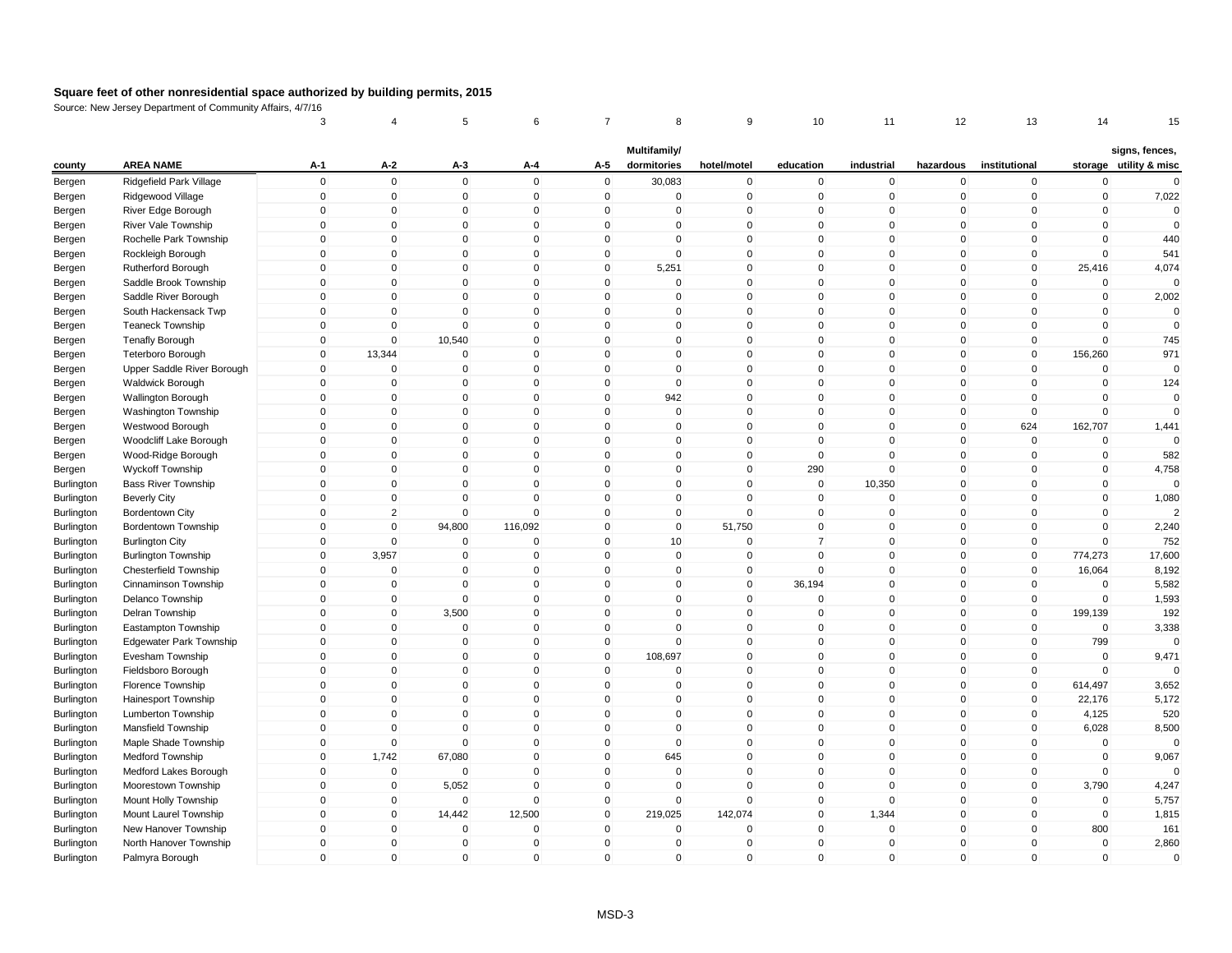|            |                              | 3                           | 4                          | 5                           | 6                           | 7                          | 8                           | 9                          | 10                          | 11                          | 12                            | 13                          | 14                      | 15                     |
|------------|------------------------------|-----------------------------|----------------------------|-----------------------------|-----------------------------|----------------------------|-----------------------------|----------------------------|-----------------------------|-----------------------------|-------------------------------|-----------------------------|-------------------------|------------------------|
|            | <b>AREA NAME</b>             | A-1                         | A-2                        |                             |                             | A-5                        | Multifamily/<br>dormitories | hotel/motel                |                             | industrial                  |                               | institutional               |                         | signs, fences,         |
| county     |                              |                             |                            | A-3                         | A-4<br>$\mathbf 0$          |                            |                             |                            | education                   |                             | hazardous                     |                             | $\Omega$                | storage utility & misc |
| Bergen     | Ridgefield Park Village      | $\mathbf 0$<br>$\mathbf 0$  | $\mathbf 0$<br>$\mathbf 0$ | $\mathbf 0$<br>$\mathbf 0$  | $\mathbf 0$                 | $\mathbf 0$<br>$\mathbf 0$ | 30,083<br>$\mathbf 0$       | $\pmb{0}$<br>$\mathbf 0$   | $\mathbf 0$<br>$\mathbf 0$  | $\mathbf 0$<br>$\mathbf 0$  | 0<br>$\mathbf 0$              | $\mathbf 0$<br>$\mathbf 0$  | $\mathbf 0$             | $\mathbf{0}$           |
| Bergen     | Ridgewood Village            |                             |                            |                             | $\mathbf 0$                 | $\mathbf 0$                |                             |                            | $\mathbf 0$                 |                             | 0                             | $\mathbf 0$                 | $\mathbf 0$             | 7,022<br>$\mathbf{0}$  |
| Bergen     | River Edge Borough           | $\mathbf 0$<br>$\mathbf 0$  | $\mathbf 0$<br>$\mathbf 0$ | $\mathbf 0$<br>$\mathbf{0}$ | $\Omega$                    | $\mathbf{0}$               | $\mathbf 0$<br>$\Omega$     | $\mathbf 0$<br>$\mathsf 0$ | $\Omega$                    | $\mathbf 0$<br>$\mathbf{0}$ | $\mathbf{0}$                  | $\mathbf 0$                 | $\Omega$                | $\mathbf{0}$           |
| Bergen     | River Vale Township          | $\mathbf 0$                 | $\mathbf 0$                | $\mathbf 0$                 | $\mathbf{0}$                | $\mathbf 0$                | $\mathbf 0$                 | $\mathsf 0$                | $\mathbf{0}$                | $\mathbf 0$                 | $\overline{0}$                | $\mathbf{0}$                | $\Omega$                | 440                    |
| Bergen     | Rochelle Park Township       | $\mathbf 0$                 | $\mathbf 0$                | $\mathbf 0$                 | $\mathbf 0$                 | $\mathbf 0$                | $\mathbf 0$                 | $\mathbf 0$                | $\Omega$                    | $\mathbf 0$                 | $\mathbf 0$                   | $\mathbf 0$                 | $\Omega$                |                        |
| Bergen     | Rockleigh Borough            | $\mathbf{0}$                | $\mathbf 0$                | $\mathbf{0}$                | $\mathbf{0}$                | $\mathbf{0}$               | 5,251                       | $\mathbf{0}$               | $\Omega$                    | $\mathbf{0}$                | $\mathbf{0}$                  | $\mathbf{0}$                | 25,416                  | 541                    |
| Bergen     | Rutherford Borough           | $\mathbf 0$                 | $\mathbf 0$                | $\mathbf 0$                 | $\mathbf 0$                 | $\mathbf 0$                | $\mathbf 0$                 | $\mathsf 0$                | $\Omega$                    | $\mathbf 0$                 | $\mathbf 0$                   | $\mathbf 0$                 | $\Omega$                | 4,074                  |
| Bergen     | Saddle Brook Township        |                             |                            |                             | $\mathbf 0$                 |                            |                             | $\mathsf 0$                |                             |                             |                               |                             | $\mathbf 0$             |                        |
| Bergen     | Saddle River Borough         | $\mathbf 0$                 | $\mathbf 0$                | $\mathbf 0$                 |                             | $\mathbf 0$                | $\mathbf 0$                 |                            | $\mathbf 0$                 | $\mathbf 0$                 | $\overline{0}$                | $\mathbf 0$                 |                         | 2,002<br>$\Omega$      |
| Bergen     | South Hackensack Twp         | $\mathbf 0$                 | $\mathbf 0$<br>$\mathbf 0$ | $\mathbf 0$<br>$\mathbf 0$  | $\mathbf 0$<br>$\Omega$     | $\mathbf 0$                | $\mathbf 0$<br>$\Omega$     | $\mathsf 0$<br>$\mathsf 0$ | $\mathbf 0$<br>$\Omega$     | $\mathbf 0$<br>$\mathbf 0$  | $\mathbf 0$<br>$\mathbf{0}$   | $\mathbf 0$                 | $\mathbf 0$<br>$\Omega$ | $\mathbf{0}$           |
| Bergen     | <b>Teaneck Township</b>      | $\mathbf 0$                 |                            |                             |                             | $\mathbf 0$                |                             |                            |                             |                             |                               | $\mathbf 0$                 |                         |                        |
| Bergen     | <b>Tenafly Borough</b>       | $\mathbf 0$                 | $\mathbf 0$                | 10,540                      | $\mathbf 0$                 | $\mathbf 0$                | $\mathbf 0$<br>$\Omega$     | $\pmb{0}$                  | $\mathbf 0$                 | $\mathbf 0$                 | $\overline{0}$                | $\mathbf 0$                 | $\mathbf 0$             | 745                    |
| Bergen     | <b>Teterboro Borough</b>     | $\mathbf 0$                 | 13,344                     | $\mathbf 0$                 | $\mathbf 0$                 | $\mathbf 0$                |                             | $\mathsf 0$                | $\mathbf{0}$                | $\mathbf 0$                 | $\mathbf 0$                   | $\mathbf 0$                 | 156,260                 | 971<br>$\Omega$        |
| Bergen     | Upper Saddle River Borough   | $\mathbf{0}$                | $\mathbf 0$                | $\mathbf 0$                 | $\mathbf{0}$                | $\mathbf 0$                | $\mathbf 0$                 | $\mathbf 0$                | $\mathbf{0}$                | $\mathbf 0$                 | $\mathbf 0$                   | $\mathbf{0}$                | $\mathbf 0$             |                        |
| Bergen     | Waldwick Borough             | $\mathbf 0$                 | $\mathbf 0$                | $\mathbf 0$<br>$\mathbf{0}$ | $\mathbf 0$<br>$\mathbf{0}$ | 0<br>$\mathbf{0}$          | $\mathbf 0$                 | $\mathbf 0$                | $\Omega$<br>$\mathbf{0}$    | $\mathbf 0$                 | $\mathbf 0$<br>$\overline{0}$ | $\mathbf 0$                 | $\mathbf 0$<br>$\Omega$ | 124<br>$\mathbf{0}$    |
| Bergen     | Wallington Borough           | $\mathbf 0$                 | $\mathbf 0$                |                             |                             |                            | 942                         | $\mathsf 0$                |                             | $\mathbf 0$                 |                               | $\mathbf 0$                 |                         |                        |
| Bergen     | <b>Washington Township</b>   | $\mathbf 0$                 | $\mathbf 0$                | $\mathbf 0$                 | $\mathbf 0$                 | $\mathbf 0$                | $\mathbf 0$                 | $\mathsf 0$                | $\mathbf 0$                 | $\mathbf 0$                 | $\overline{0}$                | $\mathbf 0$                 | $\mathbf 0$             | $\mathbf{0}$           |
| Bergen     | Westwood Borough             | $\mathbf 0$                 | $\mathbf 0$                | $\mathbf 0$                 | $\mathbf 0$<br>$\Omega$     | $\mathbf 0$                | $\mathbf 0$                 | $\mathbf 0$                | $\mathbf 0$<br>$\Omega$     | $\mathbf 0$                 | $\overline{0}$                | 624                         | 162,707<br>$\Omega$     | 1,441<br>$\Omega$      |
| Bergen     | Woodcliff Lake Borough       | $\mathbf 0$                 | $\mathbf 0$                | $\mathbf 0$                 |                             | $\mathbf{0}$               | $\mathbf 0$                 | $\mathsf 0$                |                             | $\mathbf 0$                 | $\mathbf{0}$                  | $\mathbf 0$                 |                         |                        |
| Bergen     | Wood-Ridge Borough           | $\mathbf 0$                 | $\mathbf 0$                | $\mathbf 0$                 | $\mathbf 0$                 | $\mathbf 0$                | 0                           | $\pmb{0}$                  | $\Omega$                    | $\mathbf 0$                 | $\overline{0}$                | $\mathbf 0$                 | $\mathbf 0$             | 582                    |
| Bergen     | Wyckoff Township             | $\mathbf 0$                 | $\mathbf 0$                | $\mathbf 0$                 | $\mathbf 0$                 | $\mathbf 0$                | $\mathbf 0$                 | $\mathbf 0$                | 290                         | $\mathbf 0$                 | $\overline{0}$                | $\mathbf 0$                 | $\mathbf 0$             | 4,758                  |
| Burlington | <b>Bass River Township</b>   | $\mathbf{0}$                | $\mathbf 0$                | $\mathbf 0$                 | $\mathbf{0}$                | $\mathbf{0}$               | $\Omega$                    | $\mathbf 0$                | $\mathbf{0}$                | 10,350                      | $\mathbf{0}$                  | $\Omega$                    | $\mathbf{0}$            |                        |
| Burlington | <b>Beverly City</b>          | $\mathbf{0}$                | $\mathbf{0}$               | $\mathbf{0}$                | $\Omega$                    | $\mathbf{0}$               | $\mathbf{0}$                | $\mathbf 0$                | $\Omega$                    | $\mathbf{0}$                | $\mathbf{0}$                  | $\Omega$                    | $\Omega$                | 1,080                  |
| Burlington | Bordentown City              | $\mathbf 0$                 | $\overline{2}$             | $\mathbf 0$                 | $\mathbf 0$                 | $\mathbf 0$                | 0                           | $\mathsf 0$                | $\mathbf 0$                 | $\mathbf 0$                 | $\mathbf 0$                   | $\mathbf 0$                 | $\mathbf 0$             |                        |
| Burlington | Bordentown Township          | $\mathbf 0$                 | $\mathbf 0$                | 94,800                      | 116,092                     | $\mathbf 0$                | $\mathbf{0}$                | 51,750                     | $\mathbf{0}$                | $\mathbf 0$                 | $\mathbf{0}$                  | $\mathbf 0$                 | $\Omega$                | 2,240                  |
| Burlington | <b>Burlington City</b>       | $\mathbf 0$                 | $\overline{0}$             | $\mathbf 0$                 | $\mathbf 0$                 | $\mathbf 0$                | 10 <sup>°</sup>             | $\mathbf 0$                | $\overline{7}$              | $\mathbf 0$                 | $\overline{0}$                | $\mathbf 0$                 | $\Omega$                | 752                    |
| Burlington | <b>Burlington Township</b>   | $\mathbf 0$                 | 3,957                      | $\mathbf 0$                 | $\mathbf 0$<br>$\Omega$     | $\mathbf 0$                | $\mathbf 0$                 | $\mathbf 0$                | $\Omega$<br>$\Omega$        | $\mathbf 0$                 | $\mathbf{0}$                  | $\mathbf 0$                 | 774,273                 | 17,600                 |
| Burlington | <b>Chesterfield Township</b> | $\mathbf{0}$                | $\mathbf 0$                | $\mathbf 0$                 |                             | $\mathbf 0$                | $\mathbf 0$                 | $\mathsf 0$                |                             | $\mathbf 0$                 | $\overline{0}$                | $\mathbf{0}$                | 16,064                  | 8,192                  |
| Burlington | Cinnaminson Township         | $\mathbf 0$                 | $\mathbf 0$                | $\mathbf 0$                 | $\mathbf 0$                 | $\mathbf 0$                | 0                           | $\mathsf 0$                | 36,194                      | $\mathbf 0$                 | $\mathbf 0$                   | $\mathbf 0$                 | $\Omega$                | 5,582                  |
| Burlington | Delanco Township             | $\mathbf 0$                 | $\mathbf 0$                | $\mathbf 0$                 | $\mathbf 0$                 | $\mathbf 0$                | 0                           | $\mathbf 0$                | $\Omega$                    | $\mathbf 0$                 | $\mathbf 0$                   | $\mathbf 0$                 | $\mathbf 0$             | 1,593                  |
| Burlington | Delran Township              | $\mathbf 0$                 | $\mathsf 0$                | 3,500                       | $\mathbf{0}$                | $\mathbf 0$                | $\Omega$                    | $\mathsf 0$                | $\Omega$                    | $\mathbf{0}$                | $\mathbf{0}$                  | $\mathbf 0$                 | 199,139                 | 192                    |
| Burlington | Eastampton Township          | $\mathbf 0$                 | $\mathbf 0$                | $\mathbf 0$                 | $\mathbf 0$                 | $\mathbf 0$                | $\mathbf 0$                 | $\mathsf 0$                | $\Omega$                    | $\mathbf 0$                 | $\overline{0}$                | $\mathbf 0$                 | $\Omega$                | 3,338<br>$\Omega$      |
| Burlington | Edgewater Park Township      | 0                           | $\mathbf 0$                | $\mathbf 0$                 | $\mathbf 0$<br>$\Omega$     | 0                          | 0                           | $\mathbf 0$                | $\mathbf 0$<br>$\Omega$     | $\mathbf 0$                 | $\overline{0}$                | $\mathbf 0$                 | 799<br>$\Omega$         |                        |
| Burlington | Evesham Township             | $\mathbf 0$                 | $\mathbf 0$                | $\mathbf 0$                 |                             | $\mathbf{0}$               | 108,697                     | $\mathbf 0$                |                             | $\mathbf 0$                 | $\mathbf{0}$                  | $\mathbf 0$                 |                         | 9,471                  |
| Burlington | Fieldsboro Borough           | $\mathbf 0$                 | $\mathbf 0$                | $\mathbf 0$                 | $\mathbf 0$                 | $\mathbf 0$                | 0                           | $\mathsf 0$                | $\mathbf 0$                 | $\mathbf 0$                 | $\mathbf 0$                   | $\mathbf 0$                 | $\Omega$                | $\Omega$               |
| Burlington | Florence Township            | $\mathbf 0$<br>$\mathbf{0}$ | $\mathbf 0$                | $\mathbf 0$                 | $\mathbf 0$<br>$\mathbf{0}$ | $\mathbf 0$                | $\mathbf 0$                 | $\mathbf 0$                | $\mathbf 0$<br>$\mathbf{0}$ | $\mathbf 0$                 | $\overline{0}$                | $\mathbf 0$<br>$\mathbf{0}$ | 614,497                 | 3,652                  |
| Burlington | Hainesport Township          |                             | $\mathbf 0$                | $\mathbf 0$                 |                             | $\mathbf 0$                | $\mathbf 0$                 | $\mathsf 0$                |                             | $\mathbf 0$                 | $\mathbf{0}$                  |                             | 22,176                  | 5,172                  |
| Burlington | Lumberton Township           | $\mathbf 0$                 | $\mathbf 0$                | $\mathbf 0$                 | $\mathbf 0$                 | $\mathbf 0$                | $\mathbf 0$                 | $\mathbf 0$                | $\Omega$                    | $\mathbf 0$                 | $\mathbf 0$                   | $\mathbf 0$                 | 4,125                   | 520                    |
| Burlington | Mansfield Township           | $\mathbf 0$                 | $\mathbf 0$                | $\mathbf 0$                 | $\mathbf 0$                 | $\mathbf 0$                | $\mathbf 0$                 | $\mathsf 0$                | $\mathbf 0$                 | $\mathbf 0$                 | $\overline{0}$                | $\mathbf 0$                 | 6,028                   | 8,500<br>$\Omega$      |
| Burlington | Maple Shade Township         | $\mathbf 0$                 | $\mathbf 0$                | $\mathbf 0$                 | $\mathbf 0$                 | $\mathbf 0$                | $\mathbf 0$                 | $\mathsf 0$                | $\mathbf{0}$                | $\mathbf 0$                 | $\mathbf 0$                   | $\mathbf 0$                 | $\Omega$                |                        |
| Burlington | Medford Township             | $\mathbf 0$                 | 1,742                      | 67,080                      | $\mathbf 0$                 | $\mathbf 0$                | 645                         | $\mathsf 0$                | $\mathbf{0}$                | $\mathbf 0$                 | $\overline{0}$                | $\mathbf 0$                 | $\Omega$                | 9,067<br>$\Omega$      |
| Burlington | Medford Lakes Borough        | 0                           | $\mathbf 0$                | $\mathbf 0$                 | $\mathbf 0$                 | 0                          | $\mathbf 0$                 | $\mathbf 0$                | $\mathbf 0$                 | $\mathbf 0$                 | $\mathbf 0$                   | $\mathbf 0$                 | $\mathbf 0$             |                        |
| Burlington | Moorestown Township          | $\mathbf 0$                 | $\mathbf 0$                | 5,052                       | $\mathbf 0$                 | $\mathbf 0$                | $\mathbf 0$                 | $\mathsf 0$                | $\mathbf{0}$                | $\mathbf{0}$                | $\mathbf{0}$                  | $\mathbf 0$                 | 3,790                   | 4,247                  |
| Burlington | Mount Holly Township         | $\mathbf 0$                 | $\mathbf 0$                | $\mathbf 0$                 | $\mathbf 0$                 | $\mathbf 0$                | $\mathbf 0$                 | $\mathsf 0$                | $\mathbf{0}$                | $\mathbf 0$                 | $\mathbf 0$                   | $\mathbf 0$                 | $\Omega$                | 5,757                  |
| Burlington | Mount Laurel Township        | $\mathbf 0$                 | $\pmb{0}$                  | 14,442                      | 12,500                      | $\mathbf 0$                | 219,025                     | 142,074                    | $\mathbf 0$                 | 1,344                       | 0                             | $\mathbf 0$                 | $\mathbf 0$             | 1,815                  |
| Burlington | New Hanover Township         | $\mathbf{0}$                | $\mathbf 0$                | $\mathbf 0$                 | $\Omega$                    | $\mathbf{0}$               | $\mathbf{0}$                | $\mathbf 0$                | $\Omega$                    | $\mathbf{0}$                | $\mathbf{0}$                  | $\Omega$                    | 800                     | 161                    |
| Burlington | North Hanover Township       | $\mathbf 0$                 | $\mathbf 0$                | $\mathbf 0$                 | $\Omega$                    | $\mathbf 0$                | 0                           | $\mathbf 0$                | $\Omega$                    | $\mathbf 0$                 | 0                             | $\Omega$                    | $\mathbf 0$             | 2,860                  |
| Burlington | Palmyra Borough              | $\mathbf 0$                 | $\mathsf 0$                | $\mathbf 0$                 | $\mathbf 0$                 | $\mathbf 0$                | $\mathbf 0$                 | $\mathbf 0$                | $\mathbf{0}$                | $\mathbf 0$                 | $\mathbf 0$                   | $\mathbf 0$                 | $\Omega$                | $\mathbf 0$            |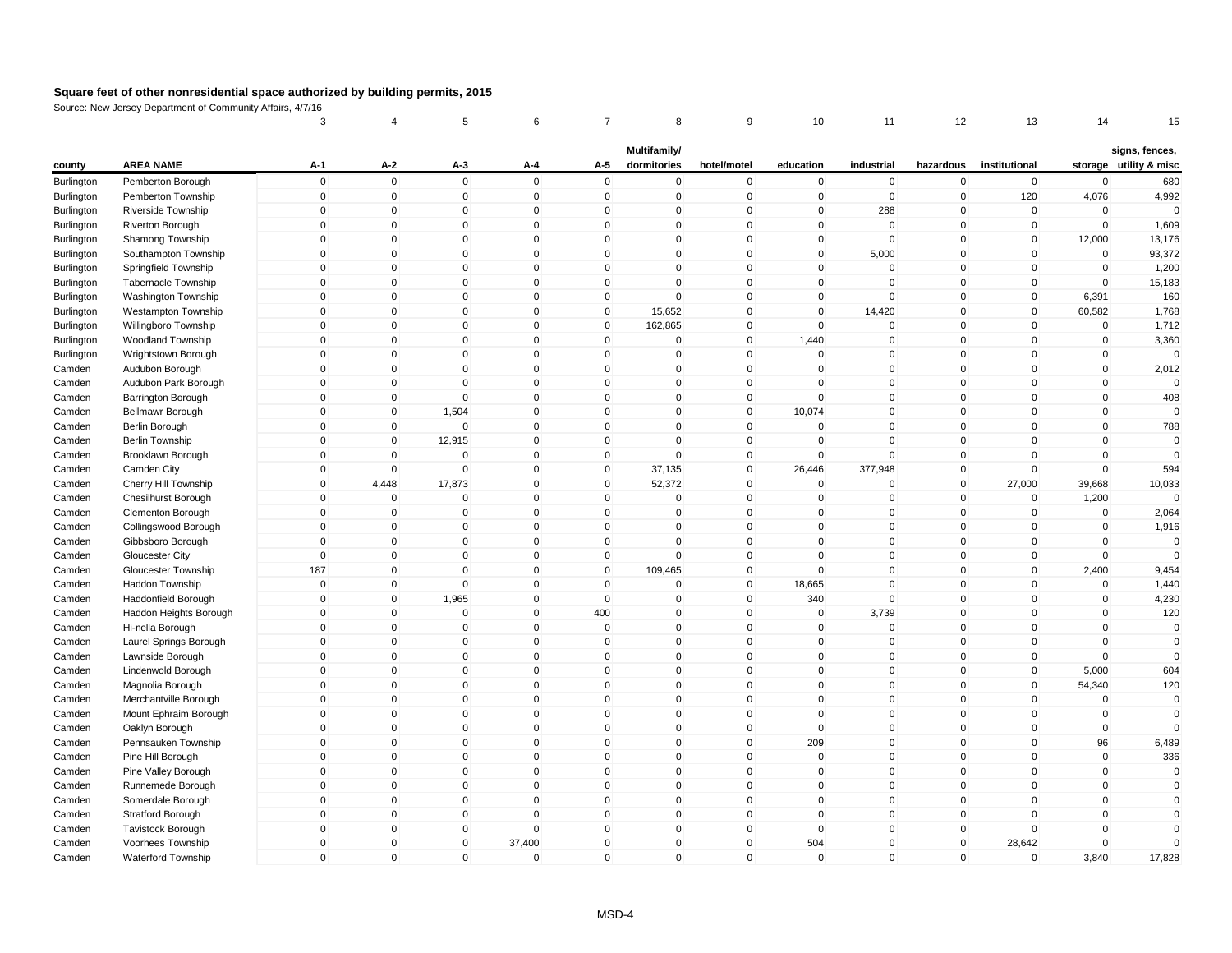|            |                            | 3            | 4            | 5            | 6            | 7            | 8                           | 9            | 10           | 11          | 12           | 13            | 14          | 15                     |
|------------|----------------------------|--------------|--------------|--------------|--------------|--------------|-----------------------------|--------------|--------------|-------------|--------------|---------------|-------------|------------------------|
|            | <b>AREA NAME</b>           |              | $A-2$        |              |              | A-5          | Multifamily/<br>dormitories |              |              | industrial  |              | institutional |             | signs, fences,         |
| county     |                            | A-1          |              | A-3          | A-4          |              |                             | hotel/motel  | education    |             | hazardous    |               |             | storage utility & misc |
| Burlington | Pemberton Borough          | $\mathbf 0$  | $\mathbf 0$  | $\mathsf 0$  | $\mathbf 0$  | $\mathbf 0$  | $\mathbf 0$                 | $\mathbf 0$  | $\mathbf 0$  | $\mathbf 0$ | $\mathbf 0$  | $\mathbf 0$   | $\mathbf 0$ | 680                    |
| Burlington | Pemberton Township         | $\mathbf 0$  | $\mathbf 0$  | $\mathbf 0$  | $\mathbf 0$  | $\mathbf 0$  | $\mathbf 0$                 | $\mathbf 0$  | $\mathbf 0$  | $\mathbf 0$ | $\mathbf 0$  | 120           | 4,076       | 4,992<br>$\Omega$      |
| Burlington | Riverside Township         | $\Omega$     | $\pmb{0}$    | 0            | $\mathsf 0$  | $\Omega$     | 0                           | $\pmb{0}$    | $\mathbf{0}$ | 288         | 0            | 0             | $\Omega$    |                        |
| Burlington | Riverton Borough           | $\mathbf{0}$ | $\mathbf 0$  | $\mathbf 0$  | $\mathbf 0$  | $\mathbf{0}$ | $\Omega$                    | $\mathsf 0$  | $\mathbf{0}$ | $\mathbf 0$ | $\mathbf{0}$ | $\mathbf 0$   | $\mathbf 0$ | 1,609                  |
| Burlington | Shamong Township           | $\mathbf{0}$ | $\mathbf 0$  | $\mathbf 0$  | $\mathbf 0$  | $\mathbf 0$  | $\mathbf 0$                 | $\mathbf 0$  | $\mathbf 0$  | $\mathbf 0$ | $\mathbf 0$  | $\mathbf 0$   | 12,000      | 13,176                 |
| Burlington | Southampton Township       | $\mathbf{0}$ | $\mathbf 0$  | $\mathbf{0}$ | $\mathbf 0$  | $\mathbf 0$  | $\Omega$                    | $\mathsf 0$  | $\mathbf{0}$ | 5,000       | $\mathbf 0$  | $\Omega$      | $\mathbf 0$ | 93,372                 |
| Burlington | Springfield Township       | $\mathbf{0}$ | $\mathbf 0$  | $\mathbf 0$  | $\mathbf{0}$ | $\mathbf{0}$ | $\Omega$                    | $\mathbf{0}$ | $\mathbf{0}$ | $\mathbf 0$ | $\mathbf{0}$ | $\Omega$      | $\mathbf 0$ | 1,200                  |
| Burlington | <b>Tabernacle Township</b> | $\mathbf 0$  | $\mathbf 0$  | $\mathbf 0$  | $\mathbf 0$  | $\mathbf 0$  | 0                           | $\mathbf 0$  | $\mathbf 0$  | $\mathbf 0$ | $\mathbf 0$  | $\mathbf 0$   | $\mathbf 0$ | 15,183                 |
| Burlington | Washington Township        | $\mathbf{0}$ | $\mathbf 0$  | $\mathbf{0}$ | $\mathbf{0}$ | $\mathbf 0$  | $\mathbf{0}$                | $\mathsf 0$  | $\mathbf{0}$ | $\mathbf 0$ | $\mathbf{0}$ | $\mathbf 0$   | 6,391       | 160                    |
| Burlington | Westampton Township        | $\mathbf 0$  | $\pmb{0}$    | $\mathbf 0$  | $\mathbf 0$  | $\mathbf 0$  | 15,652                      | $\mathbf 0$  | $\mathbf 0$  | 14,420      | $\mathbf 0$  | $\mathbf 0$   | 60,582      | 1,768                  |
| Burlington | Willingboro Township       | 0            | $\pmb{0}$    | $\mathbf 0$  | $\mathbf 0$  | 0            | 162,865                     | $\mathbf 0$  | $\Omega$     | $\Omega$    | 0            | $\mathbf 0$   | $\pmb{0}$   | 1,712                  |
| Burlington | <b>Woodland Township</b>   | $\mathbf{0}$ | $\pmb{0}$    | $\mathbf 0$  | $\mathbf 0$  | $\mathbf 0$  | $\mathbf 0$                 | $\pmb{0}$    | 1,440        | $\mathbf 0$ | $\mathbf 0$  | $\mathbf{0}$  | $\mathbf 0$ | 3,360                  |
| Burlington | Wrightstown Borough        | $\mathbf 0$  | $\pmb{0}$    | $\mathbf 0$  | $\mathbf 0$  | $\mathbf 0$  | 0                           | $\mathsf 0$  | $\mathbf 0$  | $\mathbf 0$ | $\mathbf 0$  | $\mathbf 0$   | $\mathbf 0$ | $\mathbf 0$            |
| Camden     | Audubon Borough            | $\Omega$     | $\mathbf 0$  | $\mathbf 0$  | $\mathbf{0}$ | $\mathbf{0}$ | $\Omega$                    | $\mathbf{0}$ | $\Omega$     | $\mathbf 0$ | $\mathbf{0}$ | $\Omega$      | $\mathbf 0$ | 2,012                  |
| Camden     | Audubon Park Borough       | $\Omega$     | $\mathbf 0$  | $\mathbf 0$  | $\mathbf 0$  | $\mathbf 0$  | $\mathbf 0$                 | $\mathbf 0$  | $\Omega$     | $\Omega$    | $\mathbf 0$  | 0             | $\mathbf 0$ | $\Omega$               |
| Camden     | <b>Barrington Borough</b>  | $\mathbf 0$  | $\mathbf 0$  | $\mathbf 0$  | $\mathbf 0$  | $\mathbf 0$  | $\mathbf 0$                 | $\mathsf 0$  | $\mathbf 0$  | $\mathbf 0$ | $\mathbf 0$  | 0             | $\mathbf 0$ | 408                    |
| Camden     | Bellmawr Borough           | $\mathbf 0$  | $\mathbf 0$  | 1,504        | $\mathbf 0$  | $\mathbf 0$  | $\mathbf 0$                 | $\mathsf 0$  | 10,074       | $\mathbf 0$ | $\mathbf 0$  | 0             | $\mathbf 0$ | $\Omega$               |
| Camden     | Berlin Borough             | $\mathbf 0$  | $\mathbf 0$  | $\mathbf 0$  | $\mathbf 0$  | $\mathbf 0$  | 0                           | $\mathsf 0$  | $\mathbf{0}$ | $\mathbf 0$ | $\mathbf 0$  | $\mathbf 0$   | $\mathbf 0$ | 788                    |
| Camden     | <b>Berlin Township</b>     | 0            | $\mathbf 0$  | 12,915       | $\mathbf 0$  | 0            | 0                           | $\mathbf 0$  | $\Omega$     | $\mathbf 0$ | 0            | $\Omega$      | $\mathbf 0$ | $\Omega$               |
| Camden     | Brooklawn Borough          | $\mathbf{0}$ | $\mathbf 0$  | $\mathbf 0$  | $\mathbf{0}$ | $\mathbf 0$  | $\Omega$                    | $\mathsf 0$  | $\mathbf{0}$ | $\Omega$    | $\mathbf{0}$ | $\mathbf{0}$  | $\mathbf 0$ | $\mathbf 0$            |
| Camden     | Camden City                | $\mathbf 0$  | $\mathbf 0$  | $\mathbf 0$  | $\mathbf 0$  | $\mathbf 0$  | 37,135                      | $\mathsf 0$  | 26,446       | 377,948     | $\mathbf 0$  | $\mathbf 0$   | $\mathbf 0$ | 594                    |
| Camden     | Cherry Hill Township       | $\mathbf{0}$ | 4,448        | 17,873       | $\mathbf{0}$ | 0            | 52,372                      | $\pmb{0}$    | $\mathbf{0}$ | $\Omega$    | $\mathbf 0$  | 27,000        | 39,668      | 10,033                 |
| Camden     | <b>Chesilhurst Borough</b> | $\mathbf{0}$ | $\mathbf 0$  | $\mathbf 0$  | $\mathbf{0}$ | $\mathbf 0$  | $\mathbf 0$                 | $\mathsf 0$  | $\mathbf{0}$ | $\mathbf 0$ | $\mathbf 0$  | $\mathbf 0$   | 1,200       | $\Omega$               |
| Camden     | Clementon Borough          | $\mathbf 0$  | $\mathbf 0$  | $\mathbf 0$  | $\mathbf 0$  | 0            | $\mathbf 0$                 | $\mathbf 0$  | $\mathbf{0}$ | $\mathbf 0$ | 0            | 0             | $\mathbf 0$ | 2,064                  |
| Camden     | Collingswood Borough       | $\mathbf{0}$ | $\mathbf 0$  | $\mathbf{0}$ | $\mathbf{0}$ | $\mathbf{0}$ | $\mathbf{0}$                | $\mathsf 0$  | $\mathbf{0}$ | $\Omega$    | $\mathbf{0}$ | $\mathbf{0}$  | $\mathbf 0$ | 1,916                  |
| Camden     | Gibbsboro Borough          | $\mathbf 0$  | $\pmb{0}$    | $\mathbf 0$  | $\mathbf 0$  | $\mathbf 0$  | 0                           | $\pmb{0}$    | $\mathbf 0$  | $\mathbf 0$ | $\mathbf 0$  | $\mathbf 0$   | $\mathbf 0$ | $\mathbf 0$            |
| Camden     | Gloucester City            | $\mathbf 0$  | $\pmb{0}$    | $\mathbf 0$  | $\mathbf 0$  | $\mathbf 0$  | 0                           | $\mathbf 0$  | $\mathbf{0}$ | $\mathbf 0$ | $\mathbf 0$  | $\pmb{0}$     | $\mathbf 0$ | $\Omega$               |
| Camden     | Gloucester Township        | 187          | $\pmb{0}$    | $\mathbf 0$  | $\mathbf 0$  | $\mathbf 0$  | 109,465                     | $\mathsf 0$  | $\mathbf{0}$ | $\mathbf 0$ | $\mathbf 0$  | $\mathbf 0$   | 2,400       | 9,454                  |
| Camden     | <b>Haddon Township</b>     | $\mathbf 0$  | $\mathbf 0$  | $\mathbf 0$  | $\mathbf 0$  | $\mathbf 0$  | 0                           | $\mathsf 0$  | 18,665       | $\mathbf 0$ | $\mathbf 0$  | $\mathbf 0$   | 0           | 1,440                  |
| Camden     | Haddonfield Borough        | $\mathbf 0$  | $\mathbf 0$  | 1,965        | $\mathbf 0$  | $\mathbf 0$  | $\mathbf 0$                 | $\mathbf 0$  | 340          | $\Omega$    | $\mathbf 0$  | $\mathbf 0$   | $\mathbf 0$ | 4,230                  |
| Camden     | Haddon Heights Borough     | $\Omega$     | $\mathbf 0$  | $\mathbf 0$  | $\mathbf 0$  | 400          | 0                           | $\mathbf 0$  | $\mathbf 0$  | 3,739       | $\mathbf 0$  | 0             | $\mathbf 0$ | 120                    |
| Camden     | Hi-nella Borough           | $\mathbf{0}$ | $\mathbf 0$  | $\mathbf 0$  | $\mathbf 0$  | $\mathbf 0$  | $\mathbf 0$                 | $\mathsf 0$  | $\mathbf{0}$ | $\mathbf 0$ | 0            | $\mathbf{0}$  | $\mathbf 0$ | $\mathbf 0$            |
| Camden     | Laurel Springs Borough     | $\mathbf 0$  | $\mathbf 0$  | $\mathbf 0$  | $\mathbf 0$  | $\mathbf 0$  | $\mathbf 0$                 | $\mathsf 0$  | $\mathbf{0}$ | $\mathbf 0$ | $\mathbf 0$  | $\mathbf 0$   | $\Omega$    | $\Omega$               |
| Camden     | Lawnside Borough           | $\mathbf 0$  | $\mathbf 0$  | $\mathbf 0$  | $\mathbf 0$  | $\mathbf 0$  | 0                           | $\mathsf 0$  | $\mathbf{0}$ | $\mathbf 0$ | $\mathbf 0$  | $\mathbf 0$   | $\mathbf 0$ | $\Omega$               |
| Camden     | Lindenwold Borough         | $\mathbf 0$  | $\pmb{0}$    | $\mathbf 0$  | $\mathbf 0$  | 0            | 0                           | $\mathbf 0$  | $\mathbf 0$  | $\mathbf 0$ | $\mathbf 0$  | $\pmb{0}$     | 5,000       | 604                    |
| Camden     | Magnolia Borough           | $\mathbf{0}$ | $\mathbf 0$  | $\mathbf{0}$ | $\Omega$     | $\mathbf{0}$ | $\Omega$                    | $\mathbf 0$  | $\mathbf{0}$ | $\Omega$    | $\mathbf{0}$ | $\mathbf{0}$  | 54,340      | 120                    |
| Camden     | Merchantville Borough      | $\mathbf{0}$ | $\mathbf 0$  | $\mathbf 0$  | $\mathbf 0$  | $\mathbf 0$  | $\mathbf 0$                 | $\mathsf 0$  | $\mathbf{0}$ | $\mathbf 0$ | $\mathbf 0$  | $\mathbf 0$   | $\mathbf 0$ | $\mathbf 0$            |
| Camden     | Mount Ephraim Borough      | $\mathbf 0$  | $\mathbf 0$  | $\mathbf 0$  | $\mathbf 0$  | $\mathbf 0$  | 0                           | $\mathbf 0$  | $\mathbf{0}$ | $\mathbf 0$ | $\mathbf 0$  | $\mathbf 0$   | $\mathbf 0$ | 0                      |
| Camden     | Oaklyn Borough             | $\mathbf{0}$ | $\mathbf 0$  | $\mathbf 0$  | $\mathbf{0}$ | $\mathbf 0$  | 0                           | $\mathbf 0$  | $\mathbf{0}$ | $\mathbf 0$ | $\mathbf{0}$ | $\Omega$      | $\mathbf 0$ | $\Omega$               |
| Camden     | Pennsauken Township        | $\mathbf 0$  | $\mathbf 0$  | $\mathbf 0$  | $\mathbf 0$  | $\mathbf 0$  | $\mathbf 0$                 | $\mathsf 0$  | 209          | $\mathbf 0$ | $\mathbf 0$  | 0             | 96          | 6,489                  |
| Camden     | Pine Hill Borough          | $\mathbf{0}$ | $\mathbf{0}$ | $\mathbf{0}$ | $\mathbf{0}$ | $\mathbf{0}$ | $\mathbf{0}$                | $\mathbf 0$  | $\mathbf{0}$ | $\Omega$    | $\mathbf 0$  | $\mathbf{0}$  | $\mathbf 0$ | 336                    |
| Camden     | Pine Valley Borough        | $\mathbf 0$  | $\pmb{0}$    | $\mathbf 0$  | $\mathbf 0$  | $\mathbf 0$  | $\mathbf 0$                 | $\mathsf 0$  | $\mathbf 0$  | $\mathbf 0$ | $\mathbf 0$  | $\mathbf 0$   | $\mathbf 0$ | $\mathbf 0$            |
| Camden     | Runnemede Borough          | $\mathbf 0$  | $\pmb{0}$    | $\mathbf 0$  | $\mathbf 0$  | $\mathbf 0$  | 0                           | $\mathbf 0$  | $\mathbf 0$  | $\mathbf 0$ | $\mathbf 0$  | $\mathbf 0$   | $\mathbf 0$ | $\mathbf 0$            |
| Camden     | Somerdale Borough          | $\Omega$     | $\pmb{0}$    | $\mathbf 0$  | $\mathbf 0$  | $\mathbf 0$  | 0                           | $\mathsf 0$  | $\mathbf{0}$ | $\mathbf 0$ | $\mathbf 0$  | $\Omega$      | $\mathbf 0$ | $\Omega$               |
| Camden     | <b>Stratford Borough</b>   | $\mathbf 0$  | $\mathbf 0$  | $\mathbf 0$  | $\mathbf 0$  | $\mathbf 0$  | $\mathbf 0$                 | $\mathsf 0$  | $\mathbf{0}$ | $\mathbf 0$ | $\mathbf 0$  | $\mathbf 0$   | $\mathbf 0$ | $\mathbf 0$            |
| Camden     | <b>Tavistock Borough</b>   | $\mathbf{0}$ | $\mathbf 0$  | $\mathbf 0$  | $\mathbf 0$  | $\mathbf 0$  | $\mathbf 0$                 | $\mathbf 0$  | $\mathbf{0}$ | $\mathbf 0$ | $\mathbf 0$  | $\mathbf 0$   | $\mathbf 0$ | $\Omega$               |
| Camden     | Voorhees Township          | $\mathbf{0}$ | $\mathbf 0$  | $\mathbf 0$  | 37,400       | $\mathbf 0$  | 0                           | $\mathsf 0$  | 504          | $\Omega$    | $\mathbf 0$  | 28,642        | $\Omega$    | $\Omega$               |
| Camden     | <b>Waterford Township</b>  | $\mathbf{0}$ | $\mathsf 0$  | $\mathbf 0$  | $\mathbf 0$  | $\mathbf{0}$ | $\mathbf{0}$                | $\mathbf 0$  | $\mathbf{0}$ | $\Omega$    | 0            | $\mathbf{0}$  | 3,840       | 17,828                 |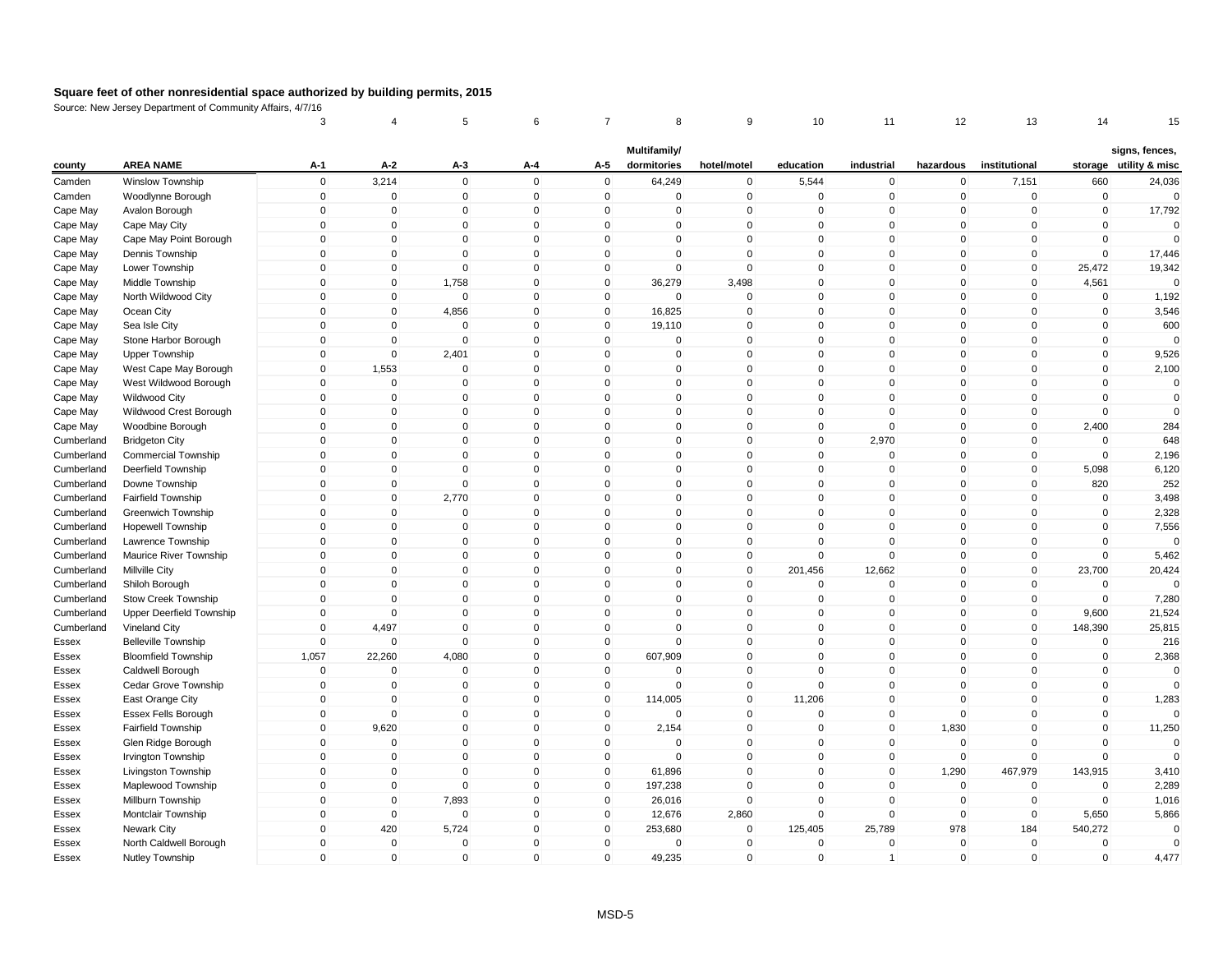|            |                            | 3                          | 4              | 5                          | 6                       | 7                          | 8                           | 9                          | 10                       | 11                         | 12                         | 13                       | 14                 | 15                      |
|------------|----------------------------|----------------------------|----------------|----------------------------|-------------------------|----------------------------|-----------------------------|----------------------------|--------------------------|----------------------------|----------------------------|--------------------------|--------------------|-------------------------|
|            | <b>AREA NAME</b>           | A-1                        | $A-2$          |                            |                         | A-5                        | Multifamily/<br>dormitories | hotel/motel                |                          | industrial                 |                            | institutional            |                    | signs, fences,          |
| county     |                            |                            |                | A-3                        | A-4<br>$\mathbf 0$      |                            |                             |                            | education                |                            | hazardous                  |                          |                    | storage utility & misc  |
| Camden     | <b>Winslow Township</b>    | $\mathbf 0$<br>$\mathbf 0$ | 3,214          | $\mathsf 0$<br>$\mathbf 0$ | $\mathbf 0$             | $\mathbf 0$<br>$\mathbf 0$ | 64,249<br>$\mathbf 0$       | $\mathsf 0$<br>$\mathbf 0$ | 5,544<br>$\mathbf 0$     | $\mathbf 0$<br>$\mathbf 0$ | $\mathbf 0$<br>$\mathbf 0$ | 7,151<br>$\mathbf 0$     | 660<br>$\mathbf 0$ | 24,036<br>$\Omega$      |
| Camden     | Woodlynne Borough          | $\mathbf 0$                | $\mathbf 0$    |                            | $\mathbf 0$             |                            |                             |                            | $\mathbf{0}$             |                            |                            |                          |                    |                         |
| Cape May   | Avalon Borough             |                            | $\pmb{0}$      | $\mathbf 0$<br>$\Omega$    | $\Omega$                | $\mathbf 0$                | 0<br>$\Omega$               | $\pmb{0}$                  |                          | $\mathbf 0$<br>$\Omega$    | $\mathbf 0$                | $\mathbf 0$              | $\mathbf 0$        | 17,792                  |
| Cape May   | Cape May City              | $\mathbf{0}$               | $\mathbf 0$    |                            | $\mathbf{0}$            | $\mathbf{0}$               | $\Omega$                    | $\mathsf 0$                | $\mathbf{0}$<br>$\Omega$ |                            | $\mathbf{0}$               | $\mathbf{0}$<br>$\Omega$ | $\mathbf 0$        | $\mathbf 0$<br>$\Omega$ |
| Cape May   | Cape May Point Borough     | $\mathbf{0}$               | $\mathbf 0$    | $\mathbf 0$<br>$\Omega$    |                         | $\mathbf 0$                |                             | $\mathsf 0$                |                          | $\mathbf 0$                | $\mathbf 0$                |                          | $\mathbf 0$        |                         |
| Cape May   | Dennis Township            | $\mathbf{0}$               | $\mathbf 0$    |                            | $\mathbf 0$<br>$\Omega$ | $\mathbf 0$                | $\mathbf 0$                 | $\mathbf 0$                | $\mathbf{0}$<br>$\Omega$ | $\mathbf 0$<br>$\Omega$    | $\mathbf 0$                | $\mathbf 0$<br>$\Omega$  | $\mathbf 0$        | 17,446                  |
| Cape May   | Lower Township             | $\Omega$                   | $\mathbf 0$    | $\mathbf{0}$               |                         | $\mathbf{0}$               | $\mathbf 0$                 | $\mathbf 0$                |                          |                            | $\mathbf{0}$               |                          | 25,472             | 19,342                  |
| Cape May   | Middle Township            | $\mathbf 0$                | $\mathbf 0$    | 1,758                      | $\mathbf 0$             | $\mathbf 0$                | 36,279                      | 3,498                      | $\mathbf{0}$             | $\mathbf 0$                | $\mathbf 0$                | $\mathbf 0$              | 4,561              | $\Omega$                |
| Cape May   | North Wildwood City        | $\mathbf 0$                | $\pmb{0}$      | $\mathbf 0$                | $\mathbf 0$             | $\mathbf 0$                | $\mathbf 0$                 | $\mathbf 0$                | $\mathbf{0}$             | $\mathbf 0$                | $\mathbf 0$                | $\mathbf 0$              | $\mathbf 0$        | 1,192                   |
| Cape May   | Ocean City                 | $\mathbf 0$                | $\pmb{0}$      | 4,856                      | $\mathbf 0$             | $\mathbf 0$                | 16,825                      | $\mathsf 0$                | $\mathbf{0}$             | $\mathbf 0$                | $\mathbf 0$                | $\mathbf 0$              | $\mathbf 0$        | 3,546                   |
| Cape May   | Sea Isle City              | $\mathbf{0}$               | $\mathbf 0$    | $\mathbf 0$                | $\mathbf 0$             | $\mathbf 0$                | 19,110                      | $\mathsf 0$                | $\mathbf{0}$             | $\mathbf 0$                | $\mathbf{0}$               | $\mathbf 0$              | $\mathbf 0$        | 600                     |
| Cape May   | Stone Harbor Borough       | $\mathbf 0$                | $\mathbf 0$    | $\mathbf 0$                | $\mathbf 0$             | $\mathbf 0$                | 0                           | $\mathsf 0$                | $\mathbf{0}$             | $\mathbf 0$                | $\mathbf 0$                | $\mathbf 0$              | $\mathbf 0$        | $\Omega$                |
| Cape May   | <b>Upper Township</b>      | $\mathbf{0}$               | $\mathbf 0$    | 2,401                      | $\mathbf{0}$            | $\mathbf 0$                | $\Omega$                    | $\mathsf 0$                | $\Omega$                 | $\Omega$                   | $\mathbf{0}$               | $\Omega$                 | $\mathbf 0$        | 9,526                   |
| Cape May   | West Cape May Borough      | $\Omega$                   | 1,553          | $\mathbf 0$                | $\mathbf{0}$            | $\mathbf{0}$               | $\Omega$                    | $\mathbf 0$                | $\mathbf{0}$             | $\mathbf 0$                | $\mathbf{0}$               | $\overline{0}$           | $\mathbf 0$        | 2,100                   |
| Cape May   | West Wildwood Borough      | $\mathbf 0$                | $\mathbf 0$    | $\mathbf 0$                | $\mathbf 0$             | 0                          | 0                           | $\mathsf 0$                | $\mathbf{0}$             | $\mathbf 0$                | $\mathbf 0$                | 0                        | $\mathbf 0$        | $\mathbf 0$             |
| Cape May   | <b>Wildwood City</b>       | $\mathbf{0}$               | $\mathbf 0$    | $\mathbf{0}$               | $\Omega$                | $\mathbf{0}$               | $\mathbf{0}$                | $\mathbf 0$                | $\mathbf{0}$             | $\Omega$                   | $\mathbf{0}$               | $\Omega$                 | $\mathbf 0$        | $\Omega$                |
| Cape May   | Wildwood Crest Borough     | $\mathbf 0$                | $\pmb{0}$      | $\mathbf 0$                | $\mathbf 0$             | $\mathbf 0$                | 0                           | $\pmb{0}$                  | $\mathbf 0$              | $\mathbf 0$                | $\mathbf 0$                | $\mathbf 0$              | $\mathbf 0$        | $\mathbf 0$             |
| Cape May   | Woodbine Borough           | $\mathbf 0$                | $\pmb{0}$      | $\mathbf 0$                | $\mathbf 0$             | $\mathbf 0$                | 0                           | $\mathbf 0$                | $\mathbf 0$              | $\mathbf 0$                | $\mathbf 0$                | $\mathbf 0$              | 2,400              | 284                     |
| Cumberland | <b>Bridgeton City</b>      | $\mathbf{0}$               | $\mathbf 0$    | $\mathbf 0$                | $\mathbf{0}$            | $\mathbf{0}$               | 0                           | $\mathsf 0$                | $\mathbf{0}$             | 2,970                      | $\mathbf 0$                | $\Omega$                 | $\mathbf 0$        | 648                     |
| Cumberland | <b>Commercial Township</b> | $\mathbf{0}$               | $\mathbf 0$    | $\mathbf 0$                | $\mathbf 0$             | $\mathbf 0$                | $\mathbf 0$                 | $\mathsf 0$                | $\mathbf{0}$             | $\mathbf 0$                | $\mathbf 0$                | $\mathbf 0$              | $\mathbf 0$        | 2,196                   |
| Cumberland | Deerfield Township         | $\mathbf 0$                | $\mathbf 0$    | $\mathbf 0$                | $\mathbf 0$             | $\mathbf 0$                | $\mathbf 0$                 | $\mathbf 0$                | $\mathbf{0}$             | $\mathbf 0$                | $\mathbf 0$                | $\mathbf 0$              | 5,098              | 6,120                   |
| Cumberland | Downe Township             | $\mathbf{0}$               | $\mathbf 0$    | $\mathbf{0}$               | $\mathbf{0}$            | $\mathbf{0}$               | $\Omega$                    | $\mathbf 0$                | $\Omega$                 | $\Omega$                   | $\mathbf{0}$               | 0                        | 820                | 252                     |
| Cumberland | <b>Fairfield Township</b>  | $\mathbf{0}$               | $\mathbf 0$    | 2,770                      | $\mathbf{0}$            | $\mathbf{0}$               | $\mathbf{0}$                | $\mathbf 0$                | $\mathbf{0}$             | $\Omega$                   | $\mathbf{0}$               | $\Omega$                 | $\mathbf 0$        | 3,498                   |
| Cumberland | Greenwich Township         | $\mathbf 0$                | $\pmb{0}$      | $\mathbf 0$                | $\mathbf 0$             | $\mathbf 0$                | 0                           | $\mathsf 0$                | $\mathbf{0}$             | $\mathbf 0$                | $\mathbf 0$                | 0                        | $\mathbf 0$        | 2,328                   |
| Cumberland | <b>Hopewell Township</b>   | $\mathbf{0}$               | $\mathbf 0$    | $\mathbf 0$                | $\mathbf 0$             | $\mathbf 0$                | $\Omega$                    | $\mathsf 0$                | $\mathbf{0}$             | $\mathbf 0$                | $\mathbf{0}$               | $\Omega$                 | $\mathbf 0$        | 7,556                   |
| Cumberland | Lawrence Township          | $\mathbf 0$                | $\pmb{0}$      | $\mathbf 0$                | $\mathbf 0$             | $\mathbf 0$                | 0                           | $\pmb{0}$                  | $\Omega$                 | $\mathbf 0$                | $\mathbf 0$                | 0                        | $\mathbf 0$        | $\Omega$                |
| Cumberland | Maurice River Township     | $\mathbf 0$                | $\pmb{0}$      | $\mathbf 0$                | $\mathbf 0$             | $\mathbf 0$                | 0                           | $\pmb{0}$                  | $\mathbf{0}$             | $\mathbf 0$                | $\mathbf 0$                | $\mathbf 0$              | $\mathbf 0$        | 5,462                   |
| Cumberland | <b>Millville City</b>      | $\mathbf{0}$               | $\mathbf 0$    | $\mathsf 0$                | $\mathbf{0}$            | $\mathbf 0$                | $\mathbf 0$                 | $\mathsf 0$                | 201,456                  | 12,662                     | $\mathbf 0$                | $\mathbf{0}$             | 23,700             | 20,424                  |
| Cumberland | Shiloh Borough             | $\mathbf{0}$               | $\mathbf 0$    | $\mathbf 0$                | $\mathbf 0$             | $\mathbf 0$                | 0                           | $\mathsf 0$                | $\mathbf{0}$             | $\mathbf 0$                | $\mathbf 0$                | $\mathbf 0$              | $\mathbf 0$        | $\Omega$                |
| Cumberland | Stow Creek Township        | $\mathbf{0}$               | $\mathbf 0$    | $\mathbf 0$                | $\mathbf{0}$            | $\mathbf 0$                | 0                           | $\mathsf 0$                | $\mathbf{0}$             | $\mathbf 0$                | $\mathbf{0}$               | $\Omega$                 | $\mathbf 0$        | 7,280                   |
| Cumberland | Upper Deerfield Township   | $\Omega$                   | $\overline{0}$ | $\Omega$                   | $\mathbf{0}$            | $\mathbf{0}$               | $\Omega$                    | $\mathbf 0$                | $\mathbf{0}$             | $\Omega$                   | $\mathbf{0}$               | $\mathbf{0}$             | 9,600              | 21,524                  |
| Cumberland | Vineland City              | $\mathbf 0$                | 4,497          | $\mathbf 0$                | $\mathbf 0$             | $\mathbf 0$                | $\mathbf 0$                 | $\mathsf 0$                | $\mathbf{0}$             | $\mathbf 0$                | $\mathbf 0$                | $\mathbf 0$              | 148,390            | 25,815                  |
| Essex      | <b>Belleville Township</b> | $\mathbf 0$                | $\mathbf 0$    | $\mathbf 0$                | $\mathbf 0$             | $\mathbf 0$                | 0                           | $\mathbf 0$                | $\mathbf{0}$             | $\mathbf 0$                | $\mathbf 0$                | $\pmb{0}$                | 0                  | 216                     |
| Essex      | <b>Bloomfield Township</b> | 1,057                      | 22,260         | 4,080                      | $\mathbf 0$             | $\mathbf 0$                | 607,909                     | $\mathsf 0$                | $\Omega$                 | $\mathbf 0$                | $\mathbf{0}$               | $\mathbf 0$              | $\mathbf 0$        | 2,368                   |
| Essex      | Caldwell Borough           | $\Omega$                   | $\mathbf 0$    | $\mathbf 0$                | $\Omega$                | $\mathbf 0$                | $\Omega$                    | $\mathsf 0$                | $\mathbf{0}$             | $\mathbf 0$                | $\mathbf{0}$               | $\Omega$                 | $\mathbf 0$        | $\Omega$                |
| Essex      | Cedar Grove Township       | $\mathbf 0$                | $\mathbf 0$    | $\mathbf 0$                | $\mathbf 0$             | $\mathbf 0$                | $\mathbf 0$                 | $\mathbf 0$                | $\mathbf{0}$             | $\mathbf 0$                | $\mathbf 0$                | $\mathbf 0$              | $\mathbf 0$        | $\Omega$                |
| Essex      | East Orange City           | $\mathbf{0}$               | $\mathbf 0$    | $\mathbf{0}$               | $\mathbf{0}$            | $\mathbf 0$                | 114,005                     | $\mathbf{0}$               | 11,206                   | $\Omega$                   | $\mathbf{0}$               | $\Omega$                 | $\mathbf 0$        | 1,283                   |
| Essex      | Essex Fells Borough        | $\Omega$                   | $\Omega$       | $\mathbf 0$                | $\mathbf 0$             | $\mathbf 0$                | $\mathbf 0$                 | $\mathbf 0$                | $\Omega$                 | $\mathbf 0$                | $\mathbf 0$                | 0                        | $\mathbf 0$        |                         |
| Essex      | Fairfield Township         | $\mathbf 0$                | 9,620          | $\mathbf 0$                | $\mathbf 0$             | $\mathbf 0$                | 2,154                       | $\mathsf 0$                | $\mathbf 0$              | $\mathbf 0$                | 1,830                      | $\mathbf 0$              | $\mathbf 0$        | 11,250                  |
| Essex      | Glen Ridge Borough         | $\mathbf 0$                | $\mathbf 0$    | $\mathbf 0$                | $\mathbf 0$             | $\mathbf 0$                | $\mathbf 0$                 | $\mathsf 0$                | $\mathbf{0}$             | $\mathbf 0$                | $\mathbf 0$                | $\Omega$                 | $\mathbf 0$        | $\Omega$                |
| Essex      | Irvington Township         | $\mathbf 0$                | $\mathbf 0$    | $\mathbf 0$                | $\mathbf 0$             | $\mathbf 0$                | $\Omega$                    | $\mathsf 0$                | $\mathbf{0}$             | $\mathbf 0$                | $\mathbf 0$                | $\Omega$                 | $\Omega$           | $\Omega$                |
| Essex      | Livingston Township        | $\mathbf 0$                | $\pmb{0}$      | $\mathbf 0$                | $\mathbf 0$             | $\mathbf 0$                | 61,896                      | $\pmb{0}$                  | $\mathbf{0}$             | $\mathbf 0$                | 1,290                      | 467,979                  | 143,915            | 3,410                   |
| Essex      | Maplewood Township         | $\mathbf{0}$               | $\pmb{0}$      | $\mathbf{0}$               | $\Omega$                | $\mathbf 0$                | 197,238                     | $\mathsf 0$                | $\mathbf{0}$             | $\mathbf{0}$               | $\mathbf 0$                | $\mathbf 0$              | $\mathbf 0$        | 2,289                   |
| Essex      | Millburn Township          | $\mathbf{0}$               | $\mathbf 0$    | 7,893                      | $\mathbf 0$             | $\mathbf 0$                | 26,016                      | $\mathsf 0$                | $\Omega$                 | $\mathbf 0$                | $\mathbf 0$                | $\mathbf 0$              | $\mathbf 0$        | 1,016                   |
| Essex      | Montclair Township         | $\mathbf 0$                | $\mathbf 0$    | $\mathbf 0$                | 0                       | $\mathbf 0$                | 12,676                      | 2,860                      | $\mathbf{0}$             | $\mathbf 0$                | 0                          | $\mathbf 0$              | 5,650              | 5,866                   |
| Essex      | Newark City                | $\Omega$                   | 420            | 5,724                      | $\mathbf{0}$            | $\mathbf{0}$               | 253,680                     | $\mathbf 0$                | 125,405                  | 25,789                     | 978                        | 184                      | 540,272            | $\Omega$                |
|            |                            | $\mathbf{0}$               | $\mathbf 0$    | $\Omega$                   | $\mathbf 0$             | $\mathbf 0$                | $\mathbf 0$                 | $\mathbf 0$                | $\Omega$                 | $\Omega$                   | $\mathbf 0$                | $\Omega$                 | $\mathbf 0$        | $\Omega$                |
| Essex      | North Caldwell Borough     |                            |                |                            |                         |                            |                             |                            |                          |                            |                            |                          |                    |                         |
| Essex      | Nutley Township            | $\mathbf 0$                | $\mathbf 0$    | $\mathbf 0$                | $\mathbf 0$             | $\mathbf 0$                | 49,235                      | $\mathbf 0$                | $\mathbf{0}$             | $\mathbf{1}$               | $\mathbf 0$                | $\mathbf 0$              | $\mathbf 0$        | 4,477                   |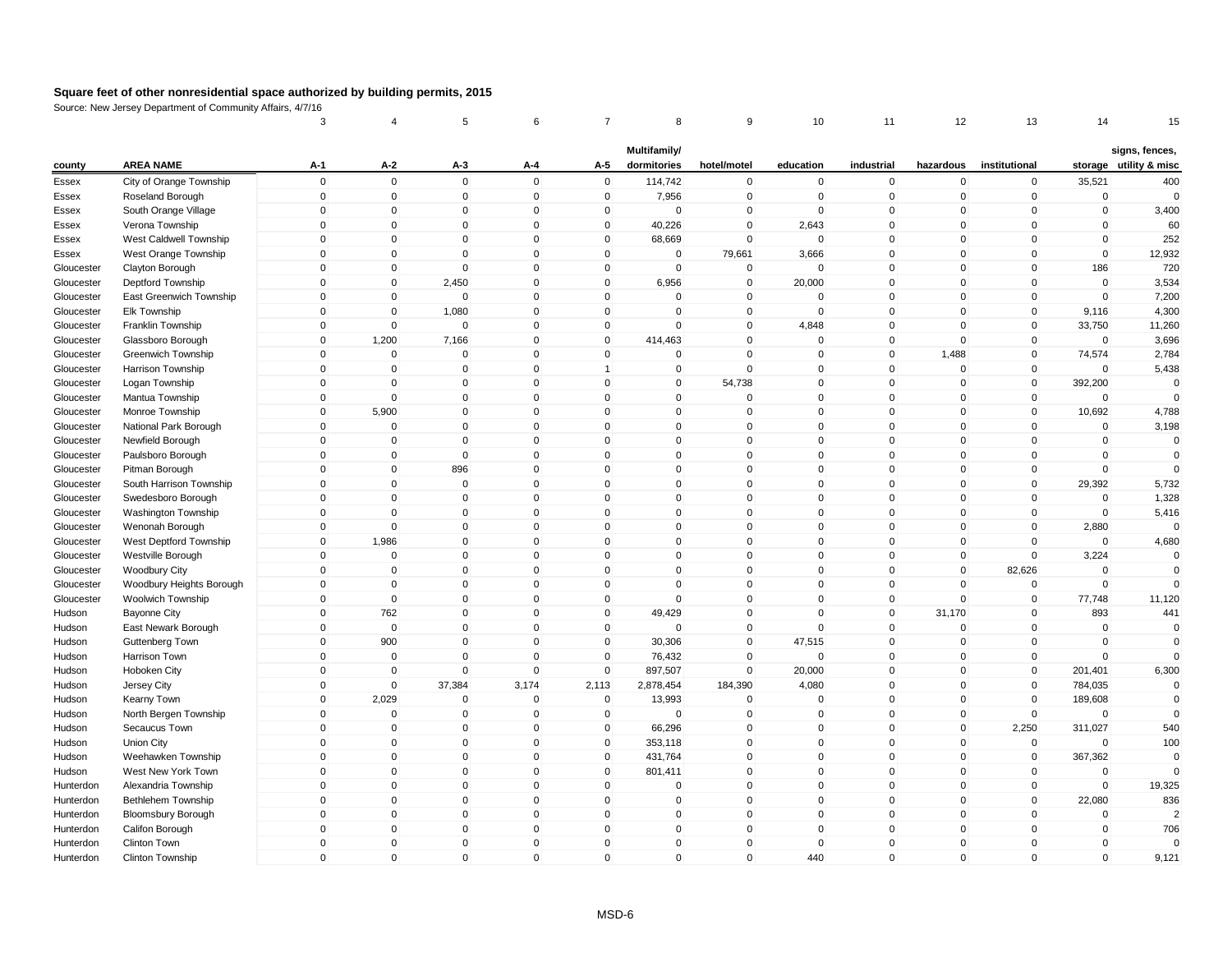|            |                           | 3            | 4              | 5            | 6            | 7              | 8            | 9           | 10           | 11           | 12             | 13             | 14           | 15                     |
|------------|---------------------------|--------------|----------------|--------------|--------------|----------------|--------------|-------------|--------------|--------------|----------------|----------------|--------------|------------------------|
|            |                           |              |                |              |              |                | Multifamily/ |             |              |              |                |                |              | signs, fences,         |
| county     | <b>AREA NAME</b>          | A-1          | A-2            | A-3          | A-4          | A-5            | dormitories  | hotel/motel | education    | industrial   | hazardous      | institutional  |              | storage utility & misc |
| Essex      | City of Orange Township   | $\mathbf 0$  | $\mathbf 0$    | $\mathbf 0$  | $\mathbf 0$  | $\mathbf 0$    | 114,742      | $\mathbf 0$ | $\mathbf 0$  | $\mathbf 0$  | 0              | $\mathbf 0$    | 35,521       | 400                    |
| Essex      | Roseland Borough          | $\mathbf 0$  | $\mathbf 0$    | $\mathbf 0$  | $\mathbf 0$  | $\mathbf 0$    | 7,956        | $\mathbf 0$ | $\mathbf 0$  | $\mathbf 0$  | $\overline{0}$ | $\mathbf 0$    | $\mathbf 0$  | $\Omega$               |
| Essex      | South Orange Village      | 0            | $\pmb{0}$      | $\mathbf 0$  | $\mathbf 0$  | 0              | $\mathbf 0$  | $\pmb{0}$   | $\Omega$     | 0            | $\Omega$       | $\mathbf 0$    | $\mathbf 0$  | 3,400                  |
| Essex      | Verona Township           | $\mathbf 0$  | $\mathbf 0$    | $\Omega$     | $\Omega$     | $\mathbf 0$    | 40,226       | $\mathsf 0$ | 2,643        | $\mathbf{0}$ | $\Omega$       | $\mathbf 0$    | $\Omega$     | 60                     |
| Essex      | West Caldwell Township    | $\mathbf 0$  | $\mathbf 0$    | $\mathbf 0$  | $\mathbf 0$  | $\mathbf 0$    | 68,669       | $\mathbf 0$ | $\Omega$     | $\mathbf 0$  | $\mathbf 0$    | $\mathbf 0$    | $\mathbf 0$  | 252                    |
| Essex      | West Orange Township      | $\mathbf 0$  | $\mathbf 0$    | $\Omega$     | $\mathbf{0}$ | $\mathbf 0$    | $\Omega$     | 79,661      | 3,666        | $\mathbf{0}$ | $\mathbf{0}$   | $\Omega$       | $\mathbf{0}$ | 12,932                 |
| Gloucester | Clayton Borough           | $\mathbf{0}$ | $\mathbf 0$    | $\mathbf 0$  | $\Omega$     | $\mathbf 0$    | $\mathbf 0$  | $\mathbf 0$ | $\Omega$     | $\mathbf 0$  | $\mathbf{0}$   | $\Omega$       | 186          | 720                    |
| Gloucester | Deptford Township         | $\mathbf 0$  | $\pmb{0}$      | 2,450        | $\mathbf 0$  | $\mathbf 0$    | 6,956        | $\mathbf 0$ | 20,000       | $\mathbf 0$  | 0              | $\mathbf 0$    | $\mathbf 0$  | 3,534                  |
| Gloucester | East Greenwich Township   | $\mathbf{0}$ | $\mathbf 0$    | $\mathbf 0$  | $\Omega$     | $\mathbf 0$    | $\mathbf 0$  | $\mathsf 0$ | $\Omega$     | $\mathbf 0$  | $\mathbf{0}$   | $\mathbf 0$    | $\Omega$     | 7,200                  |
| Gloucester | Elk Township              | $\mathbf 0$  | $\mathbf 0$    | 1,080        | $\mathbf 0$  | $\mathbf 0$    | $\mathbf 0$  | $\mathbf 0$ | $\mathbf 0$  | $\mathbf 0$  | $\overline{0}$ | $\mathbf 0$    | 9,116        | 4,300                  |
| Gloucester | Franklin Township         | 0            | $\mathbf 0$    | $\mathbf 0$  | $\Omega$     | 0              | $\mathbf 0$  | $\mathbf 0$ | 4,848        | $\mathbf 0$  | $\mathbf 0$    | $\mathbf 0$    | 33,750       | 11,260                 |
| Gloucester | Glassboro Borough         | $\mathbf 0$  | 1,200          | 7,166        | $\mathbf 0$  | $\mathbf 0$    | 414,463      | $\mathsf 0$ | $\mathbf 0$  | $\mathbf 0$  | $\mathbf{0}$   | $\mathbf 0$    | $\Omega$     | 3,696                  |
| Gloucester | Greenwich Township        | $\mathbf 0$  | $\pmb{0}$      | $\mathbf 0$  | $\mathbf 0$  | $\mathbf 0$    | 0            | $\mathsf 0$ | $\mathbf 0$  | $\mathbf 0$  | 1,488          | $\mathbf 0$    | 74,574       | 2,784                  |
| Gloucester | Harrison Township         | $\mathbf{0}$ | $\mathbf 0$    | $\mathbf 0$  | $\mathbf{0}$ | $\overline{1}$ | $\mathbf 0$  | $\mathbf 0$ | $\Omega$     | $\mathbf 0$  | $\mathbf{0}$   | $\mathbf{0}$   | $\Omega$     | 5,438                  |
| Gloucester | Logan Township            | $\mathbf 0$  | $\Omega$       | $\mathbf 0$  | $\mathbf 0$  | $\mathbf 0$    | 0            | 54,738      | $\Omega$     | $\mathbf 0$  | 0              | $\mathbf 0$    | 392,200      | $\Omega$               |
| Gloucester | Mantua Township           | $\mathbf 0$  | $\mathbf 0$    | $\mathbf 0$  | $\mathbf 0$  | $\mathbf 0$    | $\mathbf 0$  | $\mathbf 0$ | $\Omega$     | $\mathbf 0$  | 0              | $\mathbf 0$    | $\mathbf 0$  | $\Omega$               |
| Gloucester | Monroe Township           | $\mathbf 0$  | 5,900          | $\mathbf 0$  | $\mathbf 0$  | $\mathbf 0$    | 0            | $\mathsf 0$ | $\Omega$     | $\mathbf 0$  | $\mathbf 0$    | $\mathbf 0$    | 10,692       | 4,788                  |
| Gloucester | National Park Borough     | $\mathbf 0$  | $\mathbf 0$    | $\mathbf 0$  | $\mathbf 0$  | $\mathbf 0$    | $\mathbf 0$  | $\mathbf 0$ | $\mathbf 0$  | $\mathbf 0$  | $\overline{0}$ | $\mathbf 0$    | $\Omega$     | 3,198                  |
| Gloucester | Newfield Borough          | 0            | $\mathbf 0$    | 0            | $\mathbf 0$  | $\Omega$       | 0            | $\mathbf 0$ | $\Omega$     | 0            | $\mathbf 0$    | $\mathbf 0$    | $\Omega$     | $\Omega$               |
| Gloucester | Paulsboro Borough         | $\mathbf 0$  | $\mathbf 0$    | $\mathbf 0$  | $\Omega$     | $\mathbf{0}$   | $\Omega$     | $\mathsf 0$ | $\Omega$     | $\mathbf 0$  | $\mathbf{0}$   | $\mathbf 0$    | $\Omega$     | $\mathbf 0$            |
| Gloucester | Pitman Borough            | $\mathbf 0$  | $\mathbf 0$    | 896          | $\mathbf 0$  | $\mathbf 0$    | $\mathbf 0$  | $\mathsf 0$ | $\Omega$     | $\mathbf 0$  | 0              | $\mathbf 0$    | $\mathbf 0$  | $\mathbf{0}$           |
| Gloucester | South Harrison Township   | $\mathbf{0}$ | $\mathbf 0$    | 0            | $\mathbf{0}$ | $\mathbf 0$    | $\Omega$     | $\pmb{0}$   | $\mathbf{0}$ | $\mathbf{0}$ | 0              | $\overline{0}$ | 29,392       | 5,732                  |
| Gloucester | Swedesboro Borough        | $\mathbf{0}$ | $\mathbf 0$    | $\mathbf 0$  | $\mathbf{0}$ | $\mathbf{0}$   | $\Omega$     | $\mathsf 0$ | $\Omega$     | $\mathbf{0}$ | $\mathbf{0}$   | $\Omega$       | $\Omega$     | 1,328                  |
| Gloucester | Washington Township       | $\mathbf 0$  | $\overline{0}$ | $\mathbf 0$  | $\mathbf 0$  | 0              | 0            | $\mathbf 0$ | $\Omega$     | $\mathbf 0$  | 0              | $\mathbf 0$    | $\mathbf 0$  | 5,416                  |
| Gloucester | Wenonah Borough           | $\mathbf 0$  | $\mathbf 0$    | $\mathbf{0}$ | $\Omega$     | $\mathbf{0}$   | $\mathbf{0}$ | $\mathsf 0$ | $\mathbf{0}$ | $\mathbf{0}$ | $\overline{0}$ | $\mathbf{0}$   | 2,880        | $\mathbf{0}$           |
| Gloucester | West Deptford Township    | $\mathbf 0$  | 1,986          | $\mathbf 0$  | $\mathbf 0$  | $\mathbf 0$    | 0            | $\mathsf 0$ | $\mathbf 0$  | $\mathbf 0$  | $\overline{0}$ | $\mathbf 0$    | $\mathbf 0$  | 4,680                  |
| Gloucester | Westville Borough         | $\mathbf 0$  | $\mathbf 0$    | $\mathbf 0$  | $\mathbf 0$  | $\mathbf 0$    | 0            | $\mathbf 0$ | $\Omega$     | $\mathbf 0$  | $\mathbf 0$    | $\mathbf 0$    | 3,224        | $\mathbf 0$            |
| Gloucester | <b>Woodbury City</b>      | $\mathbf 0$  | $\mathbf 0$    | $\mathbf 0$  | $\Omega$     | $\mathbf{0}$   | $\mathbf 0$  | $\mathsf 0$ | $\Omega$     | $\mathbf 0$  | $\mathbf{0}$   | 82,626         | $\Omega$     | $\Omega$               |
| Gloucester | Woodbury Heights Borough  | $\mathbf 0$  | $\mathbf 0$    | $\mathbf 0$  | $\mathbf 0$  | $\mathbf 0$    | 0            | $\mathsf 0$ | $\mathbf 0$  | $\mathbf 0$  | 0              | $\mathbf 0$    | $\mathbf 0$  | $\mathbf{0}$           |
| Gloucester | Woolwich Township         | $\mathbf 0$  | $\mathbf 0$    | $\mathbf 0$  | $\mathbf 0$  | $\mathbf 0$    | $\mathbf 0$  | $\mathbf 0$ | $\mathbf 0$  | $\mathbf 0$  | $\mathbf 0$    | $\mathbf 0$    | 77,748       | 11,120                 |
| Hudson     | <b>Bayonne City</b>       | $\mathbf 0$  | 762            | $\mathbf 0$  | $\mathbf 0$  | $\mathbf 0$    | 49,429       | $\mathbf 0$ | $\Omega$     | $\mathbf{0}$ | 31,170         | $\mathbf 0$    | 893          | 441                    |
| Hudson     | East Newark Borough       | $\mathbf 0$  | $\mathbf 0$    | $\mathbf 0$  | $\Omega$     | $\mathbf 0$    | $\mathbf 0$  | $\mathsf 0$ | $\Omega$     | $\mathbf{0}$ | 0              | $\mathbf{0}$   | $\Omega$     | $\Omega$               |
| Hudson     | Guttenberg Town           | $\mathbf 0$  | 900            | $\mathbf 0$  | $\mathbf 0$  | $\mathbf 0$    | 30,306       | $\mathsf 0$ | 47,515       | $\mathbf 0$  | $\mathbf 0$    | $\mathbf 0$    | $\Omega$     | $\Omega$               |
| Hudson     | Harrison Town             | $\mathbf 0$  | $\mathbf 0$    | $\mathbf 0$  | $\mathbf 0$  | $\mathbf 0$    | 76,432       | $\mathsf 0$ | $\Omega$     | $\mathbf 0$  | $\mathbf 0$    | $\mathbf 0$    | $\mathbf 0$  | $\Omega$               |
| Hudson     | Hoboken City              | $\mathbf 0$  | $\mathbf 0$    | $\mathbf 0$  | $\mathbf 0$  | $\mathbf 0$    | 897,507      | $\mathbf 0$ | 20,000       | $\mathbf 0$  | 0              | $\mathbf 0$    | 201,401      | 6,300                  |
| Hudson     | Jersey City               | $\mathbf 0$  | $\overline{0}$ | 37,384       | 3,174        | 2,113          | 2,878,454    | 184,390     | 4,080        | $\mathbf{0}$ | $\mathbf{0}$   | $\mathbf 0$    | 784,035      | $\Omega$               |
| Hudson     | Kearny Town               | $\mathbf 0$  | 2,029          | $\mathbf 0$  | $\mathbf 0$  | $\mathbf 0$    | 13,993       | $\mathbf 0$ | $\mathbf 0$  | $\mathbf 0$  | 0              | $\mathbf 0$    | 189,608      | $\mathbf{0}$           |
| Hudson     | North Bergen Township     | $\mathbf 0$  | $\pmb{0}$      | $\mathbf 0$  | $\mathbf 0$  | $\mathbf 0$    | $\mathbf 0$  | $\mathbf 0$ | $\mathbf 0$  | $\mathbf 0$  | $\mathbf 0$    | $\mathbf 0$    | $\mathbf 0$  | $\mathbf{0}$           |
| Hudson     | Secaucus Town             | $\mathbf{0}$ | $\mathbf 0$    | $\mathbf 0$  | $\Omega$     | $\mathbf 0$    | 66,296       | $\mathbf 0$ | $\Omega$     | $\mathbf 0$  | $\mathbf{0}$   | 2,250          | 311,027      | 540                    |
| Hudson     | Union City                | $\mathbf 0$  | $\overline{0}$ | $\mathbf 0$  | $\mathbf 0$  | $\mathbf 0$    | 353,118      | $\mathsf 0$ | $\Omega$     | $\mathbf 0$  | $\mathbf 0$    | $\mathbf 0$    | $\mathbf 0$  | 100                    |
| Hudson     | Weehawken Township        | $\mathbf{0}$ | $\mathbf{0}$   | $\mathbf{0}$ | $\Omega$     | $\mathbf{0}$   | 431,764      | $\mathbf 0$ | $\Omega$     | $\mathbf{0}$ | $\overline{0}$ | $\mathbf{0}$   | 367,362      | $\mathbf{0}$           |
| Hudson     | West New York Town        | $\mathbf 0$  | $\mathbf 0$    | $\mathbf 0$  | $\mathbf 0$  | $\mathbf 0$    | 801,411      | $\mathbf 0$ | $\mathbf 0$  | $\mathbf 0$  | $\overline{0}$ | $\mathbf 0$    | $\mathbf 0$  | $\Omega$               |
| Hunterdon  | Alexandria Township       | $\mathbf 0$  | $\mathbf 0$    | $\mathbf 0$  | $\mathbf 0$  | $\mathbf 0$    | 0            | $\mathbf 0$ | $\mathbf 0$  | $\mathbf 0$  | $\mathbf 0$    | $\mathbf 0$    | $\mathbf 0$  | 19,325                 |
| Hunterdon  | Bethlehem Township        | $\mathbf 0$  | $\mathbf 0$    | $\mathbf 0$  | $\mathbf 0$  | $\mathbf 0$    | $\mathbf 0$  | $\mathsf 0$ | $\Omega$     | $\mathbf 0$  | $\Omega$       | $\mathbf 0$    | 22,080       | 836                    |
| Hunterdon  | <b>Bloomsbury Borough</b> | $\mathbf 0$  | $\mathbf 0$    | $\mathbf 0$  | $\mathbf 0$  | $\mathbf 0$    | 0            | $\mathsf 0$ | $\mathbf 0$  | $\mathbf 0$  | 0              | $\mathbf 0$    | $\mathbf 0$  | $\overline{2}$         |
| Hunterdon  | Califon Borough           | $\mathbf 0$  | $\mathbf 0$    | $\mathbf 0$  | $\mathbf 0$  | $\mathbf 0$    | $\mathbf 0$  | $\mathbf 0$ | $\mathbf{0}$ | $\mathbf 0$  | $\mathbf 0$    | $\mathbf 0$    | $\mathbf 0$  | 706                    |
| Hunterdon  | Clinton Town              | $\mathbf{0}$ | $\mathbf 0$    | $\mathbf 0$  | $\mathbf 0$  | $\mathbf{0}$   | 0            | $\mathsf 0$ | $\Omega$     | $\mathbf{0}$ | $\Omega$       | $\Omega$       | $\Omega$     | $\Omega$               |
| Hunterdon  | Clinton Township          | $\mathbf{0}$ | $\mathbf{0}$   | $\mathbf 0$  | $\Omega$     | $\mathbf{0}$   | $\mathbf{0}$ | $\mathsf 0$ | 440          | $\mathbf{0}$ | $\mathbf{0}$   | $\mathbf{0}$   | $\Omega$     | 9,121                  |
|            |                           |              |                |              |              |                |              |             |              |              |                |                |              |                        |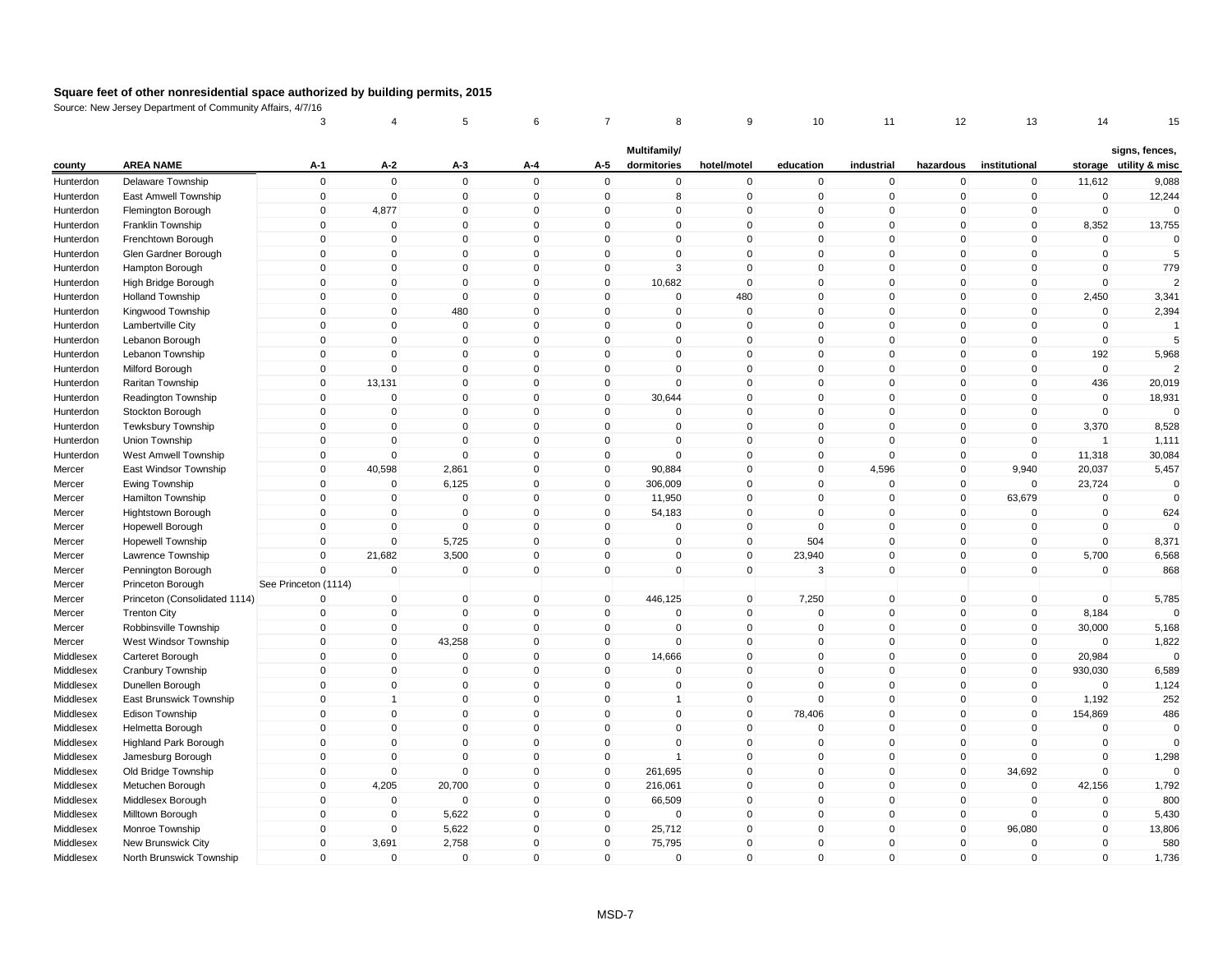|           |                               | 3                    | 4              | 5            | 6           |              | 8              | 9              | 10           | 11           | 12           | 13            | 14             | 15                     |
|-----------|-------------------------------|----------------------|----------------|--------------|-------------|--------------|----------------|----------------|--------------|--------------|--------------|---------------|----------------|------------------------|
|           |                               |                      |                |              |             |              | Multifamily/   |                |              |              |              |               |                | signs, fences,         |
| county    | <b>AREA NAME</b>              | A-1                  | A-2            | A-3          | A-4         | A-5          | dormitories    | hotel/motel    | education    | industrial   | hazardous    | institutional |                | storage utility & misc |
| Hunterdon | Delaware Township             | $\mathsf 0$          | $\mathbf 0$    | $\mathsf 0$  | $\mathbf 0$ | $\mathbf 0$  | $\mathbf 0$    | $\mathbf 0$    | $\mathbf 0$  | $\mathbf 0$  | $\mathbf 0$  | $\mathbf 0$   | 11,612         | 9,088                  |
| Hunterdon | East Amwell Township          | $\pmb{0}$            | $\mathbf 0$    | $\mathbf 0$  | $\mathbf 0$ | $\mathbf 0$  | 8              | $\mathbf 0$    | $\mathbf 0$  | $\Omega$     | $\mathbf 0$  | $\mathbf 0$   | $\mathbf 0$    | 12,244                 |
| Hunterdon | Flemington Borough            | 0                    | 4,877          | 0            | $\pmb{0}$   | 0            | 0              | $\mathbf 0$    | 0            | $\mathbf 0$  | 0            | 0             | $\mathbf 0$    | $\mathbf 0$            |
| Hunterdon | <b>Franklin Township</b>      | $\mathbf 0$          | $\Omega$       | $\Omega$     | $\mathbf 0$ | $\Omega$     | $\mathbf{0}$   | $\mathbf{0}$   | $\mathbf{0}$ | $\Omega$     | $\mathbf{0}$ | $\mathbf{0}$  | 8,352          | 13,755                 |
| Hunterdon | Frenchtown Borough            | $\mathbf 0$          | $\overline{0}$ | $\mathbf 0$  | $\mathbf 0$ | $\mathbf{0}$ | $\mathbf 0$    | $\mathbf 0$    | $\Omega$     | $\mathbf{0}$ | $\mathbf 0$  | $\mathbf{0}$  | $\mathbf{0}$   | $\mathbf 0$            |
| Hunterdon | Glen Gardner Borough          | $\mathbf 0$          | $\mathbf 0$    | 0            | $\mathbf 0$ | 0            | $\mathbf 0$    | 0              | $\Omega$     | $\Omega$     | 0            | 0             | 0              | 5                      |
| Hunterdon | Hampton Borough               | $\Omega$             | $\mathbf{0}$   | $\Omega$     | $\mathbf 0$ | $\mathbf{0}$ | $\mathbf{3}$   | $\mathbf{0}$   | $\Omega$     | $\mathbf{0}$ | $\mathbf{0}$ | $\Omega$      | $\mathbf{0}$   | 779                    |
| Hunterdon | High Bridge Borough           | $\mathsf 0$          | $\mathbf 0$    | $\mathbf{0}$ | $\mathbf 0$ | $\mathbf 0$  | 10,682         | $\mathbf 0$    | 0            | $\mathbf 0$  | $\mathbf 0$  | $\mathbf 0$   | $\mathbf 0$    |                        |
| Hunterdon | <b>Holland Township</b>       | $\mathsf 0$          | $\mathbf 0$    | $\mathbf 0$  | $\mathbf 0$ | $\mathbf 0$  | $\mathbf 0$    | 480            | $\mathbf 0$  | $\mathbf 0$  | $\mathbf 0$  | $\mathbf 0$   | 2,450          | 3,341                  |
| Hunterdon | Kingwood Township             | $\mathsf 0$          | $\mathbf 0$    | 480          | $\mathbf 0$ | $\mathbf 0$  | $\mathbf 0$    | $\mathbf 0$    | $\mathbf 0$  | $\mathbf 0$  | $\mathbf 0$  | $\mathbf 0$   | $\mathbf 0$    | 2,394                  |
| Hunterdon | Lambertville City             | $\mathbf 0$          | $\Omega$       | $\mathbf 0$  | $\mathbf 0$ | $\mathbf 0$  | $\mathbf 0$    | $\mathbf{0}$   | 0            | $\Omega$     | $\mathbf{0}$ | $\mathbf 0$   | $\mathbf 0$    | $\overline{1}$         |
| Hunterdon | Lebanon Borough               | $\mathsf 0$          | $\mathbf 0$    | $\mathbf 0$  | $\mathbf 0$ | $\mathbf 0$  | $\mathbf 0$    | $\mathbf 0$    | $\mathbf 0$  | $\mathbf 0$  | $\mathbf 0$  | $\mathbf 0$   | $\mathbf 0$    | 5                      |
| Hunterdon | Lebanon Township              | $\mathsf 0$          | $\mathbf{0}$   | $\mathbf{0}$ | $\mathbf 0$ | $\mathbf{0}$ | $\mathbf{0}$   | $\Omega$       | $\Omega$     | $\Omega$     | $\mathbf{0}$ | $\mathbf{0}$  | 192            | 5,968                  |
| Hunterdon | Milford Borough               | $\Omega$             | $\mathbf 0$    | $\mathbf 0$  | $\mathbf 0$ | $\mathbf{0}$ | $\mathbf 0$    | $\mathbf{0}$   | $\Omega$     | $\mathbf{0}$ | $\mathbf 0$  | $\Omega$      | $\mathbf 0$    |                        |
| Hunterdon | Raritan Township              | $\mathsf 0$          | 13,131         | 0            | $\mathbf 0$ | 0            | $\mathsf 0$    | 0              | $\Omega$     | $\mathbf 0$  | $\mathbf 0$  | $\mathbf 0$   | 436            | 20,019                 |
| Hunterdon | Readington Township           | $\mathsf 0$          | $\Omega$       | $\mathbf{0}$ | $\mathbf 0$ | $\mathbf{0}$ | 30,644         | $\overline{0}$ | $\Omega$     | $\mathbf{0}$ | $\mathbf{0}$ | $\mathbf{0}$  | $\mathbf{0}$   | 18,931                 |
| Hunterdon | Stockton Borough              | $\mathbf 0$          | $\mathbf 0$    | 0            | $\mathbf 0$ | $\mathbf 0$  | $\mathbf 0$    | $\mathbf 0$    | $\mathbf 0$  | $\mathbf 0$  | $\mathbf 0$  | $\mathbf 0$   | $\mathbf 0$    | $\Omega$               |
| Hunterdon | Tewksbury Township            | $\mathbf 0$          | $\mathbf 0$    | $\mathbf 0$  | $\mathbf 0$ | $\mathbf 0$  | $\mathbf 0$    | $\mathbf 0$    | $\mathbf 0$  | $\mathbf 0$  | $\mathbf 0$  | $\mathbf 0$   | 3,370          | 8,528                  |
| Hunterdon | Union Township                | $\Omega$             | $\Omega$       | $\mathbf 0$  | $\mathbf 0$ | $\mathbf{0}$ | $\mathbf 0$    | $\mathbf{0}$   | $\Omega$     | $\Omega$     | $\mathbf 0$  | $\mathbf{0}$  | $\overline{1}$ | 1,111                  |
| Hunterdon | West Amwell Township          | $\mathsf 0$          | $\Omega$       | $\mathbf 0$  | $\mathbf 0$ | $\mathbf 0$  | $\mathsf 0$    | $\mathbf 0$    | $\mathbf 0$  | $\Omega$     | $\mathbf 0$  | $\mathbf 0$   | 11,318         | 30,084                 |
| Mercer    | East Windsor Township         | $\mathbf 0$          | 40,598         | 2,861        | $\mathbf 0$ | $\mathbf 0$  | 90,884         | $\overline{0}$ | $\mathbf 0$  | 4,596        | $\mathbf 0$  | 9,940         | 20,037         | 5,457                  |
| Mercer    | Ewing Township                | $\mathbf 0$          | $\Omega$       | 6,125        | $\mathbf 0$ | $\mathbf{0}$ | 306,009        | $\Omega$       | $\Omega$     | $\Omega$     | $\mathbf 0$  | $\mathbf 0$   | 23,724         | $\Omega$               |
| Mercer    | Hamilton Township             | $\mathbf 0$          | $\mathbf 0$    | $\mathbf 0$  | $\mathbf 0$ | $\mathbf{0}$ | 11,950         | $\mathbf{0}$   | $\Omega$     | $\mathbf 0$  | $\mathbf{0}$ | 63,679        | $\mathbf 0$    | $\mathbf{0}$           |
| Mercer    | Hightstown Borough            | $\mathsf 0$          | $\mathbf 0$    | $\mathbf 0$  | $\mathbf 0$ | $\mathbf 0$  | 54,183         | 0              | $\mathbf 0$  | $\mathbf 0$  | $\mathbf 0$  | $\mathbf 0$   | $\mathbf 0$    | 624                    |
| Mercer    | Hopewell Borough              | $\mathsf 0$          | $\mathbf 0$    | $\Omega$     | $\mathbf 0$ | $\mathbf 0$  | $\mathbf 0$    | $\mathbf 0$    | $\Omega$     | $\mathbf{0}$ | $\mathbf 0$  | $\mathbf 0$   | $\mathbf 0$    | $\Omega$               |
| Mercer    | <b>Hopewell Township</b>      | $\mathbf 0$          | $\mathbf 0$    | 5,725        | $\pmb{0}$   | $\mathbf 0$  | $\pmb{0}$      | $\overline{0}$ | 504          | $\mathbf 0$  | $\mathbf 0$  | $\mathbf 0$   | $\mathbf 0$    | 8,371                  |
| Mercer    | Lawrence Township             | $\mathsf 0$          | 21,682         | 3,500        | $\pmb{0}$   | $\mathbf 0$  | $\pmb{0}$      | $\mathbf 0$    | 23,940       | $\mathbf 0$  | $\mathbf 0$  | $\mathbf 0$   | 5,700          | 6,568                  |
| Mercer    | Pennington Borough            | $\mathbf 0$          | $\mathbf{0}$   | $\mathbf 0$  | $\mathbf 0$ | $\mathbf{0}$ | $\mathbf{0}$   | $\mathbf 0$    | 3            | $\mathbf{0}$ | $\mathbf{0}$ | $\mathbf{0}$  | $\mathbf{0}$   | 868                    |
| Mercer    | Princeton Borough             | See Princeton (1114) |                |              |             |              |                |                |              |              |              |               |                |                        |
| Mercer    | Princeton (Consolidated 1114) | $\mathbf 0$          | $\mathbf 0$    | $\mathbf 0$  | $\pmb{0}$   | $\mathbf 0$  | 446,125        | $\overline{0}$ | 7,250        | $\mathbf 0$  | $\mathbf 0$  | $\mathbf 0$   | $\mathbf 0$    | 5,785                  |
| Mercer    | <b>Trenton City</b>           | $\Omega$             | $\mathbf 0$    | $\Omega$     | $\mathbf 0$ | $\mathbf{0}$ | $\mathbf{0}$   | $\mathbf 0$    | $\Omega$     | $\Omega$     | $\mathbf{0}$ | $\mathbf 0$   | 8,184          | $\Omega$               |
| Mercer    | Robbinsville Township         | $\mathsf 0$          | $\mathbf 0$    | $\mathbf 0$  | $\mathbf 0$ | $\mathbf 0$  | $\mathsf 0$    | $\mathbf 0$    | $\mathbf 0$  | $\mathbf{0}$ | $\mathbf 0$  | $\mathbf 0$   | 30,000         | 5,168                  |
| Mercer    | West Windsor Township         | $\pmb{0}$            | $\mathbf 0$    | 43,258       | $\pmb{0}$   | 0            | $\pmb{0}$      | $\overline{0}$ | 0            | $\mathbf 0$  | $\mathbf 0$  | 0             | $\mathbf 0$    | 1,822                  |
| Middlesex | Carteret Borough              | $\mathbf 0$          | $\Omega$       | $\mathbf 0$  | $\mathbf 0$ | $\mathbf 0$  | 14,666         | $\mathbf 0$    | $\mathbf 0$  | $\Omega$     | $\mathbf 0$  | $\mathbf 0$   | 20,984         | $\mathbf 0$            |
| Middlesex | Cranbury Township             | $\mathbf 0$          | $\mathbf 0$    | $\mathbf 0$  | $\mathbf 0$ | $\mathbf 0$  | $\mathbf 0$    | $\mathbf{0}$   | $\Omega$     | $\mathbf 0$  | $\mathbf 0$  | $\mathbf 0$   | 930,030        | 6,589                  |
| Middlesex | Dunellen Borough              | $\mathbf 0$          | $\mathbf 0$    | $\mathbf 0$  | $\mathbf 0$ | $\mathbf 0$  | $\mathbf 0$    | $\mathbf 0$    | $\mathbf 0$  | $\mathbf 0$  | $\mathbf 0$  | $\mathbf 0$   | $\mathbf 0$    | 1,124                  |
| Middlesex | East Brunswick Township       | $\mathbf 0$          | 1              | $\Omega$     | $\mathbf 0$ | $\mathbf{0}$ | $\overline{1}$ | $\mathbf 0$    | $\Omega$     | $\mathbf{0}$ | $\mathbf{0}$ | $\mathbf{0}$  | 1,192          | 252                    |
| Middlesex | Edison Township               | $\mathbf 0$          | $\mathbf 0$    | 0            | $\mathbf 0$ | $\Omega$     | $\mathbf 0$    | $\mathbf 0$    | 78,406       | $\Omega$     | $\mathbf 0$  | $\mathbf 0$   | 154,869        | 486                    |
| Middlesex | Helmetta Borough              | $\mathsf 0$          | $\mathbf 0$    | $\mathbf 0$  | $\mathbf 0$ | $\mathbf 0$  | $\mathsf 0$    | 0              | $\mathbf 0$  | $\mathbf 0$  | $\mathbf 0$  | $\mathbf 0$   | $\mathbf 0$    | $\mathbf 0$            |
| Middlesex | Highland Park Borough         | $\mathsf 0$          | $\mathbf 0$    | $\mathbf 0$  | $\mathbf 0$ | $\mathbf 0$  | $\mathsf 0$    | $\mathbf 0$    | $\mathbf 0$  | $\Omega$     | $\mathbf 0$  | $\mathbf 0$   | $\overline{0}$ | $\mathbf{0}$           |
| Middlesex | Jamesburg Borough             | $\mathsf 0$          | $\mathbf 0$    | $\mathbf 0$  | $\mathbf 0$ | $\mathbf 0$  | $\overline{1}$ | $\mathbf 0$    | $\mathbf 0$  | $\mathbf{0}$ | $\mathbf 0$  | $\mathbf 0$   | $\mathbf 0$    | 1,298                  |
| Middlesex | Old Bridge Township           | 0                    | $\mathbf 0$    | 0            | $\pmb{0}$   | $\mathbf 0$  | 261,695        | $\mathbf 0$    | 0            | $\mathbf 0$  | $\mathbf 0$  | 34,692        | $\mathbf 0$    | $\Omega$               |
| Middlesex | Metuchen Borough              | $\mathsf 0$          | 4,205          | 20,700       | $\mathbf 0$ | $\mathbf 0$  | 216,061        | $\mathbf{0}$   | $\mathbf{0}$ | $\Omega$     | $\mathbf 0$  | $\mathbf 0$   | 42,156         | 1,792                  |
| Middlesex | Middlesex Borough             | $\mathsf 0$          | $\overline{0}$ | $\mathbf 0$  | $\mathbf 0$ | $\mathbf 0$  | 66,509         | 0              | $\Omega$     | $\mathbf{0}$ | $\mathbf 0$  | $\mathbf 0$   | $\mathbf 0$    | 800                    |
| Middlesex | Milltown Borough              | $\mathbf 0$          | 0              | 5,622        | $\mathbf 0$ | 0            | $\mathbf 0$    | 0              | $\Omega$     | $\mathbf{0}$ | 0            | 0             | 0              | 5,430                  |
| Middlesex | Monroe Township               | $\Omega$             | $\mathbf 0$    | 5,622        | $\mathbf 0$ | $\mathbf{0}$ | 25,712         | $\Omega$       | $\Omega$     | $\mathbf{0}$ | $\mathbf{0}$ | 96,080        | $\mathbf 0$    | 13,806                 |
| Middlesex | New Brunswick City            | $\mathsf 0$          | 3,691          | 2,758        | $\mathbf 0$ | $\Omega$     | 75,795         | 0              | $\Omega$     | $\mathbf 0$  | $\mathbf 0$  | $\mathbf 0$   | $\mathbf 0$    | 580                    |
| Middlesex | North Brunswick Township      | $\mathbf 0$          | $\mathbf 0$    | $\mathbf 0$  | $\mathbf 0$ | $\mathbf 0$  | $\mathbf 0$    | $\mathbf 0$    | 0            | $\Omega$     | $\mathbf 0$  | $\mathbf 0$   | $\mathbf 0$    | 1,736                  |
|           |                               |                      |                |              |             |              |                |                |              |              |              |               |                |                        |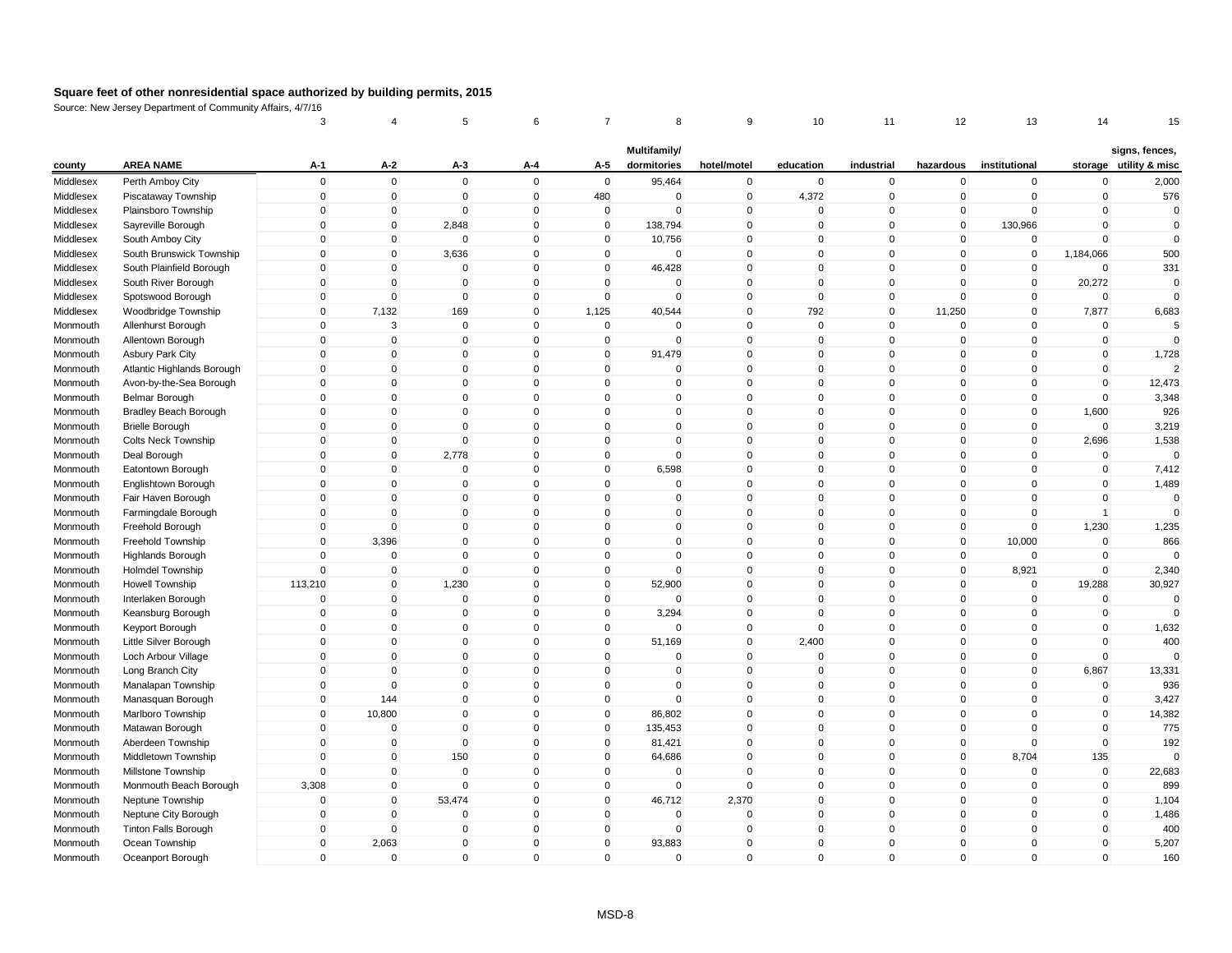|                        |                                                       | 3            | 4                        | 5                     | 6                          |                            | 8                           | 9                    | 10                         | 11             | 12           | 13            | 14             | 15                                       |
|------------------------|-------------------------------------------------------|--------------|--------------------------|-----------------------|----------------------------|----------------------------|-----------------------------|----------------------|----------------------------|----------------|--------------|---------------|----------------|------------------------------------------|
| county                 | <b>AREA NAME</b>                                      | A-1          | A-2                      | A-3                   | A-4                        | A-5                        | Multifamily/<br>dormitories | hotel/motel          | education                  | industrial     | hazardous    | institutional |                | signs, fences,<br>storage utility & misc |
|                        | Perth Amboy City                                      | $\mathsf 0$  | $\mathbf 0$              | $\mathbf 0$           | $\mathbf 0$                | $\mathbf 0$                | 95,464                      | $\mathbf 0$          | $\mathbf 0$                | 0              | $\pmb{0}$    | $\mathbf 0$   | $\mathbf 0$    | 2,000                                    |
| Middlesex<br>Middlesex | Piscataway Township                                   | $\mathbf 0$  | $\pmb{0}$                | $\mathbf 0$           | $\mathbf 0$                | 480                        | $\mathbf 0$                 | $\mathbf 0$          | 4,372                      | 0              | $\mathbf 0$  | $\mathbf 0$   | $\mathbf 0$    | 576                                      |
|                        |                                                       | $\mathbf 0$  | $\pmb{0}$                | $\Omega$              | $\mathsf{O}\xspace$        | $\mathbf 0$                | $\mathbf 0$                 | $\Omega$             | $\Omega$                   | 0              | $\mathbf 0$  | $\Omega$      | $\mathbf 0$    | $\Omega$                                 |
| Middlesex<br>Middlesex | Plainsboro Township                                   | $\mathbf 0$  | $\mathbf 0$              | 2,848                 | $\mathbf 0$                | $\mathbf 0$                | 138,794                     | $\Omega$             | $\mathbf{0}$               | $\mathbf{0}$   | $\mathbf 0$  | 130,966       | $\mathbf 0$    | $\mathbf 0$                              |
| Middlesex              | Sayreville Borough<br>South Amboy City                | $\mathbf 0$  | $\pmb{0}$                | $\mathbf 0$           | $\mathbf 0$                | $\mathbf 0$                | 10,756                      | $\mathbf 0$          | $\mathbf 0$                | 0              | $\mathbf 0$  | $\mathbf 0$   | $\mathbf 0$    | $\mathbf 0$                              |
| Middlesex              | South Brunswick Township                              | $\Omega$     | $\mathbf 0$              | 3,636                 | $\mathbf 0$                | $\mathbf 0$                | $\mathbf 0$                 | $\mathbf{0}$         | $\Omega$                   | $\Omega$       | $\mathbf 0$  | $\mathbf 0$   | 1,184,066      | 500                                      |
|                        | South Plainfield Borough                              | $\Omega$     | $\mathbf 0$              | $\Omega$              | $\mathbf{0}$               | $\mathbf 0$                | 46,428                      | $\mathbf{0}$         | $\Omega$                   | $\mathbf{0}$   | $\Omega$     | $\mathbf 0$   | $\mathbf 0$    | 331                                      |
| Middlesex<br>Middlesex | South River Borough                                   | 0            | $\mathbf 0$              | $\mathbf 0$           | $\mathbf 0$                | $\mathbf 0$                | $\mathbf 0$                 | $\mathbf 0$          | $\mathbf 0$                | 0              | $\mathbf 0$  | $\mathbf 0$   | 20,272         | 0                                        |
| Middlesex              | Spotswood Borough                                     | $\mathbf 0$  | $\mathbf 0$              | $\mathbf{0}$          | $\mathbf 0$                | $\mathsf 0$                | $\mathsf 0$                 | $\Omega$             | $\mathbf{0}$               | $\overline{0}$ | $\mathbf{0}$ | $\mathbf 0$   | $\mathbf 0$    | $\Omega$                                 |
|                        | Woodbridge Township                                   | $\mathbf 0$  | 7,132                    | 169                   | $\mathbf 0$                | 1,125                      | 40,544                      | $\mathbf 0$          | 792                        | 0              | 11,250       | $\mathbf 0$   | 7,877          | 6,683                                    |
| Middlesex              | Allenhurst Borough                                    | 0            | $\mathbf{3}$             | $\mathbf 0$           | $\mathbf 0$                | $\mathbf 0$                | 0                           | $\Omega$             | $\mathbf 0$                | $\Omega$       | $\Omega$     | $\Omega$      | $\Omega$       | 5                                        |
| Monmouth<br>Monmouth   | Allentown Borough                                     | $\mathbf 0$  | $\pmb{0}$                | $\mathbf 0$           | $\mathbf 0$                | $\mathbf 0$                | $\mathsf 0$                 | $\mathbf{0}$         | $\mathbf 0$                | 0              | $\mathbf 0$  | $\mathbf 0$   | $\pmb{0}$      | $\Omega$                                 |
|                        |                                                       | $\mathbf 0$  | $\mathbf 0$              | $\mathbf 0$           | $\mathbf 0$                | $\mathbf 0$                | 91,479                      | $\mathbf 0$          | $\mathbf 0$                | 0              | $\mathbf 0$  | $\mathbf 0$   | $\mathbf 0$    |                                          |
| Monmouth               | <b>Asbury Park City</b><br>Atlantic Highlands Borough | $\mathbf{0}$ | $\mathbf 0$              | $\mathbf 0$           | $\mathbf{0}$               | $\mathbf 0$                | $\mathbf 0$                 | $\mathbf{0}$         | $\Omega$                   | $\mathbf{0}$   | $\Omega$     | $\Omega$      | $\mathbf 0$    | 1,728<br>$\overline{2}$                  |
| Monmouth               | Avon-by-the-Sea Borough                               | 0            | $\mathbf 0$              | $\Omega$              | $\mathbf 0$                | $\mathbf 0$                | $\mathbf 0$                 | $\mathbf{0}$         | $\Omega$                   | $\Omega$       | $\mathbf 0$  | $\mathbf 0$   | $\mathbf 0$    | 12,473                                   |
| Monmouth               | <b>Belmar Borough</b>                                 | $\mathbf 0$  | $\mathbf 0$              | $\mathbf 0$           | $\mathbf 0$                | $\mathbf 0$                | $\mathbf 0$                 | $\mathbf 0$          | $\mathbf 0$                | 0              | $\mathbf 0$  | $\mathbf 0$   | $\mathbf 0$    | 3,348                                    |
| Monmouth<br>Monmouth   |                                                       | $\mathbf 0$  | $\mathbf 0$              | $\mathbf 0$           | $\mathbf 0$                | $\mathsf 0$                | $\mathbf 0$                 | $\mathbf 0$          | $\mathbf 0$                | 0              | $\mathbf 0$  | $\mathbf 0$   | 1,600          | 926                                      |
|                        | Bradley Beach Borough                                 | $\mathbf 0$  | $\mathbf 0$              | $\mathbf 0$           | $\mathbf 0$                | $\mathbf 0$                | $\mathbf 0$                 | $\mathbf 0$          | $\mathbf 0$                | 0              | $\mathbf 0$  | $\mathbf 0$   | $\mathbf 0$    |                                          |
| Monmouth               | <b>Brielle Borough</b><br><b>Colts Neck Township</b>  | $\mathbf 0$  | $\mathbf 0$              | $\Omega$              | 0                          | $\mathbf 0$                | 0                           | $\Omega$             | $\Omega$                   | 0              | $\mathbf 0$  | 0             | 2,696          | 3,219<br>1,538                           |
| Monmouth               |                                                       | $\mathbf 0$  | $\mathbf 0$              | 2,778                 | $\mathbf 0$                | $\mathsf 0$                | $\mathbf 0$                 | $\Omega$             | $\mathbf{0}$               | $\mathbf{0}$   | $\mathbf 0$  | $\mathbf 0$   | $\mathbf 0$    | $\Omega$                                 |
| Monmouth               | Deal Borough                                          | $\mathbf 0$  | $\mathbf 0$              | $\mathbf 0$           | $\mathbf 0$                | $\mathbf 0$                | 6,598                       | $\mathbf 0$          | $\mathbf 0$                | 0              | $\mathbf 0$  | $\mathbf 0$   | $\mathbf 0$    | 7,412                                    |
| Monmouth               | Eatontown Borough                                     | $\Omega$     | $\pmb{0}$                | $\Omega$              | $\mathsf{O}\xspace$        | $\pmb{0}$                  | $\Omega$                    | $\mathbf{0}$         | $\mathbf{0}$               | $\Omega$       | $\mathbf{0}$ | $\Omega$      | $\Omega$       | 1,489                                    |
| Monmouth<br>Monmouth   | Englishtown Borough<br>Fair Haven Borough             | $\Omega$     | $\mathbf 0$              | $\Omega$              | $\mathbf{0}$               | $\mathsf 0$                | $\mathbf 0$                 | $\mathbf{0}$         | $\Omega$                   | $\mathbf{0}$   | $\mathbf{0}$ | $\Omega$      | $\mathbf 0$    | $\mathbf 0$                              |
|                        |                                                       | 0            | $\mathbf 0$              | $\mathbf 0$           | $\mathbf 0$                | $\mathbf 0$                | $\mathbf 0$                 | $\mathbf 0$          | 0                          | 0              | $\mathbf 0$  | $\mathbf 0$   | $\overline{1}$ | $\Omega$                                 |
| Monmouth<br>Monmouth   | Farmingdale Borough<br>Freehold Borough               | $\mathbf 0$  | $\mathbf 0$              | $\mathbf{0}$          | $\mathbf{0}$               | $\mathbf 0$                | $\mathbf{0}$                | $\Omega$             | $\mathbf{0}$               | $\mathbf{0}$   | $\mathbf 0$  | $\mathbf 0$   | 1,230          | 1,235                                    |
|                        | Freehold Township                                     | $\mathbf 0$  | 3,396                    | $\mathbf 0$           | $\mathbf 0$                | $\mathbf 0$                | $\mathbf 0$                 | $\mathbf 0$          | $\mathbf 0$                | 0              | $\mathbf 0$  | 10,000        | $\mathbf 0$    | 866                                      |
| Monmouth<br>Monmouth   | <b>Highlands Borough</b>                              | $\mathbf 0$  | $\pmb{0}$                | $\mathbf 0$           | $\mathbf 0$                | $\mathbf 0$                | $\mathbf 0$                 | $\mathbf 0$          | $\mathbf 0$                | 0              | $\mathbf 0$  | $\mathbf 0$   | $\pmb{0}$      | $\cap$                                   |
| Monmouth               | <b>Holmdel Township</b>                               | $\mathbf{0}$ | $\pmb{0}$                | $\mathbf 0$           | $\mathbf{0}$               | $\mathsf 0$                | $\mathsf 0$                 | $\Omega$             | $\Omega$                   | $\mathbf{0}$   | $\mathbf 0$  | 8,921         | $\mathbf 0$    | 2,340                                    |
| Monmouth               | Howell Township                                       | 113,210      | $\pmb{0}$                | 1,230                 | $\mathbf 0$                | $\mathbf 0$                | 52,900                      | $\mathbf 0$          | $\mathbf 0$                | 0              | $\pmb{0}$    | $\mathbf 0$   | 19,288         | 30,927                                   |
|                        | Interlaken Borough                                    | $\mathbf 0$  | $\pmb{0}$                | $\mathbf 0$           | $\mathbf 0$                | $\mathbf 0$                | $\mathbf 0$                 | $\mathbf 0$          | $\mathbf 0$                | 0              | $\mathbf 0$  | $\mathbf 0$   | $\mathbf 0$    | 0                                        |
| Monmouth<br>Monmouth   | Keansburg Borough                                     | $\mathbf 0$  | $\mathbf 0$              | $\Omega$              | $\mathbf 0$                | $\mathbf 0$                | 3,294                       | $\mathbf 0$          | $\Omega$                   | $\Omega$       | $\mathbf 0$  | $\mathbf 0$   | $\mathbf 0$    | $\Omega$                                 |
| Monmouth               |                                                       | $\mathbf 0$  | $\mathbf 0$              | $\Omega$              | $\mathbf{0}$               | $\mathbf 0$                | $\mathbf 0$                 | $\Omega$             | $\mathbf 0$                | $\mathbf{0}$   | $\mathbf{0}$ | $\mathbf 0$   | $\mathbf 0$    | 1,632                                    |
| Monmouth               | Keyport Borough<br>Little Silver Borough              | $\mathbf 0$  | $\mathbf 0$              | $\mathbf 0$           | $\mathbf 0$                | $\mathbf 0$                | 51,169                      | $\mathbf 0$          | 2,400                      | 0              | $\mathbf 0$  | $\mathbf 0$   | $\mathbf 0$    | 400                                      |
| Monmouth               | Loch Arbour Village                                   | $\mathbf 0$  | $\mathbf 0$              | $\mathbf{0}$          | $\mathbf 0$                | $\mathsf 0$                | $\mathbf 0$                 | $\mathbf 0$          | $\mathbf 0$                | 0              | $\mathbf 0$  | $\mathbf 0$   | $\mathbf 0$    | $\Omega$                                 |
|                        | Long Branch City                                      | $\mathbf 0$  | $\pmb{0}$                | 0                     | $\mathbf 0$                | $\mathbf 0$                | 0                           | $\mathbf 0$          | 0                          | 0              | $\mathbf 0$  | 0             | 6,867          | 13,331                                   |
| Monmouth<br>Monmouth   | Manalapan Township                                    | $\mathbf{0}$ | $\mathbf 0$              | $\Omega$              | $\mathbf{0}$               | $\mathbf 0$                | $\Omega$                    | $\Omega$             | $\mathbf{0}$               | $\mathbf{0}$   | $\Omega$     | $\mathbf 0$   | $\mathbf 0$    | 936                                      |
| Monmouth               | Manasquan Borough                                     | $\mathbf 0$  | 144                      | $\mathbf 0$           | $\mathbf 0$                | $\mathbf 0$                | $\mathbf 0$                 | $\Omega$             | $\mathbf 0$                | 0              | $\mathbf 0$  | $\mathbf 0$   | $\mathbf 0$    | 3,427                                    |
|                        | Marlboro Township                                     | $\mathbf 0$  | 10,800                   | $\mathbf 0$           | $\mathbf 0$                | $\mathbf 0$                | 86,802                      | $\mathbf 0$          | $\mathbf 0$                | 0              | $\mathbf 0$  | $\mathbf 0$   | $\mathbf 0$    | 14,382                                   |
| Monmouth<br>Monmouth   | Matawan Borough                                       | $\Omega$     | $\mathbf 0$              | $\Omega$              | $\mathbf{0}$               | $\mathbf 0$                | 135,453                     | $\mathbf{0}$         | $\Omega$                   | $\Omega$       | $\mathbf{0}$ | $\Omega$      | $\mathbf 0$    | 775                                      |
| Monmouth               | Aberdeen Township                                     | $\mathbf 0$  | $\mathbf 0$              | $\mathbf 0$           | $\mathbf 0$                | $\mathbf 0$                | 81,421                      | $\mathbf{0}$         | $\Omega$                   | $\Omega$       | $\mathbf 0$  | $\mathbf 0$   | $\mathbf 0$    | 192                                      |
|                        |                                                       | $\mathbf{0}$ | $\mathbf 0$              | 150                   | $\mathbf{0}$               | $\mathbf{0}$               |                             | $\Omega$             | $\mathbf{0}$               | $\mathbf{0}$   | $\mathbf{0}$ | 8,704         | 135            | $\Omega$                                 |
| Monmouth<br>Monmouth   | Middletown Township<br>Millstone Township             | $\mathbf 0$  | $\pmb{0}$                | $\mathbf 0$           | $\mathbf 0$                | $\mathbf 0$                | 64,686<br>$\mathbf 0$       | $\mathbf 0$          | $\mathbf 0$                | 0              | $\mathbf 0$  | $\mathbf 0$   | $\mathbf 0$    | 22,683                                   |
|                        |                                                       | 3,308        | $\pmb{0}$                | $\mathbf 0$           | $\mathbf 0$                | $\mathbf 0$                | $\mathbf 0$                 | $\Omega$             | $\mathbf 0$                | 0              | $\mathbf 0$  | 0             | $\mathbf 0$    | 899                                      |
| Monmouth               | Monmouth Beach Borough                                | $\mathbf 0$  |                          |                       |                            |                            |                             |                      |                            | 0              | $\mathbf 0$  | $\mathbf 0$   | $\mathbf 0$    |                                          |
| Monmouth               | Neptune Township                                      | $\mathbf 0$  | $\pmb{0}$<br>$\mathbf 0$ | 53,474<br>$\mathbf 0$ | $\mathbf 0$<br>$\mathbf 0$ | $\pmb{0}$<br>$\mathbf 0$   | 46,712<br>$\mathbf 0$       | 2,370<br>$\mathbf 0$ | $\mathbf 0$<br>$\mathbf 0$ | 0              | $\mathbf 0$  | $\mathbf 0$   | $\mathbf 0$    | 1,104<br>1,486                           |
| Monmouth               | Neptune City Borough                                  | $\mathbf 0$  | $\mathbf 0$              | $\mathbf 0$           | $\mathbf 0$                |                            | $\mathbf 0$                 | $\Omega$             | 0                          | 0              | $\mathbf 0$  | $\mathbf 0$   | $\mathbf 0$    |                                          |
| Monmouth               | <b>Tinton Falls Borough</b>                           | $\mathbf{0}$ | 2,063                    | $\Omega$              | $\mathbf 0$                | $\mathbf 0$<br>$\mathbf 0$ | 93,883                      | $\Omega$             | $\Omega$                   | $\mathbf{0}$   | $\mathbf 0$  | $\Omega$      | $\mathbf 0$    | 400<br>5,207                             |
| Monmouth               | Ocean Township                                        | $\Omega$     | $\mathbf 0$              | $\mathbf{0}$          | $\mathbf{0}$               | $\mathbf 0$                | $\mathbf 0$                 | $\Omega$             | $\Omega$                   | $\mathbf{0}$   | $\mathbf 0$  | $\mathbf 0$   | $\mathbf 0$    | 160                                      |
| Monmouth               | Oceanport Borough                                     |              |                          |                       |                            |                            |                             |                      |                            |                |              |               |                |                                          |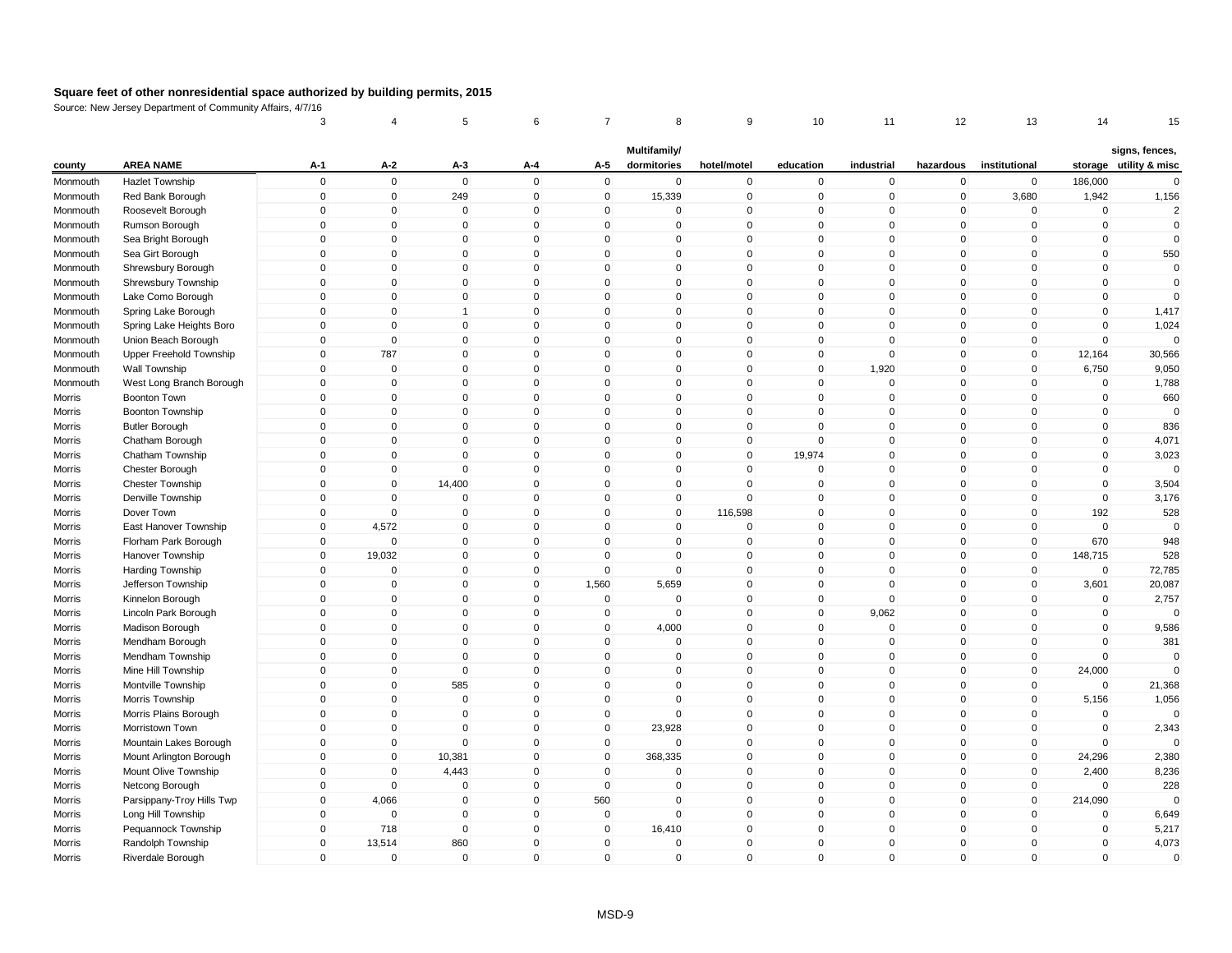|          |                           | 3           | 4              | 5              | 6            | 7            | 8                           | 9              | 10           | 11          | 12                  | 13             | 14          | 15                                       |
|----------|---------------------------|-------------|----------------|----------------|--------------|--------------|-----------------------------|----------------|--------------|-------------|---------------------|----------------|-------------|------------------------------------------|
| county   | <b>AREA NAME</b>          | $A-1$       | $A-2$          | $A-3$          | A-4          | A-5          | Multifamily/<br>dormitories | hotel/motel    | education    | industrial  | hazardous           | institutional  |             | signs, fences,<br>storage utility & misc |
| Monmouth | <b>Hazlet Township</b>    | $\mathsf 0$ | $\mathbf 0$    | $\mathbf 0$    | $\mathbf 0$  | $\mathbf 0$  | $\mathbf 0$                 | $\mathbf 0$    | $\mathbf 0$  | $\mathbf 0$ | $\mathbf 0$         | $\mathbf 0$    | 186,000     | $\mathbf 0$                              |
| Monmouth | Red Bank Borough          | $\mathsf 0$ | $\overline{0}$ | 249            | $\mathbf 0$  | $\mathbf 0$  | 15,339                      | $\mathbf 0$    | $\mathbf 0$  | $\mathbf 0$ | $\mathbf 0$         | 3,680          | 1,942       | 1,156                                    |
| Monmouth | Roosevelt Borough         | $\mathbf 0$ | $\mathbf{0}$   | 0              | $\pmb{0}$    | $\Omega$     | 0                           | $\mathbf 0$    | $\mathbf 0$  | $\mathbf 0$ | 0                   | 0              | $\pmb{0}$   | $\overline{2}$                           |
| Monmouth | Rumson Borough            | $\mathsf 0$ | $\mathbf{0}$   | $\Omega$       | $\mathbf{0}$ | $\mathbf{0}$ | $\mathbf{0}$                | $\mathbf 0$    | $\mathbf 0$  | $\Omega$    | $\mathbf 0$         | $\mathbf 0$    | $\mathbf 0$ | $\mathbf 0$                              |
| Monmouth | Sea Bright Borough        | $\mathsf 0$ | $\mathbf 0$    | $\overline{0}$ | $\mathbf 0$  | $\mathbf 0$  | $\mathbf 0$                 | $\mathbf 0$    | $\mathbf 0$  | $\mathbf 0$ | $\mathbf 0$         | $\mathbf 0$    | $\mathbf 0$ | $\mathbf 0$                              |
| Monmouth | Sea Girt Borough          | $\mathbf 0$ | $\mathbf{0}$   | $\Omega$       | $\mathbf{0}$ | $\Omega$     | $\mathbf{0}$                | $\mathbf 0$    | $\mathbf 0$  | $\mathbf 0$ | $\mathbf 0$         | $\Omega$       | $\mathbf 0$ | 550                                      |
| Monmouth | Shrewsbury Borough        | $\Omega$    | $\mathbf 0$    | $\mathbf 0$    | $\mathbf{0}$ | $\Omega$     | $\mathbf{0}$                | $\pmb{0}$      | $\mathbf 0$  | $\mathbf 0$ | $\mathbf 0$         | $\mathbf{0}$   | $\mathbf 0$ | $\Omega$                                 |
| Monmouth | Shrewsbury Township       | $\mathsf 0$ | $\mathbf 0$    | 0              | $\mathbf 0$  | $\mathbf 0$  | $\mathbf 0$                 | $\mathbf 0$    | $\mathbf 0$  | $\mathbf 0$ | $\mathbf 0$         | 0              | $\mathbf 0$ | $\mathbf 0$                              |
| Monmouth | Lake Como Borough         | $\mathsf 0$ | $\mathbf{0}$   | $\mathbf 0$    | $\mathbf{0}$ | $\Omega$     | $\mathbf{0}$                | $\mathbf 0$    | $\mathbf 0$  | $\mathbf 0$ | $\mathbf 0$         | $\mathbf{0}$   | $\mathbf 0$ | $\Omega$                                 |
| Monmouth | Spring Lake Borough       | $\mathbf 0$ | $\mathbf 0$    | 1              | $\mathbf 0$  | $\mathbf 0$  | $\mathbf 0$                 | $\mathbf 0$    | $\mathbf 0$  | $\mathbf 0$ | $\mathbf 0$         | $\mathbf 0$    | $\mathbf 0$ | 1,417                                    |
| Monmouth | Spring Lake Heights Boro  | $\Omega$    | $\mathbf 0$    | $\mathbf 0$    | $\mathbf 0$  | $\Omega$     | $\mathbf 0$                 | $\pmb{0}$      | 0            | $\Omega$    | 0                   | $\mathbf 0$    | $\mathbf 0$ | 1,024                                    |
| Monmouth | Union Beach Borough       | $\mathbf 0$ | $\overline{0}$ | $\overline{0}$ | $\mathbf 0$  | $\mathbf 0$  | $\mathbf 0$                 | $\mathbf 0$    | $\mathbf 0$  | $\mathsf 0$ | $\mathbf 0$         | $\mathbf{0}$   | $\mathbf 0$ | $\mathbf 0$                              |
| Monmouth | Upper Freehold Township   | $\mathsf 0$ | 787            | $\mathbf 0$    | $\mathbf 0$  | $\mathbf 0$  | $\mathbf 0$                 | $\mathbf 0$    | $\mathbf 0$  | $\mathsf 0$ | $\mathbf 0$         | $\mathbf 0$    | 12,164      | 30,566                                   |
| Monmouth | Wall Township             | $\Omega$    | $\overline{0}$ | $\mathbf 0$    | $\mathbf{0}$ | $\Omega$     | $\mathbf 0$                 | $\mathbf 0$    | $\mathbf 0$  | 1,920       | $\mathbf 0$         | $\mathbf{0}$   | 6,750       | 9,050                                    |
| Monmouth | West Long Branch Borough  | $\mathbf 0$ | $\mathbf 0$    | $\mathbf 0$    | $\mathbf{0}$ | $\Omega$     | $\mathbf{0}$                | $\pmb{0}$      | $\mathbf 0$  | $\mathbf 0$ | $\mathbf 0$         | $\mathbf 0$    | $\mathbf 0$ | 1,788                                    |
| Morris   | <b>Boonton Town</b>       | $\mathsf 0$ | $\mathbf 0$    | $\mathbf 0$    | $\mathbf 0$  | $\mathbf 0$  | $\mathbf 0$                 | $\mathbf 0$    | $\mathsf 0$  | $\mathbf 0$ | $\mathbf 0$         | $\mathbf 0$    | $\mathbf 0$ | 660                                      |
| Morris   | Boonton Township          | $\mathsf 0$ | $\mathbf 0$    | $\mathbf 0$    | $\mathbf 0$  | $\mathbf 0$  | $\mathbf 0$                 | $\mathbf 0$    | $\mathbf 0$  | $\mathbf 0$ | $\mathbf 0$         | $\mathbf 0$    | $\mathbf 0$ | $\mathbf 0$                              |
| Morris   | <b>Butler Borough</b>     | $\mathsf 0$ | $\mathbf 0$    | $\mathbf 0$    | $\mathbf 0$  | $\mathbf 0$  | $\mathbf 0$                 | $\mathbf 0$    | $\mathbf 0$  | $\mathbf 0$ | $\mathbf 0$         | $\mathbf 0$    | $\mathbf 0$ | 836                                      |
| Morris   | Chatham Borough           | 0           | $\Omega$       | 0              | $\mathbf 0$  | $\Omega$     | 0                           | $\mathbf 0$    | 0            | $\mathbf 0$ | 0                   | 0              | $\pmb{0}$   | 4,071                                    |
| Morris   | Chatham Township          | $\mathsf 0$ | $\mathbf{0}$   | $\mathbf 0$    | $\mathbf 0$  | $\mathbf{0}$ | $\mathbf{0}$                | $\mathbf 0$    | 19,974       | $\mathbf 0$ | $\mathbf 0$         | $\mathbf{0}$   | $\mathbf 0$ | 3,023                                    |
| Morris   | Chester Borough           | $\mathbf 0$ | $\mathbf 0$    | $\mathbf 0$    | $\mathbf 0$  | $\mathbf 0$  | $\mathbf 0$                 | $\mathbf 0$    | $\mathbf 0$  | $\mathbf 0$ | $\mathbf 0$         | $\mathbf{0}$   | $\mathbf 0$ | $\Omega$                                 |
| Morris   | <b>Chester Township</b>   | $\mathbf 0$ | $\mathbf{0}$   | 14,400         | $\mathbf{0}$ | $\mathbf{0}$ | $\mathbf{0}$                | $\mathbf 0$    | $\mathbf 0$  | $\Omega$    | $\mathsf{O}\xspace$ | $\mathbf{0}$   | $\mathbf 0$ | 3,504                                    |
| Morris   | Denville Township         | $\Omega$    | $\mathbf{0}$   | $\mathbf 0$    | $\mathbf{0}$ | $\Omega$     | $\mathbf{0}$                | $\pmb{0}$      | $\mathbf 0$  | $\mathbf 0$ | $\mathbf 0$         | $\mathbf{0}$   | $\mathbf 0$ | 3,176                                    |
| Morris   | Dover Town                | $\mathbf 0$ | $\mathbf 0$    | 0              | $\mathbf 0$  | 0            | $\mathbf 0$                 | 116,598        | $\mathbf 0$  | $\mathbf 0$ | $\mathbf 0$         | $\mathbf 0$    | 192         | 528                                      |
| Morris   | East Hanover Township     | $\mathbf 0$ | 4,572          | $\mathbf 0$    | $\mathbf{0}$ | $\Omega$     | $\mathbf{0}$                | $\mathbf 0$    | $\mathbf 0$  | $\mathbf 0$ | $\mathbf 0$         | $\mathbf 0$    | $\mathbf 0$ | $\mathbf 0$                              |
| Morris   | Florham Park Borough      | $\mathbf 0$ | $\mathbf 0$    | 0              | $\mathbf 0$  | $\mathbf 0$  | $\mathbf 0$                 | $\pmb{0}$      | $\mathbf 0$  | $\mathbf 0$ | $\mathbf 0$         | $\mathbf 0$    | 670         | 948                                      |
| Morris   | Hanover Township          | $\mathbf 0$ | 19,032         | $\mathbf 0$    | $\mathbf 0$  | $\mathbf 0$  | $\mathbf 0$                 | $\mathbf 0$    | $\mathbf 0$  | $\mathbf 0$ | $\mathbf 0$         | $\mathbf 0$    | 148,715     | 528                                      |
| Morris   | Harding Township          | $\mathbf 0$ | $\mathbf{0}$   | $\mathbf 0$    | $\mathbf{0}$ | $\Omega$     | $\mathbf{0}$                | $\mathbf 0$    | $\mathbf 0$  | $\mathbf 0$ | $\mathbf 0$         | $\mathbf{0}$   | $\mathbf 0$ | 72,785                                   |
| Morris   | Jefferson Township        | $\mathsf 0$ | $\overline{0}$ | $\mathbf 0$    | $\mathbf 0$  | 1,560        | 5,659                       | $\mathbf 0$    | $\mathbf 0$  | $\mathbf 0$ | $\mathbf 0$         | $\mathbf 0$    | 3,601       | 20,087                                   |
| Morris   | Kinnelon Borough          | $\mathsf 0$ | $\mathbf 0$    | $\mathbf 0$    | $\mathbf 0$  | $\mathbf 0$  | $\mathbf 0$                 | $\overline{0}$ | $\mathbf 0$  | $\mathbf 0$ | $\mathbf 0$         | $\mathbf 0$    | $\mathbf 0$ | 2,757                                    |
| Morris   | Lincoln Park Borough      | $\mathbf 0$ | $\Omega$       | 0              | $\mathbf 0$  | $\mathbf 0$  | $\mathbf{0}$                | $\mathbf 0$    | $\mathbf 0$  | 9,062       | $\mathbf 0$         | $\mathbf 0$    | $\mathbf 0$ |                                          |
| Morris   | Madison Borough           | $\Omega$    | $\mathbf 0$    | $\mathbf{0}$   | $\mathbf{0}$ | $\mathbf 0$  | 4,000                       | $\mathbf 0$    | $\mathbf 0$  | $\mathsf 0$ | $\mathbf 0$         | $\mathbf{0}$   | $\mathbf 0$ | 9,586                                    |
| Morris   | Mendham Borough           | $\mathsf 0$ | $\mathbf 0$    | $\mathbf 0$    | $\mathbf 0$  | $\mathbf 0$  | $\mathbf 0$                 | $\mathbf 0$    | $\mathbf 0$  | $\mathsf 0$ | $\mathbf 0$         | $\mathbf 0$    | $\mathbf 0$ | 381                                      |
| Morris   | Mendham Township          | $\mathsf 0$ | $\mathbf 0$    | $\mathbf 0$    | $\mathbf{0}$ | $\mathbf 0$  | $\mathbf 0$                 | $\mathbf 0$    | $\mathbf 0$  | $\mathbf 0$ | $\mathbf 0$         | $\mathbf 0$    | $\mathbf 0$ | $\mathbf 0$                              |
| Morris   | Mine Hill Township        | $\mathsf 0$ | 0              | $\mathbf 0$    | $\mathbf 0$  | 0            | 0                           | $\mathbf 0$    | 0            | $\mathbf 0$ | $\mathbf 0$         | $\mathbf 0$    | 24,000      | $\Omega$                                 |
| Morris   | Montville Township        | $\Omega$    | $\mathbf{0}$   | 585            | $\mathbf{0}$ | $\mathbf{0}$ | $\mathbf{0}$                | $\mathbf 0$    | $\mathbf 0$  | $\Omega$    | $\mathbf{0}$        | $\mathbf 0$    | $\mathbf 0$ | 21,368                                   |
| Morris   | Morris Township           | $\mathbf 0$ | $\mathbf 0$    | $\overline{0}$ | $\mathbf 0$  | $\mathbf 0$  | $\mathbf 0$                 | $\mathbf 0$    | $\mathbf 0$  | $\mathbf 0$ | $\mathbf 0$         | $\mathbf 0$    | 5,156       | 1,056                                    |
| Morris   | Morris Plains Borough     | $\mathbf 0$ | $\mathbf 0$    | $\mathbf 0$    | $\mathbf 0$  | $\mathbf 0$  | $\mathbf 0$                 | $\overline{0}$ | $\mathbf 0$  | $\mathbf 0$ | $\mathbf 0$         | $\mathbf 0$    | $\mathbf 0$ | $\Omega$                                 |
| Morris   | Morristown Town           | $\Omega$    | $\mathbf 0$    | $\mathbf 0$    | $\mathbf{0}$ | $\mathbf 0$  | 23,928                      | $\mathbf 0$    | $\mathbf 0$  | $\mathbf 0$ | $\mathbf 0$         | $\mathbf{0}$   | $\mathbf 0$ | 2,343                                    |
| Morris   | Mountain Lakes Borough    | $\mathsf 0$ | $\mathbf 0$    | $\mathbf 0$    | $\mathbf 0$  | $\mathbf 0$  | $\mathbf 0$                 | $\mathbf 0$    | $\mathbf 0$  | $\mathsf 0$ | $\mathbf 0$         | $\mathbf 0$    | $\mathbf 0$ |                                          |
| Morris   | Mount Arlington Borough   | $\mathbf 0$ | $\mathbf{0}$   | 10,381         | $\mathbf{0}$ | $\mathbf{0}$ | 368,335                     | $\mathbf{0}$   | $\mathbf 0$  | $\Omega$    | $\mathbf{0}$        | $\mathbf{0}$   | 24,296      | 2,380                                    |
| Morris   | Mount Olive Township      | $\mathbf 0$ | $\mathbf 0$    | 4,443          | $\mathbf 0$  | $\mathbf 0$  | $\mathbf 0$                 | $\overline{0}$ | $\mathbf 0$  | $\mathbf 0$ | $\mathbf 0$         | $\mathbf 0$    | 2,400       | 8,236                                    |
| Morris   | Netcong Borough           | 0           | $\mathbf 0$    | $\mathbf 0$    | $\mathbf 0$  | $\mathbf 0$  | $\mathbf 0$                 | $\mathbf 0$    | $\mathbf 0$  | $\mathbf 0$ | $\mathbf 0$         | $\mathbf 0$    | $\mathbf 0$ | 228                                      |
| Morris   | Parsippany-Troy Hills Twp | $\mathbf 0$ | 4,066          | $\mathbf 0$    | $\mathbf 0$  | 560          | $\mathbf 0$                 | $\pmb{0}$      | $\mathbf 0$  | $\mathsf 0$ | $\mathbf 0$         | $\mathbf 0$    | 214,090     | $\Omega$                                 |
| Morris   | Long Hill Township        | $\mathsf 0$ | $\mathbf 0$    | $\mathbf 0$    | $\mathbf 0$  | $\mathbf 0$  | $\mathbf 0$                 | $\mathbf 0$    | $\mathbf 0$  | $\mathbf 0$ | $\mathbf 0$         | $\overline{0}$ | $\mathbf 0$ | 6,649                                    |
| Morris   | Pequannock Township       | $\mathbf 0$ | 718            | $\overline{0}$ | $\mathbf 0$  | $\mathbf 0$  | 16,410                      | $\overline{0}$ | $\mathbf 0$  | $\mathbf 0$ | $\mathbf 0$         | $\overline{0}$ | $\mathbf 0$ | 5,217                                    |
| Morris   | Randolph Township         | $\mathsf 0$ | 13,514         | 860            | $\mathbf{0}$ | $\Omega$     | $\mathbf{0}$                | $\pmb{0}$      | $\mathbf 0$  | $\mathbf 0$ | $\mathbf 0$         | $\mathbf{0}$   | $\mathbf 0$ | 4,073                                    |
| Morris   | Riverdale Borough         | $\Omega$    | $\mathbf 0$    | $\overline{0}$ | $\mathbf 0$  | $\Omega$     | $\mathbf 0$                 | $\mathbf 0$    | $\mathbf{0}$ | $\mathbf 0$ | $\mathbf 0$         | $\mathbf{0}$   | $\mathbf 0$ | $\mathbf 0$                              |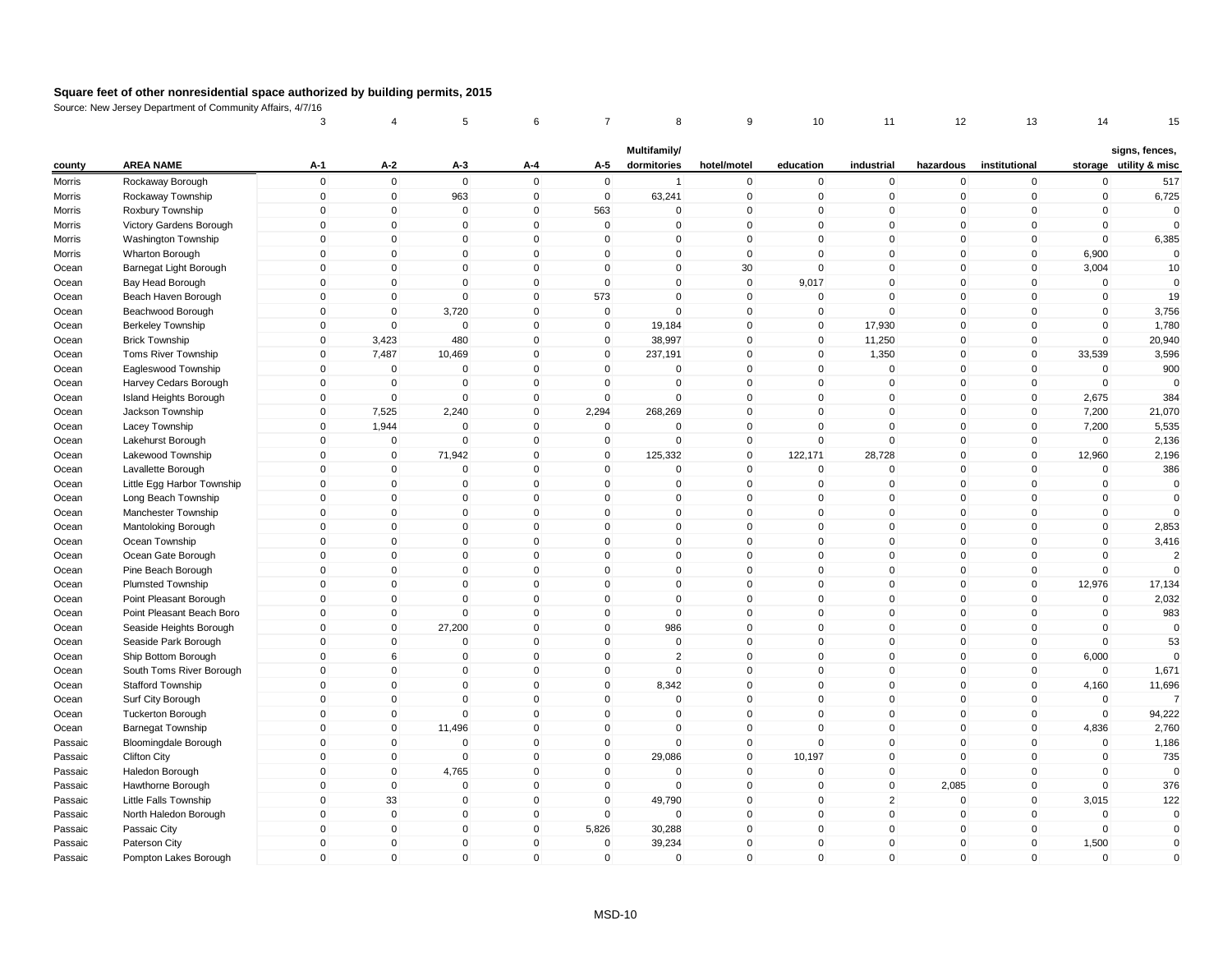|                    |                                                       | 3                          | 4                          | 5                          | 6            | 7                     | 8                           | 9            | 10                      | 11                            | 12                         | 13                         | 14          | 15                                       |
|--------------------|-------------------------------------------------------|----------------------------|----------------------------|----------------------------|--------------|-----------------------|-----------------------------|--------------|-------------------------|-------------------------------|----------------------------|----------------------------|-------------|------------------------------------------|
| county             | <b>AREA NAME</b>                                      | $A-1$                      | A-2                        | $A-3$                      | A-4          | A-5                   | Multifamily/<br>dormitories | hotel/motel  | education               | industrial                    | hazardous                  | institutional              |             | signs, fences,<br>storage utility & misc |
| Morris             | Rockaway Borough                                      | $\mathbf 0$                | $\mathbf 0$                | $\mathbf 0$                | $\mathbf 0$  | $\overline{0}$        | $\overline{1}$              | $\mathbf 0$  | $\mathbf 0$             | $\mathbf 0$                   | $\mathbf 0$                | $\mathbf 0$                | $\mathbf 0$ | 517                                      |
| Morris             | Rockaway Township                                     | $\mathbf 0$                | $\mathbf 0$                | 963                        | $\mathbf 0$  | $\mathbf 0$           | 63,241                      | $\mathbf 0$  | $\mathbf 0$             | $\mathbf 0$                   | $\mathbf 0$                | $\mathbf 0$                | $\mathbf 0$ | 6,725                                    |
| Morris             | Roxbury Township                                      | $\mathsf{O}\xspace$        | 0                          | 0                          | $\mathbf{0}$ | 563                   | $\Omega$                    | $\pmb{0}$    | $\mathbf{0}$            | $\mathbf 0$                   | $\mathbf 0$                | $\Omega$                   | $\mathbf 0$ | $\Omega$                                 |
| Morris             | Victory Gardens Borough                               | $\mathbf 0$                | $\mathbf 0$                | $\Omega$                   | $\Omega$     | $\mathbf 0$           | $\mathbf{0}$                | $\mathbf 0$  | $\mathbf{0}$            | $\Omega$                      | $\mathbf{0}$               | $\mathbf{0}$               | $\mathbf 0$ | $\Omega$                                 |
| Morris             | Washington Township                                   | $\mathbf 0$                | $\mathbf 0$                | $\mathbf 0$                | $\mathbf 0$  | $\mathbf 0$           | $\mathbf 0$                 | $\mathbf 0$  | $\mathbf{0}$            | $\mathbf 0$                   | $\mathbf 0$                | $\mathbf 0$                | $\mathbf 0$ | 6,385                                    |
| Morris             | Wharton Borough                                       | $\mathbf 0$                | $\mathbf 0$                | $\Omega$                   | $\mathbf{0}$ | $\mathbf{0}$          | $\Omega$                    | $\mathbf 0$  | $\Omega$                | $\Omega$                      | $\mathbf 0$                | $\mathbf{0}$               | 6,900       | $\mathbf 0$                              |
|                    |                                                       | $\mathbf{0}$               | $\mathbf 0$                | $\mathbf{0}$               | $\mathbf{0}$ | $\mathbf{0}$          | $\Omega$                    | 30           | $\mathbf{0}$            | $\mathbf 0$                   | $\mathbf 0$                | $\mathbf{0}$               | 3,004       | 10                                       |
| Ocean<br>Ocean     | Barnegat Light Borough<br>Bay Head Borough            | $\mathbf 0$                | $\mathbf 0$                | $\mathbf 0$                | $\mathbf 0$  | $\mathbf 0$           | 0                           | $\mathbf 0$  | 9,017                   | $\mathbf 0$                   | $\mathbf 0$                | $\mathbf 0$                | 0           | 0                                        |
| Ocean              | Beach Haven Borough                                   | $\mathbf 0$                | $\mathbf 0$                | $\mathbf 0$                | $\mathbf{0}$ | 573                   | $\mathbf{0}$                | $\mathbf 0$  | $\mathbf{0}$            | $\mathbf 0$                   | $\mathbf 0$                | $\mathbf{0}$               | $\mathbf 0$ | 19                                       |
| Ocean              | Beachwood Borough                                     | $\mathbf 0$                | $\mathbf 0$                | 3,720                      | $\mathbf 0$  | $\mathbf 0$           | $\mathbf 0$                 | $\mathbf 0$  | $\mathbf 0$             | $\mathbf 0$                   | $\mathbf 0$                | $\mathbf 0$                | $\mathbf 0$ | 3,756                                    |
| Ocean              |                                                       | $\mathbf 0$                | $\Omega$                   | $\mathbf 0$                | $\Omega$     | 0                     |                             | $\mathbf 0$  | $\mathbf 0$             | 17,930                        | 0                          | $\mathbf 0$                | $\mathbf 0$ | 1,780                                    |
| Ocean              | <b>Berkeley Township</b><br><b>Brick Township</b>     | $\mathbf 0$                | 3,423                      | 480                        | $\mathbf{0}$ | $\mathbf 0$           | 19,184<br>38,997            | $\mathbf 0$  | $\mathbf{0}$            | 11,250                        | $\mathbf 0$                | $\mathbf{0}$               | $\mathbf 0$ | 20,940                                   |
|                    |                                                       | $\mathbf 0$                |                            |                            | $\mathbf 0$  | $\mathbf 0$           |                             | $\mathbf 0$  | $\mathbf 0$             | 1,350                         | $\mathbf 0$                | $\mathbf 0$                | 33,539      | 3,596                                    |
| Ocean<br>Ocean     | <b>Toms River Township</b><br>Eagleswood Township     | $\mathbf{0}$               | 7,487<br>$\mathbf 0$       | 10,469<br>$\mathbf 0$      | $\mathbf{0}$ | $\mathbf{0}$          | 237,191<br>$\Omega$         | $\mathbf{0}$ | $\mathbf{0}$            | $\mathbf 0$                   | $\mathbf 0$                | $\mathbf{0}$               | $\mathbf 0$ | 900                                      |
|                    | Harvey Cedars Borough                                 | $\mathbf 0$                | $\mathbf 0$                | $\Omega$                   | $\mathbf{0}$ | $\mathbf{0}$          | $\Omega$                    | $\mathbf 0$  | $\mathbf{0}$            | $\mathbf 0$                   | $\mathbf 0$                | $\mathbf 0$                | $\mathbf 0$ |                                          |
| Ocean              |                                                       | $\mathbf 0$                | $\mathbf 0$                | $\mathbf 0$                | $\mathbf 0$  | $\mathbf 0$           | $\mathbf 0$                 | $\mathbf 0$  | $\mathbf{0}$            | $\mathbf 0$                   | $\mathbf 0$                | $\mathbf 0$                | 2,675       | 384                                      |
| Ocean<br>Ocean     | Island Heights Borough                                | $\mathbf 0$                | 7,525                      | 2,240                      | $\mathbf 0$  | 2,294                 | 268,269                     | $\mathbf 0$  | $\mathbf{0}$            | $\mathbf 0$                   | $\mathbf 0$                | $\mathbf 0$                | 7,200       | 21,070                                   |
|                    | Jackson Township                                      | $\mathbf 0$                |                            | $\mathbf 0$                | $\Omega$     | $\mathbf 0$           | $\mathbf 0$                 | $\mathbf 0$  | $\mathbf{0}$            | $\mathbf 0$                   | $\mathbf 0$                | $\mathbf 0$                | 7,200       |                                          |
| Ocean              | Lacey Township                                        |                            | 1,944                      | $\mathbf 0$                | $\mathbf 0$  |                       | $\mathbf 0$                 | $\mathbf 0$  | $\mathbf 0$             | $\pmb{0}$                     | 0                          |                            | $\Omega$    | 5,535                                    |
| Ocean              | Lakehurst Borough                                     | 0<br>$\mathbf 0$           | $\mathbf 0$<br>$\mathbf 0$ | 71,942                     | $\mathbf{0}$ | 0<br>$\mathbf 0$      | 125,332                     | $\mathsf 0$  |                         | 28,728                        | $\mathbf 0$                | $\mathbf 0$<br>$\mathbf 0$ | 12,960      | 2,136                                    |
| Ocean              | Lakewood Township                                     | $\mathbf 0$                | $\mathbf 0$                | $\mathbf 0$                | $\mathbf 0$  | $\mathbf 0$           | 0                           | $\mathbf 0$  | 122,171<br>$\mathbf{0}$ | $\mathbf 0$                   | $\mathbf 0$                | $\mathbf 0$                | $\mathbf 0$ | 2,196<br>386                             |
| Ocean              | Lavallette Borough                                    | $\mathbf{0}$               | $\mathbf 0$                | $\Omega$                   | $\mathbf{0}$ | $\mathbf{0}$          | $\Omega$                    | $\mathbf 0$  | $\mathbf{0}$            | $\Omega$                      | $\mathbf 0$                | $\mathbf{0}$               | $\mathbf 0$ | $\mathbf 0$                              |
| Ocean              | Little Egg Harbor Township                            | $\mathbf{0}$               | $\mathbf 0$                | $\mathbf 0$                | $\mathbf{0}$ | $\mathbf{0}$          | $\Omega$                    | $\mathbf{0}$ | $\mathbf{0}$            | $\mathbf 0$                   | $\mathbf{0}$               | $\Omega$                   | $\mathbf 0$ | $\mathbf 0$                              |
| Ocean              | Long Beach Township                                   | $\mathbf 0$                | $\mathbf 0$                | $\mathbf 0$                | $\mathbf 0$  | $\mathbf 0$           | 0                           | $\mathbf 0$  | $\mathbf{0}$            | $\mathbf 0$                   | $\mathbf 0$                | $\mathbf 0$                | $\mathbf 0$ | $\Omega$                                 |
| Ocean<br>Ocean     | Manchester Township<br>Mantoloking Borough            | $\mathbf 0$                | $\mathbf 0$                | $\mathbf{0}$               | $\mathbf{0}$ | $\mathbf{0}$          | $\mathbf{0}$                | $\mathbf 0$  | $\mathbf{0}$            | $\mathbf 0$                   | $\mathbf{0}$               | $\mathbf{0}$               | $\mathbf 0$ | 2,853                                    |
|                    |                                                       | $\mathbf 0$                |                            | $\mathbf 0$                | $\mathbf 0$  | $\mathbf 0$           | $\mathbf 0$                 | $\mathbf 0$  | $\mathbf 0$             | $\pmb{0}$                     | $\mathbf 0$                | $\mathbf 0$                | $\mathbf 0$ | 3,416                                    |
| Ocean              | Ocean Township                                        | $\mathbf 0$                | $\mathbf 0$<br>$\mathbf 0$ | $\mathbf 0$                | $\Omega$     | $\mathbf 0$           | $\mathbf 0$                 | $\mathbf 0$  | $\mathbf{0}$            | $\mathbf 0$                   | $\mathbf 0$                | $\mathbf 0$                | $\mathbf 0$ |                                          |
| Ocean<br>Ocean     | Ocean Gate Borough<br>Pine Beach Borough              | $\mathbf 0$                | $\mathbf 0$                | $\mathbf 0$                | $\mathbf{0}$ | $\mathbf{0}$          | $\mathbf{0}$                | $\mathbf 0$  | $\mathbf{0}$            | $\mathbf 0$                   | $\mathbf{0}$               | $\mathbf{0}$               | $\mathbf 0$ | $\overline{2}$<br>$\Omega$               |
|                    |                                                       | $\mathbf 0$                | $\mathbf 0$                | $\mathbf 0$                | $\mathbf 0$  | $\mathbf 0$           | $\mathbf 0$                 | $\mathbf 0$  | $\mathbf{0}$            | $\mathbf 0$                   | $\mathbf 0$                | $\mathbf 0$                | 12,976      |                                          |
| Ocean              | <b>Plumsted Township</b>                              | $\mathbf 0$                | $\mathbf 0$                |                            | $\mathbf 0$  | $\mathbf 0$           | $\mathbf 0$                 | $\mathbf 0$  | $\Omega$                |                               | $\mathbf 0$                | $\mathbf 0$                | $\mathbf 0$ | 17,134<br>2,032                          |
| Ocean<br>Ocean     | Point Pleasant Borough<br>Point Pleasant Beach Boro   | $\mathbf 0$                | $\mathbf 0$                | $\mathbf 0$<br>$\mathbf 0$ | $\mathbf{0}$ | $\mathbf{0}$          | $\Omega$                    | $\mathbf 0$  | $\mathbf{0}$            | $\pmb{0}$<br>$\mathbf 0$      | $\mathbf 0$                | $\mathbf 0$                | $\mathbf 0$ | 983                                      |
|                    |                                                       | $\mathbf{0}$               | $\mathbf 0$                | 27,200                     | $\mathbf{0}$ | $\mathbf{0}$          | 986                         | $\mathbf 0$  | $\mathbf{0}$            | $\mathbf 0$                   | $\mathbf 0$                | $\mathbf{0}$               | $\mathbf 0$ | $\mathbf 0$                              |
| Ocean<br>Ocean     | Seaside Heights Borough<br>Seaside Park Borough       | $\mathbf 0$                | $\mathbf 0$                | $\mathbf 0$                | $\mathbf{0}$ | $\mathbf 0$           | $\mathbf 0$                 | $\mathbf 0$  | $\mathbf{0}$            | $\pmb{0}$                     | $\mathbf 0$                | $\mathbf 0$                | $\mathbf 0$ | 53                                       |
| Ocean              | Ship Bottom Borough                                   | $\mathbf 0$                | 6                          | $\mathbf 0$                | $\Omega$     | $\mathbf 0$           | $\overline{2}$              | $\mathbf 0$  | $\mathbf{0}$            | $\mathbf 0$                   | $\mathbf 0$                | $\mathbf 0$                | 6,000       | $\Omega$                                 |
| Ocean              | South Toms River Borough                              | $\mathbf 0$                | $\mathbf 0$                | 0                          | $\mathbf 0$  | 0                     | $\mathbf 0$                 | $\mathbf 0$  | $\mathbf 0$             | $\mathbf 0$                   | $\mathbf 0$                | 0                          | $\mathbf 0$ | 1,671                                    |
| Ocean              | <b>Stafford Township</b>                              | $\mathbf{0}$               | $\mathbf 0$                | $\Omega$                   | $\Omega$     | $\mathbf{0}$          | 8,342                       | $\mathbf 0$  | $\mathbf{0}$            | $\Omega$                      | $\mathbf{0}$               | $\mathbf{0}$               | 4,160       | 11,696                                   |
| Ocean              | Surf City Borough                                     | $\mathbf 0$                | $\mathbf 0$                | $\mathbf 0$                | $\mathbf 0$  | $\mathbf 0$           | 0                           | $\mathbf 0$  | $\mathbf{0}$            | $\pmb{0}$                     | $\mathbf 0$                | $\mathbf 0$                | $\mathbf 0$ | $\overline{7}$                           |
| Ocean              | <b>Tuckerton Borough</b>                              | $\mathbf 0$                | $\mathbf 0$                | $\mathbf 0$                | $\mathbf 0$  | $\mathbf 0$           | 0                           | $\mathbf 0$  | $\mathbf{0}$            | $\mathbf 0$                   | $\mathbf 0$                | $\mathbf 0$                | $\mathbf 0$ | 94,222                                   |
| Ocean              | <b>Barnegat Township</b>                              | $\mathbf{0}$               | $\mathbf 0$                | 11,496                     | $\mathbf{0}$ | $\mathbf{0}$          | $\Omega$                    | $\mathbf{0}$ | $\Omega$                | $\mathbf 0$                   | $\mathbf{0}$               | $\mathbf{0}$               | 4,836       | 2,760                                    |
| Passaic            | Bloomingdale Borough                                  | $\mathbf 0$                | $\mathbf 0$                | $\Omega$                   | $\mathbf{0}$ | $\mathbf 0$           | $\mathbf 0$                 | $\mathbf 0$  | $\mathbf{0}$            | $\mathbf 0$                   | $\mathbf 0$                | $\mathbf 0$                | $\mathbf 0$ | 1,186                                    |
|                    |                                                       | $\mathbf{0}$               | $\mathbf 0$                | $\pmb{0}$                  | $\mathbf{0}$ | $\mathbf{0}$          | 29,086                      | $\mathbf{0}$ | 10,197                  | $\Omega$                      | $\mathbf{0}$               | $\mathbf{0}$               | $\mathbf 0$ | 735                                      |
| Passaic<br>Passaic | <b>Clifton City</b><br>Haledon Borough                | $\mathbf 0$                | $\mathbf 0$                | 4,765                      | $\mathbf 0$  | $\mathbf 0$           | 0                           | $\mathbf 0$  | $\mathbf 0$             | $\mathbf 0$                   | $\mathbf 0$                | $\mathbf 0$                | $\mathbf 0$ | $\Omega$                                 |
|                    |                                                       | $\mathbf 0$                | $\mathbf 0$                | $\mathbf 0$                | $\mathbf 0$  | $\mathbf 0$           | 0                           | $\mathbf 0$  | $\mathbf 0$             | $\mathbf 0$                   | 2,085                      | $\mathbf 0$                | $\mathbf 0$ | 376                                      |
| Passaic            | Hawthorne Borough                                     |                            | 33                         |                            | $\Omega$     | $\mathbf{0}$          |                             | $\mathbf 0$  | $\mathbf{0}$            |                               |                            |                            | 3,015       |                                          |
| Passaic<br>Passaic | <b>Little Falls Township</b><br>North Haledon Borough | $\mathbf 0$<br>$\mathbf 0$ | $\mathbf 0$                | $\mathbf 0$<br>$\mathbf 0$ | $\mathbf 0$  | $\mathbf 0$           | 49,790<br>$\Omega$          | $\mathbf 0$  | $\mathbf{0}$            | $\overline{2}$<br>$\mathbf 0$ | $\mathbf 0$<br>$\mathbf 0$ | $\mathbf 0$<br>$\mathbf 0$ | $\mathbf 0$ | 122<br>$\mathbf 0$                       |
|                    |                                                       | $\mathbf 0$                | $\mathbf 0$                |                            | $\mathbf 0$  |                       |                             | $\mathbf 0$  | $\mathbf{0}$            | $\mathbf 0$                   | $\mathbf 0$                | $\mathbf 0$                | $\mathbf 0$ | $\mathbf 0$                              |
| Passaic            | Passaic City                                          | $\mathbf 0$                | $\mathbf 0$                | $\mathbf 0$<br>$\mathbf 0$ | $\mathbf 0$  | 5,826<br>$\mathbf{0}$ | 30,288<br>39,234            | $\mathbf{0}$ | $\Omega$                | $\Omega$                      | $\mathbf 0$                | $\mathbf{0}$               | 1,500       | $\mathbf 0$                              |
| Passaic            | Paterson City                                         | $\mathbf{0}$               | $\mathbf{0}$               | $\mathbf{0}$               | $\mathbf{0}$ | $\mathbf{0}$          | 0                           | $\mathbf 0$  | $\mathbf{0}$            | $\mathbf 0$                   | $\mathbf 0$                | $\mathbf{0}$               | $\mathbf 0$ | $\Omega$                                 |
| Passaic            | Pompton Lakes Borough                                 |                            |                            |                            |              |                       |                             |              |                         |                               |                            |                            |             |                                          |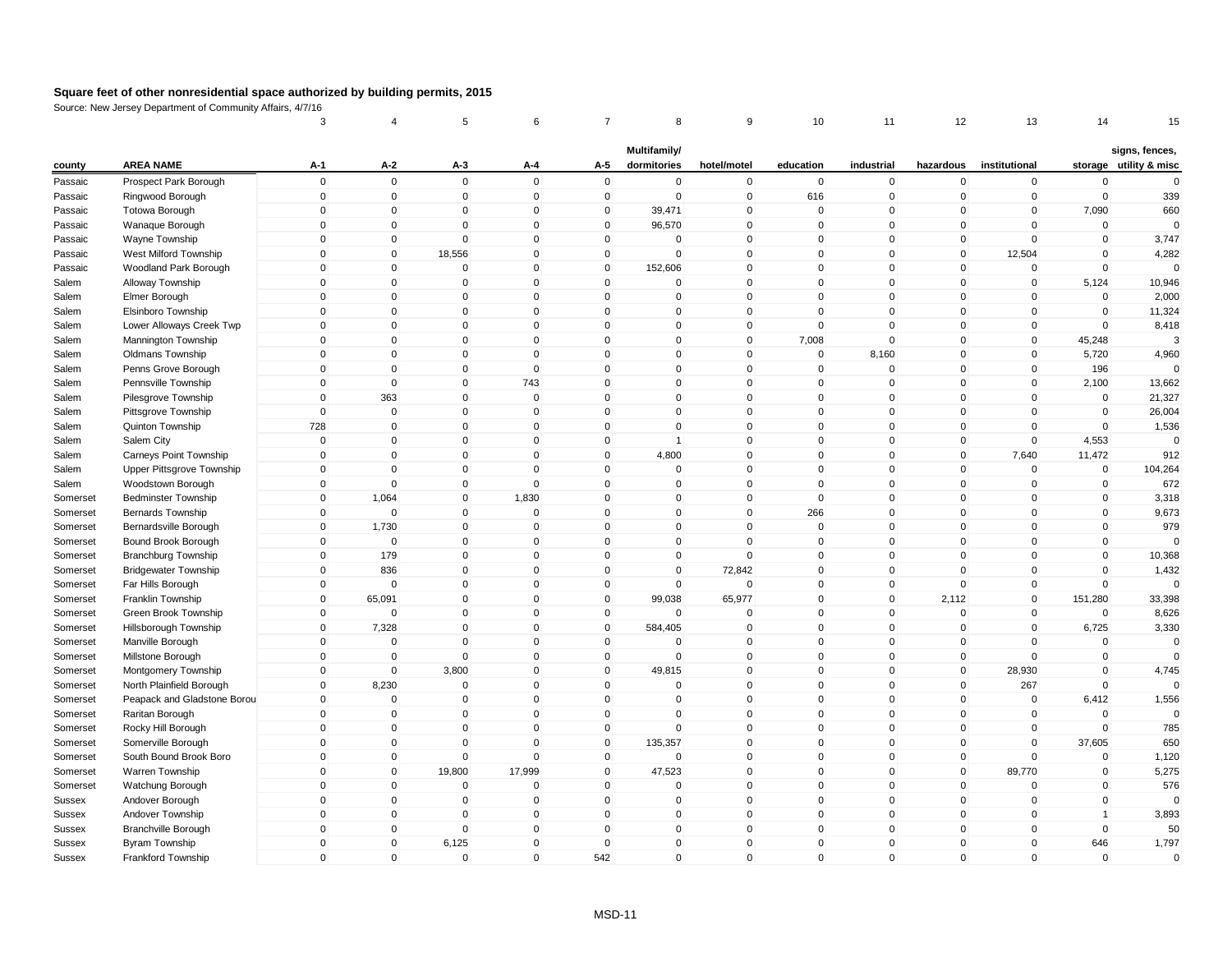|               |                             | 3                   | 4              | 5                   | 6            | 7            | 8                           | 9            | 10           | 11          | 12           | 13             | 14             | 15                                       |
|---------------|-----------------------------|---------------------|----------------|---------------------|--------------|--------------|-----------------------------|--------------|--------------|-------------|--------------|----------------|----------------|------------------------------------------|
| county        | <b>AREA NAME</b>            | $A-1$               | A-2            | $A-3$               | A-4          | A-5          | Multifamily/<br>dormitories | hotel/motel  | education    | industrial  | hazardous    | institutional  |                | signs, fences,<br>storage utility & misc |
| Passaic       | Prospect Park Borough       | $\mathbf 0$         | $\mathbf 0$    | $\mathbf 0$         | $\Omega$     | $\mathbf 0$  | 0                           | $\mathbf 0$  | $\mathbf 0$  | $\mathbf 0$ | $\mathbf 0$  | $\mathbf 0$    | $\mathbf 0$    | $\mathbf 0$                              |
| Passaic       | Ringwood Borough            | $\mathbf 0$         | $\mathbf 0$    | $\mathbf 0$         | $\mathbf 0$  | $\mathbf 0$  | $\mathbf 0$                 | $\mathbf 0$  | 616          | $\mathbf 0$ | $\mathbf 0$  | $\mathbf 0$    | 0              | 339                                      |
| Passaic       | <b>Totowa Borough</b>       | $\mathsf{O}\xspace$ | $\pmb{0}$      | $\mathbf 0$         | $\Omega$     | 0            | 39,471                      | $\mathbf 0$  | $\mathbf{0}$ | $\mathbf 0$ | 0            | $\mathbf 0$    | 7,090          | 660                                      |
| Passaic       | Wanaque Borough             | $\mathbf 0$         | $\mathbf 0$    | $\Omega$            | $\Omega$     | $\mathbf{0}$ | 96,570                      | $\mathbf 0$  | $\mathbf{0}$ | $\mathbf 0$ | $\mathbf 0$  | $\mathbf{0}$   | $\mathbf 0$    | $\Omega$                                 |
| Passaic       | Wayne Township              | $\mathbf 0$         | $\mathbf 0$    | $\mathbf 0$         | $\mathbf 0$  | $\mathbf 0$  | 0                           | $\mathbf 0$  | $\mathbf{0}$ | $\mathbf 0$ | $\mathbf 0$  | $\mathbf 0$    | $\mathbf 0$    | 3,747                                    |
| Passaic       | West Milford Township       | $\mathbf 0$         | $\mathbf 0$    | 18,556              | $\mathbf{0}$ | $\mathbf 0$  | $\Omega$                    | $\mathbf 0$  | $\Omega$     | $\mathbf 0$ | $\mathbf 0$  | 12,504         | $\mathbf 0$    | 4,282                                    |
| Passaic       | Woodland Park Borough       | $\mathbf{0}$        | $\mathbf 0$    | $\mathbf 0$         | $\mathbf{0}$ | $\mathbf 0$  | 152,606                     | $\mathbf 0$  | $\mathbf{0}$ | $\mathbf 0$ | $\mathbf 0$  | $\mathbf 0$    | $\mathbf 0$    | $\Omega$                                 |
| Salem         | Alloway Township            | $\mathbf 0$         | $\mathbf 0$    | $\mathbf 0$         | $\mathbf 0$  | $\mathbf 0$  | 0                           | $\mathbf 0$  | $\mathbf 0$  | $\pmb{0}$   | $\mathbf 0$  | $\mathbf 0$    | 5,124          | 10,946                                   |
| Salem         | Elmer Borough               | $\mathbf 0$         | $\Omega$       | $\mathbf 0$         | $\mathbf{0}$ | $\mathbf{0}$ | $\mathbf{0}$                | $\mathsf 0$  | $\mathbf{0}$ | $\mathbf 0$ | $\mathbf 0$  | $\mathbf 0$    | $\mathbf 0$    | 2,000                                    |
| Salem         | Elsinboro Township          | $\mathbf 0$         | $\mathbf 0$    | $\mathbf 0$         | $\mathbf 0$  | $\mathbf 0$  | $\mathbf 0$                 | $\pmb{0}$    | $\mathbf{0}$ | $\mathbf 0$ | $\mathbf 0$  | $\mathbf 0$    | $\mathbf 0$    | 11,324                                   |
| Salem         | Lower Alloways Creek Twp    | $\mathbf 0$         | $\pmb{0}$      | $\mathbf 0$         | $\Omega$     | $\mathbf 0$  | $\mathbf 0$                 | $\pmb{0}$    | $\Omega$     | $\mathbf 0$ | 0            | $\mathbf 0$    | $\Omega$       | 8,418                                    |
| Salem         | Mannington Township         | $\mathbf 0$         | $\mathbf 0$    | $\mathbf 0$         | $\mathbf{0}$ | $\mathbf 0$  | $\mathbf 0$                 | $\pmb{0}$    | 7,008        | $\pmb{0}$   | $\mathbf 0$  | $\mathbf{0}$   | 45,248         | 3                                        |
| Salem         | <b>Oldmans Township</b>     | $\mathbf 0$         | $\mathbf 0$    | $\mathbf 0$         | $\mathbf 0$  | $\mathbf 0$  | $\mathbf 0$                 | $\mathbf 0$  | $\mathbf 0$  | 8,160       | $\mathbf 0$  | $\mathbf 0$    | 5,720          | 4,960                                    |
| Salem         | Penns Grove Borough         | $\mathbf{0}$        | $\mathbf 0$    | $\mathbf 0$         | $\mathbf{0}$ | $\mathbf{0}$ | $\mathbf{0}$                | $\mathbf 0$  | $\mathbf{0}$ | $\mathbf 0$ | $\mathbf 0$  | $\mathbf{0}$   | 196            | $\Omega$                                 |
| Salem         | Pennsville Township         | $\mathbf 0$         | $\Omega$       | $\mathbf{0}$        | 743          | $\mathbf{0}$ | $\Omega$                    | $\mathbf 0$  | $\mathbf{0}$ | $\mathbf 0$ | $\mathbf 0$  | $\mathbf 0$    | 2,100          | 13,662                                   |
| Salem         | Pilesgrove Township         | $\mathbf 0$         | 363            | $\mathbf 0$         | $\mathbf 0$  | $\mathbf 0$  | $\mathbf 0$                 | $\mathbf 0$  | $\mathbf 0$  | $\mathbf 0$ | $\mathbf 0$  | $\mathbf 0$    | $\mathbf 0$    | 21,327                                   |
| Salem         | Pittsgrove Township         | $\mathbf 0$         | $\mathbf 0$    | $\mathbf 0$         | $\Omega$     | $\mathbf 0$  | $\mathbf 0$                 | $\mathbf 0$  | $\mathbf{0}$ | $\mathbf 0$ | $\mathbf 0$  | $\mathbf 0$    | $\mathbf 0$    | 26,004                                   |
| Salem         | Quinton Township            | 728                 | $\mathbf 0$    | $\mathbf 0$         | $\Omega$     | $\mathbf 0$  | $\mathbf 0$                 | $\mathbf 0$  | $\mathbf{0}$ | $\mathbf 0$ | $\mathbf 0$  | $\mathbf 0$    | $\mathbf 0$    | 1,536                                    |
| Salem         | Salem City                  | 0                   | $\mathbf 0$    | $\mathbf 0$         | $\mathbf 0$  | 0            | 1                           | $\pmb{0}$    | $\mathbf 0$  | $\mathbf 0$ | 0            | $\mathbf 0$    | 4,553          | $\Omega$                                 |
| Salem         | Carneys Point Township      | $\mathbf 0$         | $\mathbf 0$    | $\mathbf 0$         | $\Omega$     | $\mathbf{0}$ | 4,800                       | $\mathbf 0$  | $\mathbf{0}$ | $\mathbf 0$ | $\mathbf 0$  | 7,640          | 11,472         | 912                                      |
| Salem         | Upper Pittsgrove Township   | $\mathbf 0$         | $\mathbf 0$    | $\mathbf 0$         | $\Omega$     | $\mathbf 0$  | 0                           | $\mathbf 0$  | $\mathbf{0}$ | $\mathbf 0$ | $\mathbf 0$  | $\mathbf 0$    | $\mathbf 0$    | 104,264                                  |
| Salem         | Woodstown Borough           | 0                   | $\mathbf 0$    | $\mathsf{O}\xspace$ | $\Omega$     | $\mathbf{0}$ | $\Omega$                    | $\mathbf 0$  | $\Omega$     | $\Omega$    | 0            | $\mathbf{0}$   | 0              | 672                                      |
| Somerset      | <b>Bedminster Township</b>  | $\mathbf 0$         | 1,064          | $\mathbf 0$         | 1,830        | $\mathbf{0}$ | $\Omega$                    | $\mathbf{0}$ | $\mathbf{0}$ | $\mathbf 0$ | $\mathbf 0$  | $\mathbf{0}$   | $\mathbf 0$    | 3,318                                    |
| Somerset      | <b>Bernards Township</b>    | $\mathbf 0$         | 0              | $\mathbf 0$         | $\mathbf 0$  | $\mathbf 0$  | 0                           | $\mathbf 0$  | 266          | $\mathbf 0$ | $\mathbf 0$  | $\mathbf 0$    | $\mathbf 0$    | 9,673                                    |
| Somerset      | Bernardsville Borough       | $\mathbf 0$         | 1,730          | $\mathbf 0$         | $\Omega$     | $\mathbf{0}$ | $\mathbf{0}$                | $\mathbf 0$  | $\mathbf{0}$ | $\mathbf 0$ | $\mathbf{0}$ | $\mathbf{0}$   | $\mathbf 0$    | 979                                      |
| Somerset      | Bound Brook Borough         | $\mathbf 0$         | $\overline{0}$ | $\mathbf 0$         | $\mathbf 0$  | $\mathbf 0$  | $\mathbf 0$                 | $\mathbf 0$  | $\mathbf 0$  | $\mathbf 0$ | $\mathbf 0$  | $\mathbf 0$    | $\mathbf 0$    |                                          |
| Somerset      | <b>Branchburg Township</b>  | $\mathbf 0$         | 179            | $\mathbf 0$         | $\Omega$     | $\mathbf 0$  | $\mathbf 0$                 | $\Omega$     | $\mathbf{0}$ | $\mathbf 0$ | $\mathbf 0$  | $\mathbf 0$    | $\mathbf 0$    | 10,368                                   |
| Somerset      | <b>Bridgewater Township</b> | $\mathbf 0$         | 836            | $\mathbf 0$         | $\Omega$     | $\mathbf{0}$ | $\mathbf{0}$                | 72,842       | $\mathbf{0}$ | $\mathbf 0$ | $\mathbf{0}$ | $\mathbf{0}$   | $\mathbf 0$    | 1,432                                    |
| Somerset      | Far Hills Borough           | $\mathbf 0$         | $\Omega$       | $\mathbf 0$         | $\mathbf 0$  | $\mathbf 0$  | $\mathbf 0$                 | $\mathbf 0$  | $\mathbf{0}$ | $\mathbf 0$ | $\mathbf 0$  | $\mathbf 0$    | $\mathbf 0$    | $\mathbf 0$                              |
| Somerset      | Franklin Township           | $\mathbf 0$         | 65,091         | $\mathbf 0$         | $\mathbf 0$  | $\mathbf 0$  | 99,038                      | 65,977       | $\mathbf 0$  | $\mathbf 0$ | 2,112        | $\overline{0}$ | 151,280        | 33,398                                   |
| Somerset      | Green Brook Township        | $\mathbf 0$         | $\Omega$       | $\Omega$            | $\mathbf 0$  | $\mathbf 0$  | $\Omega$                    | $\Omega$     | $\mathbf{0}$ | $\mathbf 0$ | 0            | $\mathbf 0$    | $\mathbf 0$    | 8,626                                    |
| Somerset      | Hillsborough Township       | $\mathbf 0$         | 7,328          | $\mathbf{0}$        | $\mathbf{0}$ | $\mathbf 0$  | 584,405                     | $\mathbf 0$  | $\mathbf{0}$ | $\mathbf 0$ | $\mathbf 0$  | $\mathbf{0}$   | 6,725          | 3,330                                    |
| Somerset      | Manville Borough            | $\mathbf 0$         | $\mathbf 0$    | $\mathbf 0$         | $\mathbf{0}$ | $\mathbf 0$  | 0                           | $\mathbf 0$  | $\mathbf{0}$ | $\pmb{0}$   | $\mathbf 0$  | $\mathbf 0$    | $\mathbf 0$    | $\mathbf 0$                              |
| Somerset      | Millstone Borough           | $\mathbf 0$         | $\mathbf 0$    | $\mathbf 0$         | $\mathbf{0}$ | $\mathbf 0$  | $\mathbf 0$                 | $\mathbf 0$  | $\mathbf{0}$ | $\mathbf 0$ | $\mathbf 0$  | $\Omega$       | $\mathbf 0$    | $\Omega$                                 |
| Somerset      | Montgomery Township         | $\mathbf 0$         | $\mathbf 0$    | 3,800               | $\mathbf 0$  | $\mathbf 0$  | 49,815                      | $\mathbf 0$  | $\mathbf 0$  | $\mathbf 0$ | $\mathbf 0$  | 28,930         | $\pmb{0}$      | 4,745                                    |
| Somerset      | North Plainfield Borough    | $\mathbf 0$         | 8,230          | $\mathbf 0$         | $\Omega$     | $\mathbf{0}$ | $\Omega$                    | $\mathbf 0$  | $\mathbf{0}$ | $\Omega$    | $\mathbf{0}$ | 267            | $\mathbf 0$    | $\Omega$                                 |
| Somerset      | Peapack and Gladstone Borou | $\mathbf 0$         | $\mathbf 0$    | $\mathbf 0$         | $\mathbf 0$  | $\mathbf 0$  | $\mathbf 0$                 | $\mathbf 0$  | $\mathbf{0}$ | $\pmb{0}$   | $\mathbf 0$  | $\mathbf 0$    | 6,412          | 1,556                                    |
| Somerset      | Raritan Borough             | $\mathbf 0$         | $\mathbf 0$    | $\mathbf 0$         | $\mathbf 0$  | $\mathbf 0$  | 0                           | $\mathbf 0$  | $\mathbf{0}$ | $\mathbf 0$ | $\mathbf 0$  | $\mathbf 0$    | $\mathbf 0$    | $\mathbf 0$                              |
| Somerset      | Rocky Hill Borough          | $\mathbf{0}$        | $\mathbf 0$    | $\mathbf{0}$        | $\mathbf{0}$ | $\mathbf 0$  | $\Omega$                    | $\mathbf{0}$ | $\mathbf{0}$ | $\mathbf 0$ | $\mathbf 0$  | $\mathbf{0}$   | $\mathbf 0$    | 785                                      |
| Somerset      | Somerville Borough          | $\mathbf 0$         | $\mathbf 0$    | $\mathbf 0$         | $\Omega$     | $\mathbf 0$  | 135,357                     | $\mathbf 0$  | $\mathbf{0}$ | $\mathbf 0$ | $\mathbf 0$  | $\mathbf 0$    | 37,605         | 650                                      |
| Somerset      | South Bound Brook Boro      | $\mathbf{0}$        | $\overline{0}$ | $\mathbf{0}$        | $\Omega$     | $\mathbf{0}$ | $\Omega$                    | $\mathbf{0}$ | $\mathbf{0}$ | $\Omega$    | $\mathbf{0}$ | $\mathbf{0}$   | $\mathbf 0$    | 1,120                                    |
| Somerset      | Warren Township             | $\mathbf 0$         | $\mathbf 0$    | 19,800              | 17,999       | $\mathbf 0$  | 47,523                      | $\mathbf 0$  | $\mathbf 0$  | $\mathbf 0$ | $\mathbf 0$  | 89,770         | $\mathbf 0$    | 5,275                                    |
| Somerset      | Watchung Borough            | $\mathbf 0$         | $\mathbf 0$    | $\mathbf 0$         | $\mathbf 0$  | $\mathbf 0$  | 0                           | $\mathbf 0$  | $\mathbf 0$  | $\mathbf 0$ | $\mathbf 0$  | $\pmb{0}$      | $\mathbf 0$    | 576                                      |
| Sussex        | Andover Borough             | $\mathbf 0$         | $\mathbf 0$    | $\mathbf 0$         | $\Omega$     | $\mathbf 0$  | 0                           | $\mathbf 0$  | $\mathbf{0}$ | $\mathbf 0$ | $\mathbf 0$  | $\mathbf 0$    | $\mathbf 0$    |                                          |
| <b>Sussex</b> | Andover Township            | $\mathbf 0$         | $\mathbf 0$    | $\mathbf 0$         | $\mathbf 0$  | $\mathbf 0$  | $\mathbf 0$                 | $\mathbf 0$  | $\mathbf{0}$ | $\mathbf 0$ | $\mathbf 0$  | $\mathbf 0$    | $\overline{1}$ | 3,893                                    |
| Sussex        | <b>Branchville Borough</b>  | $\mathbf 0$         | $\mathbf 0$    | $\mathbf 0$         | $\mathbf 0$  | $\mathbf 0$  | $\mathbf 0$                 | $\mathbf 0$  | $\mathbf{0}$ | $\mathbf 0$ | $\mathbf 0$  | $\mathbf 0$    | $\mathbf 0$    | 50                                       |
| Sussex        | Byram Township              | $\mathbf 0$         | $\mathbf 0$    | 6,125               | $\mathbf 0$  | $\mathbf{0}$ | $\mathbf{0}$                | $\mathbf 0$  | $\Omega$     | $\Omega$    | $\mathbf 0$  | $\mathbf{0}$   | 646            | 1,797                                    |
| Sussex        | Frankford Township          | $\mathbf{0}$        | $\mathbf{0}$   | $\mathbf 0$         | $\mathbf{0}$ | 542          | $\mathbf{0}$                | $\mathbf 0$  | $\mathbf{0}$ | $\mathbf 0$ | $\mathbf 0$  | $\mathbf{0}$   | $\mathbf 0$    | $\mathbf 0$                              |
|               |                             |                     |                |                     |              |              |                             |              |              |             |              |                |                |                                          |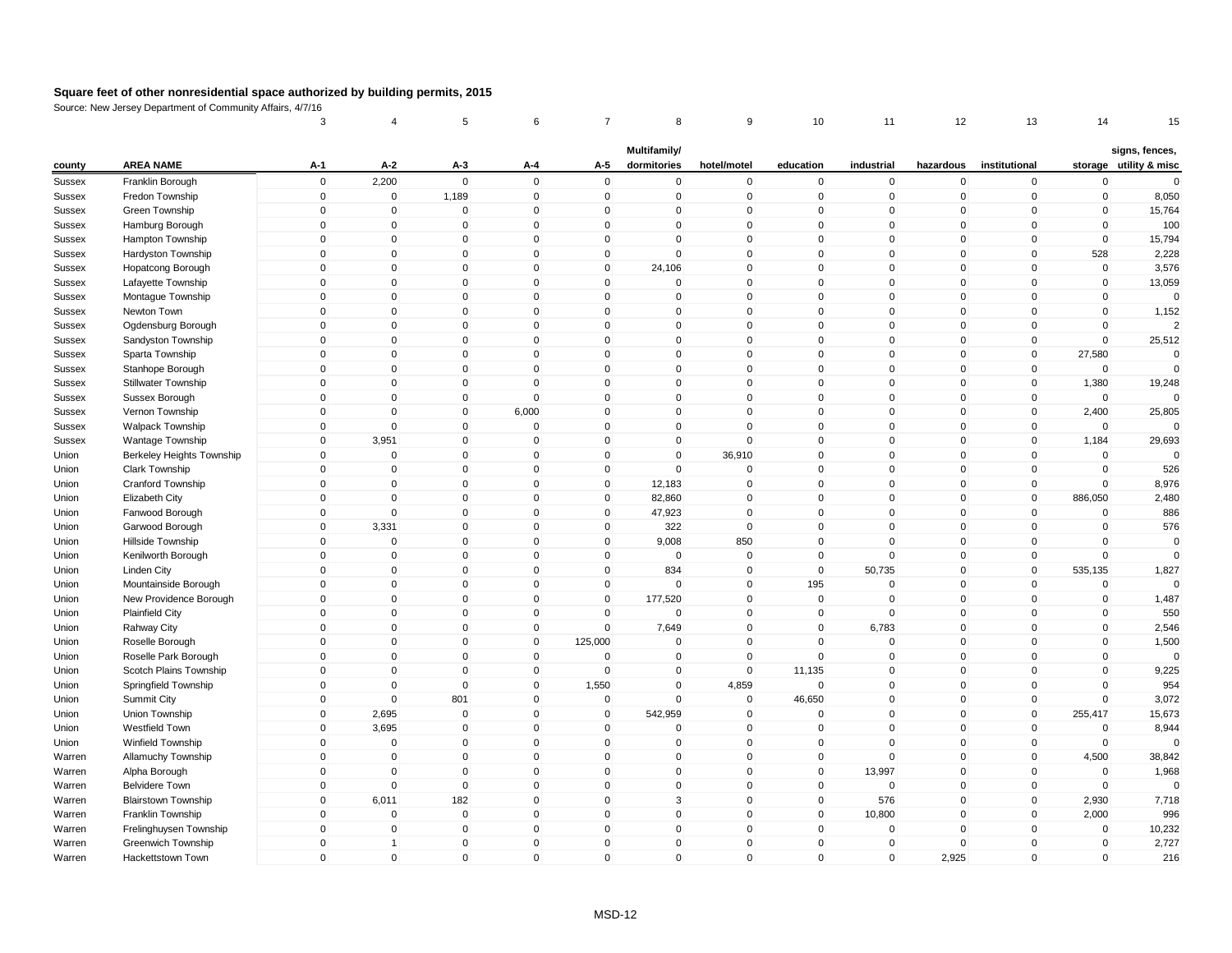|               |                            | 3           | 4              | 5              | 6            | 7            | 8                           | 9              | 10           | 11          | 12           | 13             | 14          | 15                                       |
|---------------|----------------------------|-------------|----------------|----------------|--------------|--------------|-----------------------------|----------------|--------------|-------------|--------------|----------------|-------------|------------------------------------------|
| county        | <b>AREA NAME</b>           | $A-1$       | $A-2$          | $A-3$          | A-4          | A-5          | Multifamily/<br>dormitories | hotel/motel    | education    | industrial  | hazardous    | institutional  |             | signs, fences,<br>storage utility & misc |
| <b>Sussex</b> | Franklin Borough           | $\mathsf 0$ | 2,200          | $\mathbf 0$    | $\mathbf 0$  | $\mathbf 0$  | $\mathbf 0$                 | $\pmb{0}$      | $\mathbf 0$  | $\mathbf 0$ | $\mathbf 0$  | $\mathbf 0$    | $\mathbf 0$ | $\mathbf 0$                              |
| Sussex        | Fredon Township            | $\mathsf 0$ | $\overline{0}$ | 1,189          | $\mathbf 0$  | $\mathbf 0$  | $\mathbf 0$                 | $\mathbf 0$    | $\mathbf 0$  | $\mathbf 0$ | $\mathbf 0$  | $\overline{0}$ | $\mathbf 0$ | 8,050                                    |
| Sussex        | Green Township             | $\mathbf 0$ | 0              | $\mathbf 0$    | $\pmb{0}$    | $\Omega$     | 0                           | $\mathbf 0$    | $\mathbf 0$  | $\mathbf 0$ | 0            | $\mathbf{0}$   | 0           | 15,764                                   |
| Sussex        | Hamburg Borough            | $\mathsf 0$ | $\mathbf{0}$   | $\mathbf 0$    | $\mathbf 0$  | $\mathbf{0}$ | $\mathbf{0}$                | $\pmb{0}$      | $\mathbf 0$  | $\mathbf 0$ | $\mathbf 0$  | $\mathbf{0}$   | $\mathbf 0$ | 100                                      |
| Sussex        | Hampton Township           | $\mathbf 0$ | $\mathbf 0$    | $\mathbf 0$    | $\mathbf 0$  | $\mathbf 0$  | $\mathbf 0$                 | $\mathbf 0$    | $\mathbf 0$  | $\mathbf 0$ | $\mathbf 0$  | $\mathbf 0$    | $\mathbf 0$ | 15,794                                   |
| <b>Sussex</b> | Hardyston Township         | $\mathbf 0$ | $\mathbf{0}$   | $\Omega$       | $\mathbf{0}$ | $\mathbf{0}$ | $\mathbf{0}$                | $\mathbf 0$    | $\mathbf 0$  | $\mathbf 0$ | $\mathbf 0$  | $\mathbf{0}$   | 528         | 2,228                                    |
| Sussex        | Hopatcong Borough          | $\Omega$    | $\mathbf{0}$   | $\mathbf 0$    | $\mathbf 0$  | $\Omega$     | 24,106                      | $\mathbf 0$    | $\mathbf 0$  | $\mathbf 0$ | $\mathbf 0$  | $\mathbf{0}$   | $\mathbf 0$ | 3,576                                    |
| Sussex        | Lafayette Township         | $\mathsf 0$ | $\mathbf 0$    | 0              | $\mathbf 0$  | $\mathbf 0$  | 0                           | $\mathbf 0$    | $\mathbf 0$  | $\mathbf 0$ | $\mathbf 0$  | $\mathbf 0$    | $\mathbf 0$ | 13,059                                   |
| <b>Sussex</b> | Montague Township          | $\mathsf 0$ | $\mathbf{0}$   | $\mathbf 0$    | $\mathbf{0}$ | $\Omega$     | $\mathbf 0$                 | $\mathbf 0$    | $\mathbf 0$  | $\mathbf 0$ | $\mathbf 0$  | $\mathbf{0}$   | $\mathbf 0$ | $\mathbf 0$                              |
| Sussex        | Newton Town                | $\mathbf 0$ | $\mathbf 0$    | 0              | $\mathbf 0$  | $\mathbf 0$  | $\mathbf 0$                 | $\mathbf 0$    | $\mathbf 0$  | $\mathbf 0$ | $\mathbf 0$  | $\mathbf 0$    | $\mathbf 0$ | 1,152                                    |
| Sussex        | Ogdensburg Borough         | $\Omega$    | $\mathbf 0$    | $\Omega$       | $\mathbf 0$  | $\Omega$     | $\mathbf 0$                 | $\pmb{0}$      | 0            | $\Omega$    | 0            | $\mathbf 0$    | $\mathbf 0$ | $\mathcal{P}$                            |
| Sussex        | Sandyston Township         | $\mathsf 0$ | $\mathbf 0$    | $\overline{0}$ | $\mathbf 0$  | $\mathbf 0$  | $\mathbf 0$                 | $\mathbf 0$    | $\mathbf 0$  | $\mathbf 0$ | $\mathbf 0$  | $\mathbf 0$    | $\mathbf 0$ | 25,512                                   |
| Sussex        | Sparta Township            | $\mathsf 0$ | $\mathbf 0$    | $\mathbf 0$    | $\mathbf 0$  | $\mathbf 0$  | $\mathbf 0$                 | $\mathbf 0$    | $\mathbf 0$  | $\mathbf 0$ | $\mathbf 0$  | $\mathbf 0$    | 27,580      | $\mathbf 0$                              |
| Sussex        | Stanhope Borough           | $\Omega$    | $\mathbf{0}$   | $\mathbf 0$    | $\mathbf{0}$ | $\Omega$     | $\mathbf 0$                 | $\mathbf 0$    | $\mathbf 0$  | $\mathbf 0$ | $\mathbf 0$  | $\mathbf{0}$   | $\mathbf 0$ | $\mathbf 0$                              |
| Sussex        | Stillwater Township        | $\mathbf 0$ | $\Omega$       | 0              | $\mathbf 0$  | $\Omega$     | $\mathbf{0}$                | $\pmb{0}$      | $\mathbf 0$  | $\mathbf 0$ | $\mathbf 0$  | $\mathbf 0$    | 1,380       | 19,248                                   |
| Sussex        | Sussex Borough             | $\mathsf 0$ | $\mathbf 0$    | $\mathbf 0$    | $\mathbf 0$  | $\mathbf 0$  | $\mathbf 0$                 | $\mathbf 0$    | $\mathsf 0$  | $\mathbf 0$ | $\mathbf 0$  | $\mathbf 0$    | $\mathbf 0$ | $\Omega$                                 |
| <b>Sussex</b> | Vernon Township            | $\mathsf 0$ | $\Omega$       | $\mathbf 0$    | 6,000        | $\mathbf 0$  | $\mathbf 0$                 | $\mathbf 0$    | $\mathbf 0$  | $\mathsf 0$ | $\mathbf 0$  | $\mathbf 0$    | 2,400       | 25,805                                   |
| Sussex        | Walpack Township           | $\mathsf 0$ | $\overline{0}$ | $\mathbf 0$    | $\mathbf 0$  | $\mathbf 0$  | $\mathbf 0$                 | $\mathbf 0$    | $\mathbf 0$  | $\mathbf 0$ | $\mathbf 0$  | $\mathbf 0$    | $\mathbf 0$ | $\Omega$                                 |
| Sussex        | Wantage Township           | 0           | 3,951          | 0              | $\mathbf 0$  | $\Omega$     | 0                           | $\pmb{0}$      | 0            | $\mathbf 0$ | 0            | $\mathbf 0$    | 1,184       | 29,693                                   |
| Union         | Berkeley Heights Township  | $\mathbf 0$ | $\mathbf 0$    | $\mathbf 0$    | $\mathbf 0$  | $\mathbf{0}$ | $\mathbf{0}$                | 36,910         | $\mathbf 0$  | $\mathbf 0$ | $\mathbf 0$  | $\mathbf{0}$   | $\mathbf 0$ | $\mathbf 0$                              |
| Union         | Clark Township             | $\mathbf 0$ | $\mathbf 0$    | $\mathbf 0$    | $\mathbf 0$  | $\mathbf 0$  | $\mathbf 0$                 | $\mathbf 0$    | $\mathbf 0$  | $\mathbf 0$ | $\mathbf 0$  | $\mathbf 0$    | $\mathbf 0$ | 526                                      |
| Union         | Cranford Township          | $\mathbf 0$ | $\mathbf{0}$   | $\Omega$       | $\mathbf{0}$ | $\mathbf{0}$ | 12,183                      | $\Omega$       | $\mathbf 0$  | $\Omega$    | 0            | $\mathbf{0}$   | $\mathbf 0$ | 8,976                                    |
| Union         | Elizabeth City             | $\Omega$    | $\mathbf{0}$   | $\mathbf 0$    | $\mathbf{0}$ | $\Omega$     | 82,860                      | $\pmb{0}$      | $\mathbf 0$  | $\mathbf 0$ | $\mathbf 0$  | $\mathbf{0}$   | 886,050     | 2,480                                    |
| Union         | Fanwood Borough            | $\mathbf 0$ | $\mathbf 0$    | 0              | $\mathbf 0$  | 0            | 47,923                      | $\mathbf 0$    | $\mathbf 0$  | $\mathbf 0$ | $\mathbf 0$  | $\mathbf 0$    | 0           | 886                                      |
| Union         | Garwood Borough            | $\mathbf 0$ | 3,331          | $\mathbf 0$    | $\mathbf{0}$ | $\mathbf 0$  | 322                         | $\mathbf 0$    | $\mathbf 0$  | $\mathbf 0$ | $\mathbf 0$  | $\mathbf{0}$   | $\mathbf 0$ | 576                                      |
| Union         | Hillside Township          | $\mathbf 0$ | $\mathbf 0$    | 0              | $\mathbf 0$  | $\mathbf 0$  | 9,008                       | 850            | $\mathbf 0$  | $\mathbf 0$ | $\mathbf 0$  | $\mathbf 0$    | $\mathbf 0$ | $\mathbf 0$                              |
| Union         | Kenilworth Borough         | $\mathsf 0$ | $\mathbf 0$    | $\mathbf 0$    | $\mathbf 0$  | $\mathbf 0$  | $\mathbf 0$                 | $\mathbf 0$    | $\mathbf 0$  | $\mathbf 0$ | $\mathbf 0$  | $\mathbf 0$    | $\mathbf 0$ | $\Omega$                                 |
| Union         | <b>Linden City</b>         | $\Omega$    | $\mathbf 0$    | $\mathbf 0$    | $\mathbf{0}$ | $\Omega$     | 834                         | $\mathbf 0$    | $\mathsf 0$  | 50,735      | $\mathbf 0$  | $\mathbf{0}$   | 535,135     | 1,827                                    |
| Union         | Mountainside Borough       | $\mathsf 0$ | $\overline{0}$ | $\mathbf 0$    | $\mathbf 0$  | $\mathbf 0$  | $\mathbf 0$                 | $\mathbf 0$    | 195          | $\mathbf 0$ | $\mathbf 0$  | $\overline{0}$ | $\mathbf 0$ | $\Omega$                                 |
| Union         | New Providence Borough     | $\Omega$    | $\mathbf 0$    | $\mathbf 0$    | $\mathbf 0$  | $\mathbf 0$  | 177,520                     | $\overline{0}$ | $\mathbf 0$  | $\mathbf 0$ | $\mathbf 0$  | $\overline{0}$ | $\mathbf 0$ | 1,487                                    |
| Union         | <b>Plainfield City</b>     | $\mathbf 0$ | $\Omega$       | 0              | $\mathbf 0$  | $\Omega$     | $\Omega$                    | $\mathbf 0$    | $\mathbf 0$  | $\mathbf 0$ | $\mathbf 0$  | $\mathbf 0$    | $\mathbf 0$ | 550                                      |
| Union         | Rahway City                | $\mathbf 0$ | $\mathbf 0$    | $\mathbf 0$    | $\mathbf 0$  | $\mathbf 0$  | 7,649                       | $\mathbf 0$    | $\mathbf 0$  | 6,783       | $\mathbf 0$  | $\mathbf{0}$   | $\mathbf 0$ | 2,546                                    |
| Union         | Roselle Borough            | $\mathsf 0$ | $\mathbf 0$    | $\mathbf 0$    | $\mathbf 0$  | 125,000      | $\mathbf 0$                 | $\mathbf 0$    | $\mathbf 0$  | $\mathsf 0$ | $\mathbf 0$  | $\mathbf 0$    | $\mathbf 0$ | 1,500                                    |
| Union         | Roselle Park Borough       | $\mathsf 0$ | $\mathbf 0$    | $\mathbf 0$    | $\mathbf 0$  | $\mathbf 0$  | $\mathbf 0$                 | $\mathbf 0$    | $\mathbf 0$  | $\mathbf 0$ | $\mathbf 0$  | $\mathbf 0$    | $\mathbf 0$ | $\Omega$                                 |
| Union         | Scotch Plains Township     | 0           | $\mathbf 0$    | 0              | $\mathbf 0$  | 0            | 0                           | $\pmb{0}$      | 11,135       | $\mathbf 0$ | $\mathbf 0$  | $\mathbf 0$    | $\pmb{0}$   | 9,225                                    |
| Union         | Springfield Township       | $\mathbf 0$ | $\mathbf{0}$   | $\Omega$       | $\mathbf{0}$ | 1,550        | $\mathbf{0}$                | 4,859          | $\mathbf 0$  | $\Omega$    | $\mathbf{0}$ | $\mathbf{0}$   | $\mathbf 0$ | 954                                      |
| Union         | Summit City                | $\mathbf 0$ | $\mathbf 0$    | 801            | $\mathbf 0$  | $\mathbf 0$  | $\mathbf 0$                 | $\mathbf 0$    | 46,650       | $\mathbf 0$ | $\mathbf 0$  | $\mathbf 0$    | $\mathbf 0$ | 3,072                                    |
| Union         | Union Township             | $\mathsf 0$ | 2,695          | $\mathbf 0$    | $\mathbf 0$  | $\mathbf 0$  | 542,959                     | $\mathbf 0$    | 0            | $\mathbf 0$ | $\mathbf 0$  | $\overline{0}$ | 255,417     | 15,673                                   |
| Union         | Westfield Town             | $\Omega$    | 3,695          | $\mathbf 0$    | $\mathbf{0}$ | $\Omega$     | $\mathbf 0$                 | $\mathbf 0$    | $\mathbf 0$  | $\mathbf 0$ | $\mathbf 0$  | $\mathbf{0}$   | $\mathbf 0$ | 8,944                                    |
| Union         | Winfield Township          | $\mathsf 0$ | $\mathbf 0$    | 0              | $\mathbf 0$  | $\mathbf 0$  | $\mathbf 0$                 | $\pmb{0}$      | $\mathbf 0$  | $\mathbf 0$ | $\mathbf 0$  | $\mathbf 0$    | $\mathbf 0$ | $\Omega$                                 |
| Warren        | Allamuchy Township         | $\mathbf 0$ | $\mathbf{0}$   | $\mathbf{0}$   | $\mathbf{0}$ | $\mathbf{0}$ | $\mathbf{0}$                | $\mathbf{0}$   | $\mathbf{0}$ | $\Omega$    | $\mathbf{0}$ | $\mathbf{0}$   | 4,500       | 38,842                                   |
| Warren        | Alpha Borough              | $\mathbf 0$ | $\mathbf 0$    | $\mathbf 0$    | $\mathbf 0$  | $\mathbf 0$  | $\mathbf 0$                 | $\mathbf 0$    | $\mathbf 0$  | 13,997      | $\mathbf 0$  | $\mathbf 0$    | $\mathbf 0$ | 1,968                                    |
| Warren        | <b>Belvidere Town</b>      | $\mathsf 0$ | $\mathbf 0$    | $\mathbf 0$    | $\mathbf 0$  | $\mathbf 0$  | $\mathbf 0$                 | $\mathbf 0$    | $\mathbf 0$  | $\mathbf 0$ | $\mathbf 0$  | $\mathbf 0$    | $\mathbf 0$ | $\Omega$                                 |
| Warren        | <b>Blairstown Township</b> | $\mathbf 0$ | 6,011          | 182            | $\mathbf 0$  | $\mathbf 0$  | 3                           | $\pmb{0}$      | $\mathbf 0$  | 576         | $\mathbf 0$  | $\mathbf 0$    | 2,930       | 7,718                                    |
| Warren        | Franklin Township          | $\mathsf 0$ | $\overline{0}$ | $\overline{0}$ | $\mathbf 0$  | $\mathbf 0$  | $\mathbf 0$                 | $\mathbf 0$    | $\mathbf 0$  | 10,800      | $\mathbf 0$  | $\mathbf 0$    | 2,000       | 996                                      |
| Warren        | Frelinghuysen Township     | $\mathbf 0$ | $\overline{0}$ | $\overline{0}$ | $\mathbf 0$  | $\mathbf 0$  | $\mathbf 0$                 | $\overline{0}$ | $\mathbf 0$  | $\mathbf 0$ | $\mathbf 0$  | $\mathbf 0$    | $\mathbf 0$ | 10,232                                   |
| Warren        | Greenwich Township         | $\mathbf 0$ | 1              | 0              | $\mathbf{0}$ | $\Omega$     | $\mathbf{0}$                | $\pmb{0}$      | $\mathbf 0$  | $\mathbf 0$ | $\mathbf{0}$ | $\mathbf{0}$   | $\mathbf 0$ | 2,727                                    |
| Warren        | Hackettstown Town          | $\Omega$    | $\mathbf{0}$   | $\mathbf 0$    | $\mathbf 0$  | $\Omega$     | $\mathbf{0}$                | $\mathbf 0$    | $\mathbf{0}$ | $\mathbf 0$ | 2,925        | $\mathbf{0}$   | $\mathbf 0$ | 216                                      |
|               |                            |             |                |                |              |              |                             |                |              |             |              |                |             |                                          |